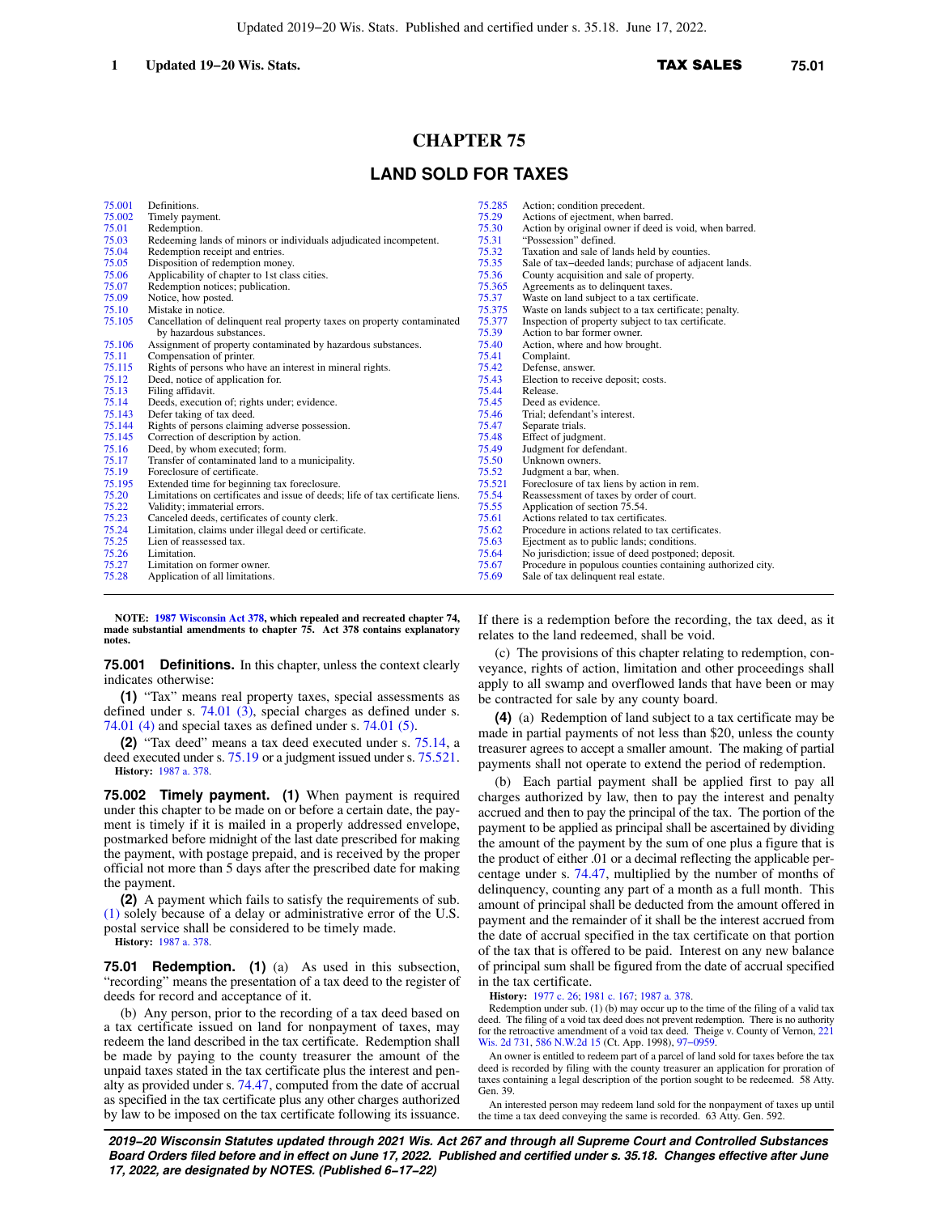# **CHAPTER 75**

## **LAND SOLD FOR TAXES**

| 75.001 | Definitions.                                                                   | 75.285 | Action; condition precedent.                               |
|--------|--------------------------------------------------------------------------------|--------|------------------------------------------------------------|
| 75.002 | Timely payment.                                                                | 75.29  | Actions of ejectment, when barred.                         |
| 75.01  | Redemption.                                                                    | 75.30  | Action by original owner if deed is void, when barred.     |
| 75.03  | Redeeming lands of minors or individuals adjudicated incompetent.              | 75.31  | "Possession" defined.                                      |
| 75.04  | Redemption receipt and entries.                                                | 75.32  | Taxation and sale of lands held by counties.               |
| 75.05  | Disposition of redemption money.                                               | 75.35  | Sale of tax-deeded lands; purchase of adjacent lands.      |
| 75.06  | Applicability of chapter to 1st class cities.                                  | 75.36  | County acquisition and sale of property.                   |
| 75.07  | Redemption notices; publication.                                               | 75.365 | Agreements as to delinquent taxes.                         |
| 75.09  | Notice, how posted.                                                            | 75.37  | Waste on land subject to a tax certificate.                |
| 75.10  | Mistake in notice.                                                             | 75.375 | Waste on lands subject to a tax certificate; penalty.      |
| 75.105 | Cancellation of delinquent real property taxes on property contaminated        | 75.377 | Inspection of property subject to tax certificate.         |
|        | by hazardous substances.                                                       | 75.39  | Action to bar former owner.                                |
| 75.106 | Assignment of property contaminated by hazardous substances.                   | 75.40  | Action, where and how brought.                             |
| 75.11  | Compensation of printer.                                                       | 75.41  | Complaint.                                                 |
| 75.115 | Rights of persons who have an interest in mineral rights.                      | 75.42  | Defense, answer.                                           |
| 75.12  | Deed, notice of application for.                                               | 75.43  | Election to receive deposit; costs.                        |
| 75.13  | Filing affidavit.                                                              | 75.44  | Release.                                                   |
| 75.14  | Deeds, execution of; rights under; evidence.                                   | 75.45  | Deed as evidence.                                          |
| 75.143 | Defer taking of tax deed.                                                      | 75.46  | Trial; defendant's interest.                               |
| 75.144 | Rights of persons claiming adverse possession.                                 | 75.47  | Separate trials.                                           |
| 75.145 | Correction of description by action.                                           | 75.48  | Effect of judgment.                                        |
| 75.16  | Deed, by whom executed; form.                                                  | 75.49  | Judgment for defendant.                                    |
| 75.17  | Transfer of contaminated land to a municipality.                               | 75.50  | Unknown owners.                                            |
| 75.19  | Foreclosure of certificate.                                                    | 75.52  | Judgment a bar, when.                                      |
| 75.195 | Extended time for beginning tax foreclosure.                                   | 75.521 | Foreclosure of tax liens by action in rem.                 |
| 75.20  | Limitations on certificates and issue of deeds; life of tax certificate liens. | 75.54  | Reassessment of taxes by order of court.                   |
| 75.22  | Validity; immaterial errors.                                                   | 75.55  | Application of section 75.54.                              |
| 75.23  | Canceled deeds, certificates of county clerk.                                  | 75.61  | Actions related to tax certificates.                       |
| 75.24  | Limitation, claims under illegal deed or certificate.                          | 75.62  | Procedure in actions related to tax certificates.          |
| 75.25  | Lien of reassessed tax.                                                        | 75.63  | Ejectment as to public lands; conditions.                  |
| 75.26  | Limitation.                                                                    | 75.64  | No jurisdiction; issue of deed postponed; deposit.         |
| 75.27  | Limitation on former owner.                                                    | 75.67  | Procedure in populous counties containing authorized city. |
| 75.28  | Application of all limitations.                                                | 75.69  | Sale of tax delinquent real estate.                        |

**NOTE: [1987 Wisconsin Act 378](https://docs.legis.wisconsin.gov/document/acts/1987/378), which repealed and recreated chapter 74, made substantial amendments to chapter 75. Act 378 contains explanatory notes.**

**75.001 Definitions.** In this chapter, unless the context clearly indicates otherwise:

**(1)** "Tax" means real property taxes, special assessments as defined under s. [74.01 \(3\),](https://docs.legis.wisconsin.gov/document/statutes/74.01(3)) special charges as defined under s. [74.01 \(4\)](https://docs.legis.wisconsin.gov/document/statutes/74.01(4)) and special taxes as defined under s. [74.01 \(5\)](https://docs.legis.wisconsin.gov/document/statutes/74.01(5)).

**(2)** "Tax deed" means a tax deed executed under s. [75.14](https://docs.legis.wisconsin.gov/document/statutes/75.14), a deed executed under s. [75.19](https://docs.legis.wisconsin.gov/document/statutes/75.19) or a judgment issued under s. [75.521.](https://docs.legis.wisconsin.gov/document/statutes/75.521) **History:** [1987 a. 378](https://docs.legis.wisconsin.gov/document/acts/1987/378).

**75.002 Timely payment. (1)** When payment is required under this chapter to be made on or before a certain date, the payment is timely if it is mailed in a properly addressed envelope, postmarked before midnight of the last date prescribed for making the payment, with postage prepaid, and is received by the proper official not more than 5 days after the prescribed date for making the payment.

**(2)** A payment which fails to satisfy the requirements of sub. [\(1\)](https://docs.legis.wisconsin.gov/document/statutes/75.002(1)) solely because of a delay or administrative error of the U.S. postal service shall be considered to be timely made.

**History:** [1987 a. 378](https://docs.legis.wisconsin.gov/document/acts/1987/378).

**75.01 Redemption. (1)** (a) As used in this subsection, "recording" means the presentation of a tax deed to the register of deeds for record and acceptance of it.

(b) Any person, prior to the recording of a tax deed based on a tax certificate issued on land for nonpayment of taxes, may redeem the land described in the tax certificate. Redemption shall be made by paying to the county treasurer the amount of the unpaid taxes stated in the tax certificate plus the interest and penalty as provided under s. [74.47,](https://docs.legis.wisconsin.gov/document/statutes/74.47) computed from the date of accrual as specified in the tax certificate plus any other charges authorized by law to be imposed on the tax certificate following its issuance.

If there is a redemption before the recording, the tax deed, as it relates to the land redeemed, shall be void.

(c) The provisions of this chapter relating to redemption, conveyance, rights of action, limitation and other proceedings shall apply to all swamp and overflowed lands that have been or may be contracted for sale by any county board.

**(4)** (a) Redemption of land subject to a tax certificate may be made in partial payments of not less than \$20, unless the county treasurer agrees to accept a smaller amount. The making of partial payments shall not operate to extend the period of redemption.

(b) Each partial payment shall be applied first to pay all charges authorized by law, then to pay the interest and penalty accrued and then to pay the principal of the tax. The portion of the payment to be applied as principal shall be ascertained by dividing the amount of the payment by the sum of one plus a figure that is the product of either .01 or a decimal reflecting the applicable percentage under s. [74.47](https://docs.legis.wisconsin.gov/document/statutes/74.47), multiplied by the number of months of delinquency, counting any part of a month as a full month. This amount of principal shall be deducted from the amount offered in payment and the remainder of it shall be the interest accrued from the date of accrual specified in the tax certificate on that portion of the tax that is offered to be paid. Interest on any new balance of principal sum shall be figured from the date of accrual specified in the tax certificate.

**History:** [1977 c. 26](https://docs.legis.wisconsin.gov/document/acts/1977/26); [1981 c. 167;](https://docs.legis.wisconsin.gov/document/acts/1981/167) [1987 a. 378](https://docs.legis.wisconsin.gov/document/acts/1987/378).

Redemption under sub. (1) (b) may occur up to the time of the filing of a valid tax deed. The filing of a void tax deed does not prevent redemption. There is no authority for the retroactive amendment of a void tax deed. Theige v. County of Vernon, [221](https://docs.legis.wisconsin.gov/document/courts/221%20Wis.%202d%20731) [Wis. 2d 731,](https://docs.legis.wisconsin.gov/document/courts/221%20Wis.%202d%20731) [586 N.W.2d 15](https://docs.legis.wisconsin.gov/document/courts/586%20N.W.2d%2015) (Ct. App. 1998), 97-0959.

An owner is entitled to redeem part of a parcel of land sold for taxes before the tax deed is recorded by filing with the county treasurer an application for proration of taxes containing a legal description of the portion sought to be redeemed. 58 Atty. Gen. 39.

An interested person may redeem land sold for the nonpayment of taxes up until the time a tax deed conveying the same is recorded. 63 Atty. Gen. 592.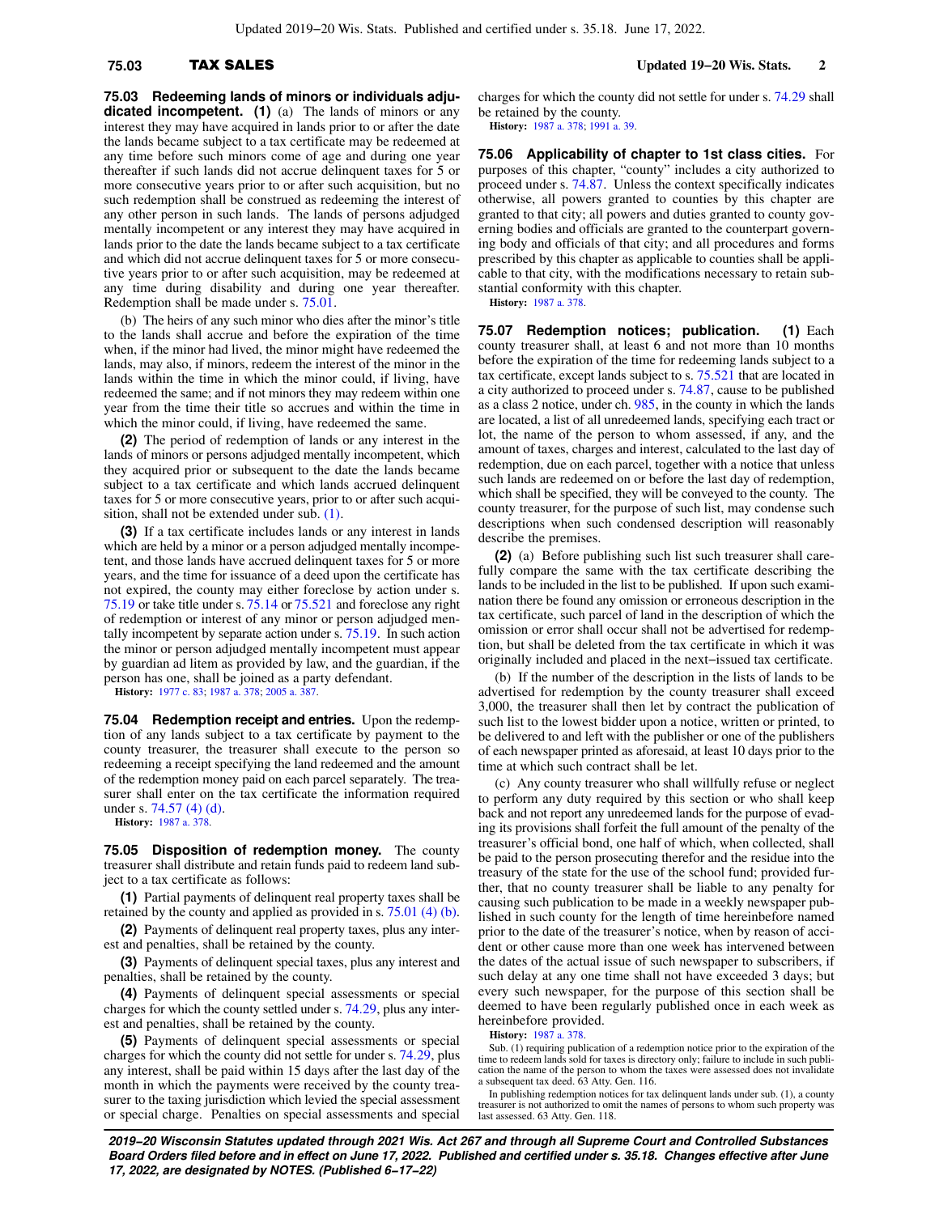**75.03 Redeeming lands of minors or individuals adjudicated incompetent. (1)** (a) The lands of minors or any interest they may have acquired in lands prior to or after the date the lands became subject to a tax certificate may be redeemed at any time before such minors come of age and during one year thereafter if such lands did not accrue delinquent taxes for 5 or more consecutive years prior to or after such acquisition, but no such redemption shall be construed as redeeming the interest of any other person in such lands. The lands of persons adjudged mentally incompetent or any interest they may have acquired in lands prior to the date the lands became subject to a tax certificate and which did not accrue delinquent taxes for 5 or more consecutive years prior to or after such acquisition, may be redeemed at any time during disability and during one year thereafter. Redemption shall be made under s. [75.01.](https://docs.legis.wisconsin.gov/document/statutes/75.01)

(b) The heirs of any such minor who dies after the minor's title to the lands shall accrue and before the expiration of the time when, if the minor had lived, the minor might have redeemed the lands, may also, if minors, redeem the interest of the minor in the lands within the time in which the minor could, if living, have redeemed the same; and if not minors they may redeem within one year from the time their title so accrues and within the time in which the minor could, if living, have redeemed the same.

**(2)** The period of redemption of lands or any interest in the lands of minors or persons adjudged mentally incompetent, which they acquired prior or subsequent to the date the lands became subject to a tax certificate and which lands accrued delinquent taxes for 5 or more consecutive years, prior to or after such acquisition, shall not be extended under sub. [\(1\).](https://docs.legis.wisconsin.gov/document/statutes/75.03(1))

**(3)** If a tax certificate includes lands or any interest in lands which are held by a minor or a person adjudged mentally incompetent, and those lands have accrued delinquent taxes for 5 or more years, and the time for issuance of a deed upon the certificate has not expired, the county may either foreclose by action under s. [75.19](https://docs.legis.wisconsin.gov/document/statutes/75.19) or take title under s. [75.14](https://docs.legis.wisconsin.gov/document/statutes/75.14) or [75.521](https://docs.legis.wisconsin.gov/document/statutes/75.521) and foreclose any right of redemption or interest of any minor or person adjudged mentally incompetent by separate action under s. [75.19.](https://docs.legis.wisconsin.gov/document/statutes/75.19) In such action the minor or person adjudged mentally incompetent must appear by guardian ad litem as provided by law, and the guardian, if the person has one, shall be joined as a party defendant.

**History:** [1977 c. 83;](https://docs.legis.wisconsin.gov/document/acts/1977/83) [1987 a. 378;](https://docs.legis.wisconsin.gov/document/acts/1987/378) [2005 a. 387](https://docs.legis.wisconsin.gov/document/acts/2005/387).

**75.04 Redemption receipt and entries.** Upon the redemption of any lands subject to a tax certificate by payment to the county treasurer, the treasurer shall execute to the person so redeeming a receipt specifying the land redeemed and the amount of the redemption money paid on each parcel separately. The treasurer shall enter on the tax certificate the information required under s. [74.57 \(4\) \(d\).](https://docs.legis.wisconsin.gov/document/statutes/74.57(4)(d))

**History:** [1987 a. 378](https://docs.legis.wisconsin.gov/document/acts/1987/378).

**75.05 Disposition of redemption money.** The county treasurer shall distribute and retain funds paid to redeem land subject to a tax certificate as follows:

**(1)** Partial payments of delinquent real property taxes shall be retained by the county and applied as provided in s. [75.01 \(4\) \(b\).](https://docs.legis.wisconsin.gov/document/statutes/75.01(4)(b))

**(2)** Payments of delinquent real property taxes, plus any interest and penalties, shall be retained by the county.

**(3)** Payments of delinquent special taxes, plus any interest and penalties, shall be retained by the county.

**(4)** Payments of delinquent special assessments or special charges for which the county settled under s. [74.29,](https://docs.legis.wisconsin.gov/document/statutes/74.29) plus any interest and penalties, shall be retained by the county.

**(5)** Payments of delinquent special assessments or special charges for which the county did not settle for under s. [74.29](https://docs.legis.wisconsin.gov/document/statutes/74.29), plus any interest, shall be paid within 15 days after the last day of the month in which the payments were received by the county treasurer to the taxing jurisdiction which levied the special assessment or special charge. Penalties on special assessments and special charges for which the county did not settle for under s. [74.29](https://docs.legis.wisconsin.gov/document/statutes/74.29) shall be retained by the county.

**History:** [1987 a. 378;](https://docs.legis.wisconsin.gov/document/acts/1987/378) [1991 a. 39.](https://docs.legis.wisconsin.gov/document/acts/1991/39)

**75.06 Applicability of chapter to 1st class cities.** For purposes of this chapter, "county" includes a city authorized to proceed under s. [74.87.](https://docs.legis.wisconsin.gov/document/statutes/74.87) Unless the context specifically indicates otherwise, all powers granted to counties by this chapter are granted to that city; all powers and duties granted to county governing bodies and officials are granted to the counterpart governing body and officials of that city; and all procedures and forms prescribed by this chapter as applicable to counties shall be applicable to that city, with the modifications necessary to retain substantial conformity with this chapter. **History:** [1987 a. 378.](https://docs.legis.wisconsin.gov/document/acts/1987/378)

**75.07 Redemption notices; publication. (1)** Each county treasurer shall, at least 6 and not more than 10 months before the expiration of the time for redeeming lands subject to a tax certificate, except lands subject to s. [75.521](https://docs.legis.wisconsin.gov/document/statutes/75.521) that are located in a city authorized to proceed under s. [74.87](https://docs.legis.wisconsin.gov/document/statutes/74.87), cause to be published as a class 2 notice, under ch. [985](https://docs.legis.wisconsin.gov/document/statutes/ch.%20985), in the county in which the lands are located, a list of all unredeemed lands, specifying each tract or lot, the name of the person to whom assessed, if any, and the amount of taxes, charges and interest, calculated to the last day of redemption, due on each parcel, together with a notice that unless such lands are redeemed on or before the last day of redemption, which shall be specified, they will be conveyed to the county. The county treasurer, for the purpose of such list, may condense such descriptions when such condensed description will reasonably describe the premises.

**(2)** (a) Before publishing such list such treasurer shall carefully compare the same with the tax certificate describing the lands to be included in the list to be published. If upon such examination there be found any omission or erroneous description in the tax certificate, such parcel of land in the description of which the omission or error shall occur shall not be advertised for redemption, but shall be deleted from the tax certificate in which it was originally included and placed in the next−issued tax certificate.

(b) If the number of the description in the lists of lands to be advertised for redemption by the county treasurer shall exceed 3,000, the treasurer shall then let by contract the publication of such list to the lowest bidder upon a notice, written or printed, to be delivered to and left with the publisher or one of the publishers of each newspaper printed as aforesaid, at least 10 days prior to the time at which such contract shall be let.

(c) Any county treasurer who shall willfully refuse or neglect to perform any duty required by this section or who shall keep back and not report any unredeemed lands for the purpose of evading its provisions shall forfeit the full amount of the penalty of the treasurer's official bond, one half of which, when collected, shall be paid to the person prosecuting therefor and the residue into the treasury of the state for the use of the school fund; provided further, that no county treasurer shall be liable to any penalty for causing such publication to be made in a weekly newspaper published in such county for the length of time hereinbefore named prior to the date of the treasurer's notice, when by reason of accident or other cause more than one week has intervened between the dates of the actual issue of such newspaper to subscribers, if such delay at any one time shall not have exceeded 3 days; but every such newspaper, for the purpose of this section shall be deemed to have been regularly published once in each week as hereinbefore provided.

### **History:** [1987 a. 378.](https://docs.legis.wisconsin.gov/document/acts/1987/378)

Sub. (1) requiring publication of a redemption notice prior to the expiration of the time to redeem lands sold for taxes is directory only; failure to include in such publication the name of the person to whom the taxes were assessed does not invalidate a subsequent tax deed. 63 Atty. Gen. 116.

In publishing redemption notices for tax delinquent lands under sub. (1), a county treasurer is not authorized to omit the names of persons to whom such property was last assessed. 63 Atty. Gen. 118.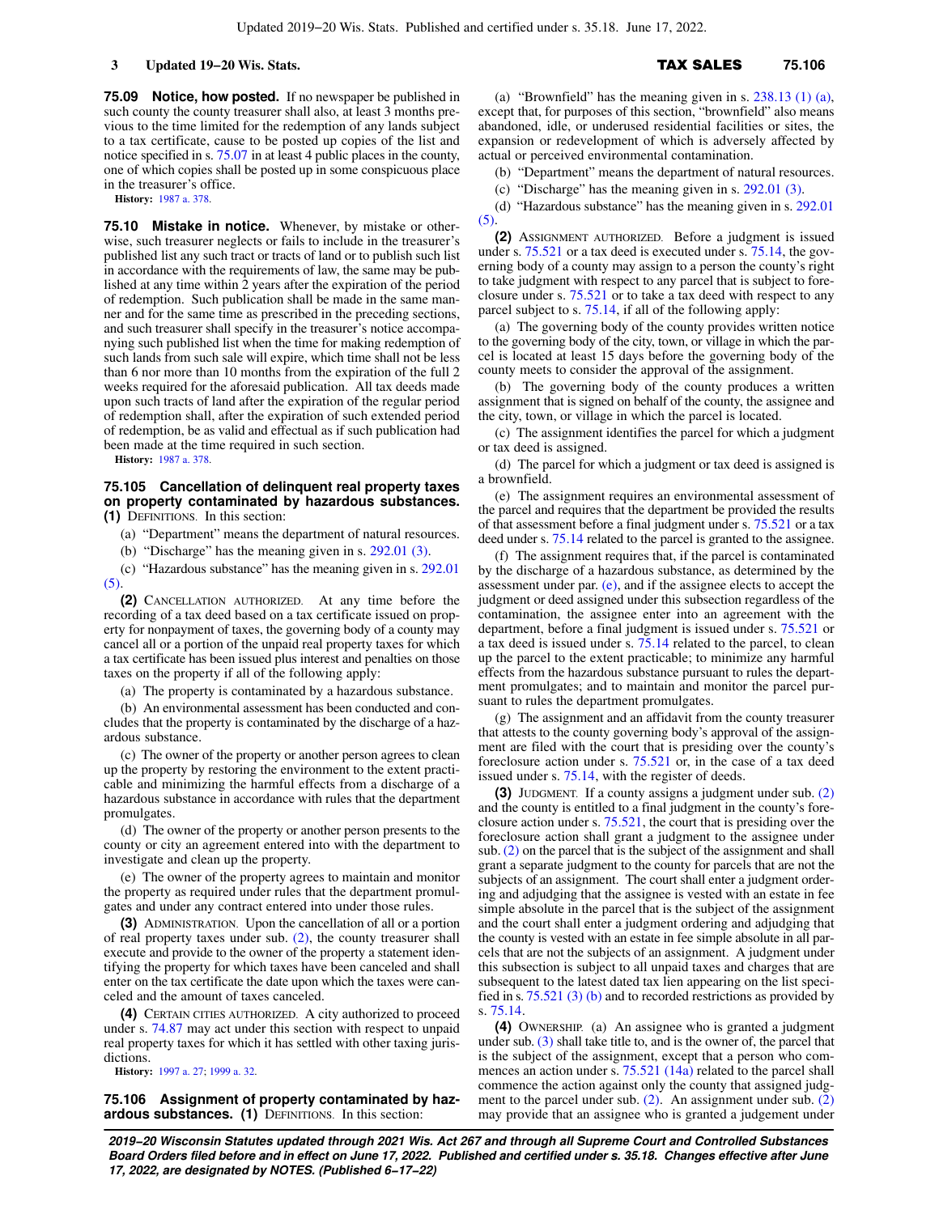**75.09 Notice, how posted.** If no newspaper be published in such county the county treasurer shall also, at least 3 months previous to the time limited for the redemption of any lands subject to a tax certificate, cause to be posted up copies of the list and notice specified in s. [75.07](https://docs.legis.wisconsin.gov/document/statutes/75.07) in at least 4 public places in the county, one of which copies shall be posted up in some conspicuous place in the treasurer's office.

**History:** [1987 a. 378](https://docs.legis.wisconsin.gov/document/acts/1987/378).

**75.10 Mistake in notice.** Whenever, by mistake or otherwise, such treasurer neglects or fails to include in the treasurer's published list any such tract or tracts of land or to publish such list in accordance with the requirements of law, the same may be published at any time within 2 years after the expiration of the period of redemption. Such publication shall be made in the same manner and for the same time as prescribed in the preceding sections, and such treasurer shall specify in the treasurer's notice accompanying such published list when the time for making redemption of such lands from such sale will expire, which time shall not be less than 6 nor more than 10 months from the expiration of the full 2 weeks required for the aforesaid publication. All tax deeds made upon such tracts of land after the expiration of the regular period of redemption shall, after the expiration of such extended period of redemption, be as valid and effectual as if such publication had been made at the time required in such section.

**History:** [1987 a. 378](https://docs.legis.wisconsin.gov/document/acts/1987/378).

### **75.105 Cancellation of delinquent real property taxes on property contaminated by hazardous substances. (1)** DEFINITIONS. In this section:

(a) "Department" means the department of natural resources.

(b) "Discharge" has the meaning given in s. [292.01 \(3\)](https://docs.legis.wisconsin.gov/document/statutes/292.01(3)).

(c) "Hazardous substance" has the meaning given in s. [292.01](https://docs.legis.wisconsin.gov/document/statutes/292.01(5)) [\(5\)](https://docs.legis.wisconsin.gov/document/statutes/292.01(5)).

**(2)** CANCELLATION AUTHORIZED. At any time before the recording of a tax deed based on a tax certificate issued on property for nonpayment of taxes, the governing body of a county may cancel all or a portion of the unpaid real property taxes for which a tax certificate has been issued plus interest and penalties on those taxes on the property if all of the following apply:

(a) The property is contaminated by a hazardous substance.

(b) An environmental assessment has been conducted and concludes that the property is contaminated by the discharge of a hazardous substance.

(c) The owner of the property or another person agrees to clean up the property by restoring the environment to the extent practicable and minimizing the harmful effects from a discharge of a hazardous substance in accordance with rules that the department promulgates.

(d) The owner of the property or another person presents to the county or city an agreement entered into with the department to investigate and clean up the property.

(e) The owner of the property agrees to maintain and monitor the property as required under rules that the department promulgates and under any contract entered into under those rules.

**(3)** ADMINISTRATION. Upon the cancellation of all or a portion of real property taxes under sub. [\(2\),](https://docs.legis.wisconsin.gov/document/statutes/75.105(2)) the county treasurer shall execute and provide to the owner of the property a statement identifying the property for which taxes have been canceled and shall enter on the tax certificate the date upon which the taxes were canceled and the amount of taxes canceled.

**(4)** CERTAIN CITIES AUTHORIZED. A city authorized to proceed under s. [74.87](https://docs.legis.wisconsin.gov/document/statutes/74.87) may act under this section with respect to unpaid real property taxes for which it has settled with other taxing jurisdictions.

**History:** [1997 a. 27;](https://docs.legis.wisconsin.gov/document/acts/1997/27) [1999 a. 32.](https://docs.legis.wisconsin.gov/document/acts/1999/32)

### **75.106 Assignment of property contaminated by hazardous substances. (1)** DEFINITIONS. In this section:

(a) "Brownfield" has the meaning given in s. [238.13 \(1\) \(a\),](https://docs.legis.wisconsin.gov/document/statutes/238.13(1)(a)) except that, for purposes of this section, "brownfield" also means abandoned, idle, or underused residential facilities or sites, the expansion or redevelopment of which is adversely affected by actual or perceived environmental contamination.

(b) "Department" means the department of natural resources.

(c) "Discharge" has the meaning given in s. [292.01 \(3\).](https://docs.legis.wisconsin.gov/document/statutes/292.01(3))

(d) "Hazardous substance" has the meaning given in s. [292.01](https://docs.legis.wisconsin.gov/document/statutes/292.01(5)) [\(5\).](https://docs.legis.wisconsin.gov/document/statutes/292.01(5))

**(2)** ASSIGNMENT AUTHORIZED. Before a judgment is issued under s. [75.521](https://docs.legis.wisconsin.gov/document/statutes/75.521) or a tax deed is executed under s. [75.14](https://docs.legis.wisconsin.gov/document/statutes/75.14), the governing body of a county may assign to a person the county's right to take judgment with respect to any parcel that is subject to foreclosure under s. [75.521](https://docs.legis.wisconsin.gov/document/statutes/75.521) or to take a tax deed with respect to any parcel subject to s. [75.14](https://docs.legis.wisconsin.gov/document/statutes/75.14), if all of the following apply:

(a) The governing body of the county provides written notice to the governing body of the city, town, or village in which the parcel is located at least 15 days before the governing body of the county meets to consider the approval of the assignment.

(b) The governing body of the county produces a written assignment that is signed on behalf of the county, the assignee and the city, town, or village in which the parcel is located.

(c) The assignment identifies the parcel for which a judgment or tax deed is assigned.

(d) The parcel for which a judgment or tax deed is assigned is a brownfield.

(e) The assignment requires an environmental assessment of the parcel and requires that the department be provided the results of that assessment before a final judgment under s. [75.521](https://docs.legis.wisconsin.gov/document/statutes/75.521) or a tax deed under s. [75.14](https://docs.legis.wisconsin.gov/document/statutes/75.14) related to the parcel is granted to the assignee.

(f) The assignment requires that, if the parcel is contaminated by the discharge of a hazardous substance, as determined by the assessment under par.  $(e)$ , and if the assignee elects to accept the judgment or deed assigned under this subsection regardless of the contamination, the assignee enter into an agreement with the department, before a final judgment is issued under s. [75.521](https://docs.legis.wisconsin.gov/document/statutes/75.521) or a tax deed is issued under s. [75.14](https://docs.legis.wisconsin.gov/document/statutes/75.14) related to the parcel, to clean up the parcel to the extent practicable; to minimize any harmful effects from the hazardous substance pursuant to rules the department promulgates; and to maintain and monitor the parcel pursuant to rules the department promulgates.

(g) The assignment and an affidavit from the county treasurer that attests to the county governing body's approval of the assignment are filed with the court that is presiding over the county's foreclosure action under s. [75.521](https://docs.legis.wisconsin.gov/document/statutes/75.521) or, in the case of a tax deed issued under s. [75.14](https://docs.legis.wisconsin.gov/document/statutes/75.14), with the register of deeds.

**(3)** JUDGMENT. If a county assigns a judgment under sub. [\(2\)](https://docs.legis.wisconsin.gov/document/statutes/75.106(2)) and the county is entitled to a final judgment in the county's foreclosure action under s. [75.521](https://docs.legis.wisconsin.gov/document/statutes/75.521), the court that is presiding over the foreclosure action shall grant a judgment to the assignee under sub. [\(2\)](https://docs.legis.wisconsin.gov/document/statutes/75.106(2)) on the parcel that is the subject of the assignment and shall grant a separate judgment to the county for parcels that are not the subjects of an assignment. The court shall enter a judgment ordering and adjudging that the assignee is vested with an estate in fee simple absolute in the parcel that is the subject of the assignment and the court shall enter a judgment ordering and adjudging that the county is vested with an estate in fee simple absolute in all parcels that are not the subjects of an assignment. A judgment under this subsection is subject to all unpaid taxes and charges that are subsequent to the latest dated tax lien appearing on the list specified in s. [75.521 \(3\) \(b\)](https://docs.legis.wisconsin.gov/document/statutes/75.521(3)(b)) and to recorded restrictions as provided by s. [75.14](https://docs.legis.wisconsin.gov/document/statutes/75.14).

**(4)** OWNERSHIP. (a) An assignee who is granted a judgment under sub. [\(3\)](https://docs.legis.wisconsin.gov/document/statutes/75.106(3)) shall take title to, and is the owner of, the parcel that is the subject of the assignment, except that a person who commences an action under s. [75.521 \(14a\)](https://docs.legis.wisconsin.gov/document/statutes/75.521(14a)) related to the parcel shall commence the action against only the county that assigned judgment to the parcel under sub.  $(2)$ . An assignment under sub.  $(2)$ may provide that an assignee who is granted a judgement under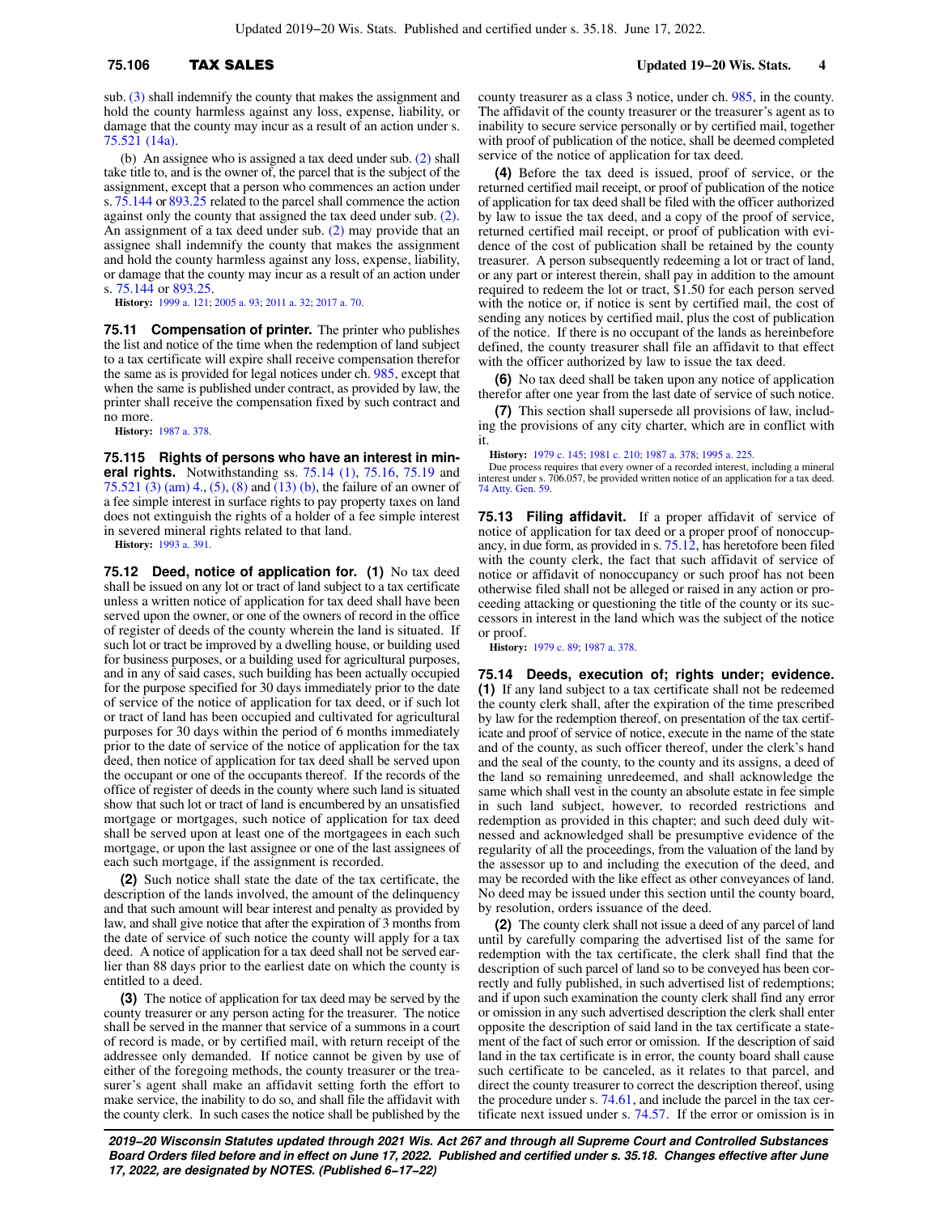sub. [\(3\)](https://docs.legis.wisconsin.gov/document/statutes/75.106(3)) shall indemnify the county that makes the assignment and hold the county harmless against any loss, expense, liability, or damage that the county may incur as a result of an action under s. [75.521 \(14a\)](https://docs.legis.wisconsin.gov/document/statutes/75.521(14a)).

(b) An assignee who is assigned a tax deed under sub. [\(2\)](https://docs.legis.wisconsin.gov/document/statutes/75.106(2)) shall take title to, and is the owner of, the parcel that is the subject of the assignment, except that a person who commences an action under s.  $75.144$  or  $893.25$  related to the parcel shall commence the action against only the county that assigned the tax deed under sub. [\(2\).](https://docs.legis.wisconsin.gov/document/statutes/75.106(2)) An assignment of a tax deed under sub. [\(2\)](https://docs.legis.wisconsin.gov/document/statutes/75.106(2)) may provide that an assignee shall indemnify the county that makes the assignment and hold the county harmless against any loss, expense, liability, or damage that the county may incur as a result of an action under s. [75.144](https://docs.legis.wisconsin.gov/document/statutes/75.144) or [893.25.](https://docs.legis.wisconsin.gov/document/statutes/893.25)

**History:** [1999 a. 121](https://docs.legis.wisconsin.gov/document/acts/1999/121); [2005 a. 93;](https://docs.legis.wisconsin.gov/document/acts/2005/93) [2011 a. 32](https://docs.legis.wisconsin.gov/document/acts/2011/32); [2017 a. 70.](https://docs.legis.wisconsin.gov/document/acts/2017/70)

**75.11 Compensation of printer.** The printer who publishes the list and notice of the time when the redemption of land subject to a tax certificate will expire shall receive compensation therefor the same as is provided for legal notices under ch. [985](https://docs.legis.wisconsin.gov/document/statutes/ch.%20985), except that when the same is published under contract, as provided by law, the printer shall receive the compensation fixed by such contract and no more.

**History:** [1987 a. 378](https://docs.legis.wisconsin.gov/document/acts/1987/378).

**75.115 Rights of persons who have an interest in mineral rights.** Notwithstanding ss. [75.14 \(1\),](https://docs.legis.wisconsin.gov/document/statutes/75.14(1)) [75.16,](https://docs.legis.wisconsin.gov/document/statutes/75.16) [75.19](https://docs.legis.wisconsin.gov/document/statutes/75.19) and [75.521 \(3\) \(am\) 4.,](https://docs.legis.wisconsin.gov/document/statutes/75.521(3)(am)4.) [\(5\)](https://docs.legis.wisconsin.gov/document/statutes/75.521(5)), [\(8\)](https://docs.legis.wisconsin.gov/document/statutes/75.521(8)) and [\(13\) \(b\),](https://docs.legis.wisconsin.gov/document/statutes/75.521(13)(b)) the failure of an owner of a fee simple interest in surface rights to pay property taxes on land does not extinguish the rights of a holder of a fee simple interest in severed mineral rights related to that land.

**History:** [1993 a. 391](https://docs.legis.wisconsin.gov/document/acts/1993/391).

**75.12 Deed, notice of application for. (1)** No tax deed shall be issued on any lot or tract of land subject to a tax certificate unless a written notice of application for tax deed shall have been served upon the owner, or one of the owners of record in the office of register of deeds of the county wherein the land is situated. If such lot or tract be improved by a dwelling house, or building used for business purposes, or a building used for agricultural purposes, and in any of said cases, such building has been actually occupied for the purpose specified for 30 days immediately prior to the date of service of the notice of application for tax deed, or if such lot or tract of land has been occupied and cultivated for agricultural purposes for 30 days within the period of 6 months immediately prior to the date of service of the notice of application for the tax deed, then notice of application for tax deed shall be served upon the occupant or one of the occupants thereof. If the records of the office of register of deeds in the county where such land is situated show that such lot or tract of land is encumbered by an unsatisfied mortgage or mortgages, such notice of application for tax deed shall be served upon at least one of the mortgagees in each such mortgage, or upon the last assignee or one of the last assignees of each such mortgage, if the assignment is recorded.

**(2)** Such notice shall state the date of the tax certificate, the description of the lands involved, the amount of the delinquency and that such amount will bear interest and penalty as provided by law, and shall give notice that after the expiration of 3 months from the date of service of such notice the county will apply for a tax deed. A notice of application for a tax deed shall not be served earlier than 88 days prior to the earliest date on which the county is entitled to a deed.

**(3)** The notice of application for tax deed may be served by the county treasurer or any person acting for the treasurer. The notice shall be served in the manner that service of a summons in a court of record is made, or by certified mail, with return receipt of the addressee only demanded. If notice cannot be given by use of either of the foregoing methods, the county treasurer or the treasurer's agent shall make an affidavit setting forth the effort to make service, the inability to do so, and shall file the affidavit with the county clerk. In such cases the notice shall be published by the

county treasurer as a class 3 notice, under ch. [985](https://docs.legis.wisconsin.gov/document/statutes/ch.%20985), in the county. The affidavit of the county treasurer or the treasurer's agent as to inability to secure service personally or by certified mail, together with proof of publication of the notice, shall be deemed completed service of the notice of application for tax deed.

**(4)** Before the tax deed is issued, proof of service, or the returned certified mail receipt, or proof of publication of the notice of application for tax deed shall be filed with the officer authorized by law to issue the tax deed, and a copy of the proof of service, returned certified mail receipt, or proof of publication with evidence of the cost of publication shall be retained by the county treasurer. A person subsequently redeeming a lot or tract of land, or any part or interest therein, shall pay in addition to the amount required to redeem the lot or tract, \$1.50 for each person served with the notice or, if notice is sent by certified mail, the cost of sending any notices by certified mail, plus the cost of publication of the notice. If there is no occupant of the lands as hereinbefore defined, the county treasurer shall file an affidavit to that effect with the officer authorized by law to issue the tax deed.

**(6)** No tax deed shall be taken upon any notice of application therefor after one year from the last date of service of such notice.

**(7)** This section shall supersede all provisions of law, including the provisions of any city charter, which are in conflict with it.

**History:** [1979 c. 145;](https://docs.legis.wisconsin.gov/document/acts/1979/145) [1981 c. 210](https://docs.legis.wisconsin.gov/document/acts/1981/210); [1987 a. 378;](https://docs.legis.wisconsin.gov/document/acts/1987/378) [1995 a. 225.](https://docs.legis.wisconsin.gov/document/acts/1995/225)

Due process requires that every owner of a recorded interest, including a mineral interest under s. 706.057, be provided written notice of an application for a tax deed. [74 Atty. Gen. 59](https://docs.legis.wisconsin.gov/document/oag/vol74-59).

**75.13 Filing affidavit.** If a proper affidavit of service of notice of application for tax deed or a proper proof of nonoccupancy, in due form, as provided in s. [75.12,](https://docs.legis.wisconsin.gov/document/statutes/75.12) has heretofore been filed with the county clerk, the fact that such affidavit of service of notice or affidavit of nonoccupancy or such proof has not been otherwise filed shall not be alleged or raised in any action or proceeding attacking or questioning the title of the county or its successors in interest in the land which was the subject of the notice or proof.

**History:** [1979 c. 89](https://docs.legis.wisconsin.gov/document/acts/1979/89); [1987 a. 378.](https://docs.legis.wisconsin.gov/document/acts/1987/378)

**75.14 Deeds, execution of; rights under; evidence. (1)** If any land subject to a tax certificate shall not be redeemed the county clerk shall, after the expiration of the time prescribed by law for the redemption thereof, on presentation of the tax certificate and proof of service of notice, execute in the name of the state and of the county, as such officer thereof, under the clerk's hand and the seal of the county, to the county and its assigns, a deed of the land so remaining unredeemed, and shall acknowledge the same which shall vest in the county an absolute estate in fee simple in such land subject, however, to recorded restrictions and redemption as provided in this chapter; and such deed duly witnessed and acknowledged shall be presumptive evidence of the regularity of all the proceedings, from the valuation of the land by the assessor up to and including the execution of the deed, and may be recorded with the like effect as other conveyances of land. No deed may be issued under this section until the county board, by resolution, orders issuance of the deed.

**(2)** The county clerk shall not issue a deed of any parcel of land until by carefully comparing the advertised list of the same for redemption with the tax certificate, the clerk shall find that the description of such parcel of land so to be conveyed has been correctly and fully published, in such advertised list of redemptions; and if upon such examination the county clerk shall find any error or omission in any such advertised description the clerk shall enter opposite the description of said land in the tax certificate a statement of the fact of such error or omission. If the description of said land in the tax certificate is in error, the county board shall cause such certificate to be canceled, as it relates to that parcel, and direct the county treasurer to correct the description thereof, using the procedure under s. [74.61,](https://docs.legis.wisconsin.gov/document/statutes/74.61) and include the parcel in the tax certificate next issued under s. [74.57](https://docs.legis.wisconsin.gov/document/statutes/74.57). If the error or omission is in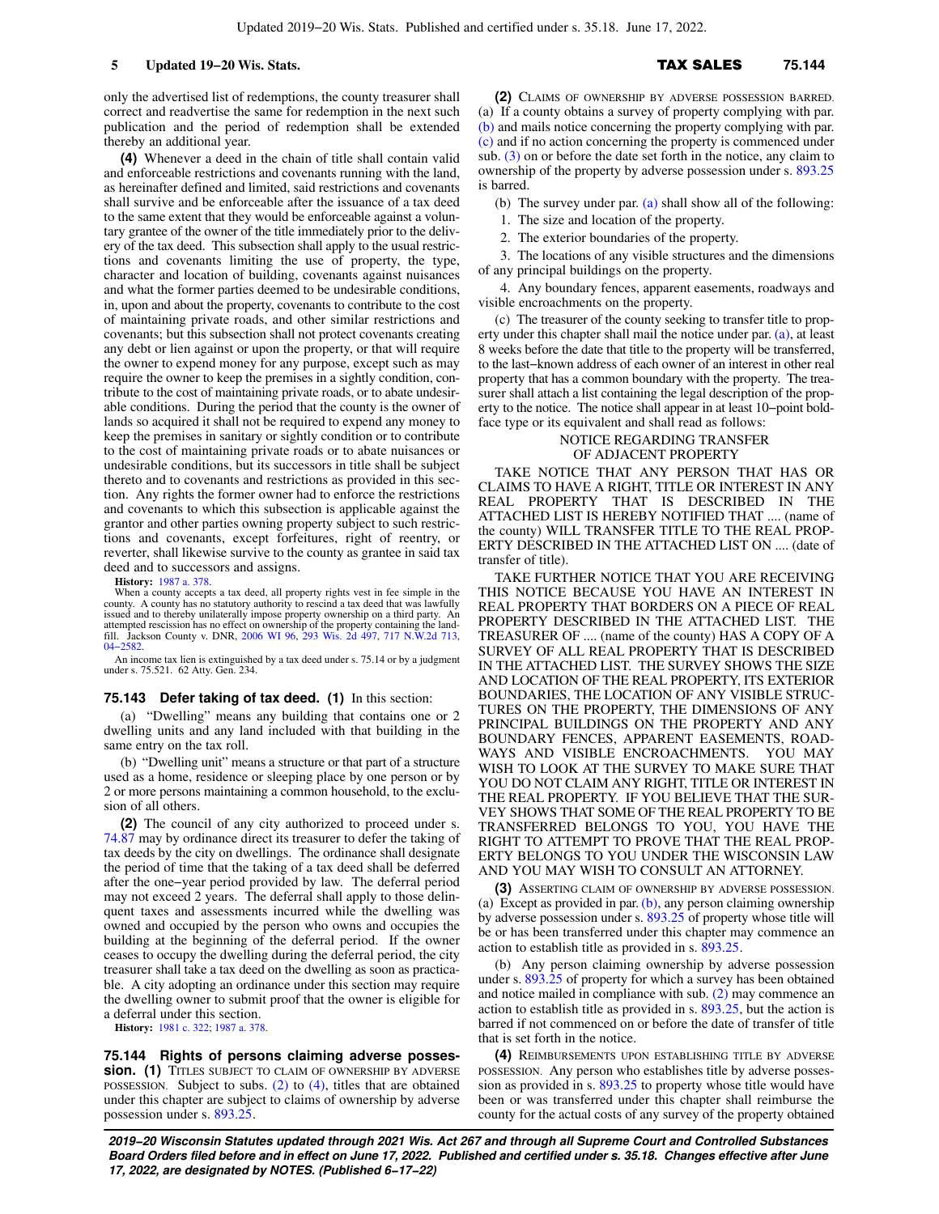is barred.

only the advertised list of redemptions, the county treasurer shall correct and readvertise the same for redemption in the next such publication and the period of redemption shall be extended thereby an additional year.

**(4)** Whenever a deed in the chain of title shall contain valid and enforceable restrictions and covenants running with the land, as hereinafter defined and limited, said restrictions and covenants shall survive and be enforceable after the issuance of a tax deed to the same extent that they would be enforceable against a voluntary grantee of the owner of the title immediately prior to the delivery of the tax deed. This subsection shall apply to the usual restrictions and covenants limiting the use of property, the type, character and location of building, covenants against nuisances and what the former parties deemed to be undesirable conditions, in, upon and about the property, covenants to contribute to the cost of maintaining private roads, and other similar restrictions and covenants; but this subsection shall not protect covenants creating any debt or lien against or upon the property, or that will require the owner to expend money for any purpose, except such as may require the owner to keep the premises in a sightly condition, contribute to the cost of maintaining private roads, or to abate undesirable conditions. During the period that the county is the owner of lands so acquired it shall not be required to expend any money to keep the premises in sanitary or sightly condition or to contribute to the cost of maintaining private roads or to abate nuisances or undesirable conditions, but its successors in title shall be subject thereto and to covenants and restrictions as provided in this section. Any rights the former owner had to enforce the restrictions and covenants to which this subsection is applicable against the grantor and other parties owning property subject to such restrictions and covenants, except forfeitures, right of reentry, or reverter, shall likewise survive to the county as grantee in said tax deed and to successors and assigns.

**History:** [1987 a. 378](https://docs.legis.wisconsin.gov/document/acts/1987/378).

When a county accepts a tax deed, all property rights vest in fee simple in the county. A county has no statutory authority to rescind a tax deed that was lawfully issued and to thereby unilaterally impose property ownership on a third party. An attempted rescission has no effect on ownership of the property containing the landattempted rescission has no effect on ownership of the property containing the land-fill. Jackson County v. DNR, [2006 WI 96,](https://docs.legis.wisconsin.gov/document/courts/2006%20WI%2096) [293 Wis. 2d 497,](https://docs.legis.wisconsin.gov/document/courts/293%20Wis.%202d%20497) [717 N.W.2d 713](https://docs.legis.wisconsin.gov/document/courts/717%20N.W.2d%20713), [04−2582](https://docs.legis.wisconsin.gov/document/wisupremecourt/04-2582).

An income tax lien is extinguished by a tax deed under s. 75.14 or by a judgment under s. 75.521. 62 Atty. Gen. 234.

### **75.143 Defer taking of tax deed. (1)** In this section:

(a) "Dwelling" means any building that contains one or 2 dwelling units and any land included with that building in the same entry on the tax roll.

(b) "Dwelling unit" means a structure or that part of a structure used as a home, residence or sleeping place by one person or by 2 or more persons maintaining a common household, to the exclusion of all others.

**(2)** The council of any city authorized to proceed under s. [74.87](https://docs.legis.wisconsin.gov/document/statutes/74.87) may by ordinance direct its treasurer to defer the taking of tax deeds by the city on dwellings. The ordinance shall designate the period of time that the taking of a tax deed shall be deferred after the one−year period provided by law. The deferral period may not exceed 2 years. The deferral shall apply to those delinquent taxes and assessments incurred while the dwelling was owned and occupied by the person who owns and occupies the building at the beginning of the deferral period. If the owner ceases to occupy the dwelling during the deferral period, the city treasurer shall take a tax deed on the dwelling as soon as practicable. A city adopting an ordinance under this section may require the dwelling owner to submit proof that the owner is eligible for a deferral under this section.

**History:** [1981 c. 322](https://docs.legis.wisconsin.gov/document/acts/1981/322); [1987 a. 378](https://docs.legis.wisconsin.gov/document/acts/1987/378).

**75.144 Rights of persons claiming adverse possession.** (1) TITLES SUBJECT TO CLAIM OF OWNERSHIP BY ADVERSE POSSESSION. Subject to subs. [\(2\)](https://docs.legis.wisconsin.gov/document/statutes/75.144(2)) to [\(4\)](https://docs.legis.wisconsin.gov/document/statutes/75.144(4)), titles that are obtained under this chapter are subject to claims of ownership by adverse possession under s. [893.25.](https://docs.legis.wisconsin.gov/document/statutes/893.25)

**(2)** CLAIMS OF OWNERSHIP BY ADVERSE POSSESSION BARRED. (a) If a county obtains a survey of property complying with par. [\(b\)](https://docs.legis.wisconsin.gov/document/statutes/75.144(2)(b)) and mails notice concerning the property complying with par. [\(c\)](https://docs.legis.wisconsin.gov/document/statutes/75.144(2)(c)) and if no action concerning the property is commenced under sub.  $(3)$  on or before the date set forth in the notice, any claim to ownership of the property by adverse possession under s. [893.25](https://docs.legis.wisconsin.gov/document/statutes/893.25)

(b) The survey under par. [\(a\)](https://docs.legis.wisconsin.gov/document/statutes/75.144(2)(a)) shall show all of the following:

1. The size and location of the property.

2. The exterior boundaries of the property.

3. The locations of any visible structures and the dimensions of any principal buildings on the property.

4. Any boundary fences, apparent easements, roadways and visible encroachments on the property.

(c) The treasurer of the county seeking to transfer title to property under this chapter shall mail the notice under par. [\(a\)](https://docs.legis.wisconsin.gov/document/statutes/75.144(2)(a)), at least 8 weeks before the date that title to the property will be transferred, to the last−known address of each owner of an interest in other real property that has a common boundary with the property. The treasurer shall attach a list containing the legal description of the property to the notice. The notice shall appear in at least 10−point boldface type or its equivalent and shall read as follows:

### NOTICE REGARDING TRANSFER OF ADJACENT PROPERTY

TAKE NOTICE THAT ANY PERSON THAT HAS OR CLAIMS TO HAVE A RIGHT, TITLE OR INTEREST IN ANY REAL PROPERTY THAT IS DESCRIBED IN THE ATTACHED LIST IS HEREBY NOTIFIED THAT .... (name of the county) WILL TRANSFER TITLE TO THE REAL PROP-ERTY DESCRIBED IN THE ATTACHED LIST ON .... (date of transfer of title).

TAKE FURTHER NOTICE THAT YOU ARE RECEIVING THIS NOTICE BECAUSE YOU HAVE AN INTEREST IN REAL PROPERTY THAT BORDERS ON A PIECE OF REAL PROPERTY DESCRIBED IN THE ATTACHED LIST. THE TREASURER OF .... (name of the county) HAS A COPY OF A SURVEY OF ALL REAL PROPERTY THAT IS DESCRIBED IN THE ATTACHED LIST. THE SURVEY SHOWS THE SIZE AND LOCATION OF THE REAL PROPERTY, ITS EXTERIOR BOUNDARIES, THE LOCATION OF ANY VISIBLE STRUC-TURES ON THE PROPERTY, THE DIMENSIONS OF ANY PRINCIPAL BUILDINGS ON THE PROPERTY AND ANY BOUNDARY FENCES, APPARENT EASEMENTS, ROAD-WAYS AND VISIBLE ENCROACHMENTS. YOU MAY WISH TO LOOK AT THE SURVEY TO MAKE SURE THAT YOU DO NOT CLAIM ANY RIGHT, TITLE OR INTEREST IN THE REAL PROPERTY. IF YOU BELIEVE THAT THE SUR-VEY SHOWS THAT SOME OF THE REAL PROPERTY TO BE TRANSFERRED BELONGS TO YOU, YOU HAVE THE RIGHT TO ATTEMPT TO PROVE THAT THE REAL PROP-ERTY BELONGS TO YOU UNDER THE WISCONSIN LAW AND YOU MAY WISH TO CONSULT AN ATTORNEY.

**(3)** ASSERTING CLAIM OF OWNERSHIP BY ADVERSE POSSESSION. (a) Except as provided in par.  $(b)$ , any person claiming ownership by adverse possession under s. [893.25](https://docs.legis.wisconsin.gov/document/statutes/893.25) of property whose title will be or has been transferred under this chapter may commence an action to establish title as provided in s. [893.25](https://docs.legis.wisconsin.gov/document/statutes/893.25).

(b) Any person claiming ownership by adverse possession under s. [893.25](https://docs.legis.wisconsin.gov/document/statutes/893.25) of property for which a survey has been obtained and notice mailed in compliance with sub. [\(2\)](https://docs.legis.wisconsin.gov/document/statutes/75.144(2)) may commence an action to establish title as provided in s. [893.25](https://docs.legis.wisconsin.gov/document/statutes/893.25), but the action is barred if not commenced on or before the date of transfer of title that is set forth in the notice.

**(4)** REIMBURSEMENTS UPON ESTABLISHING TITLE BY ADVERSE POSSESSION. Any person who establishes title by adverse possession as provided in s. [893.25](https://docs.legis.wisconsin.gov/document/statutes/893.25) to property whose title would have been or was transferred under this chapter shall reimburse the county for the actual costs of any survey of the property obtained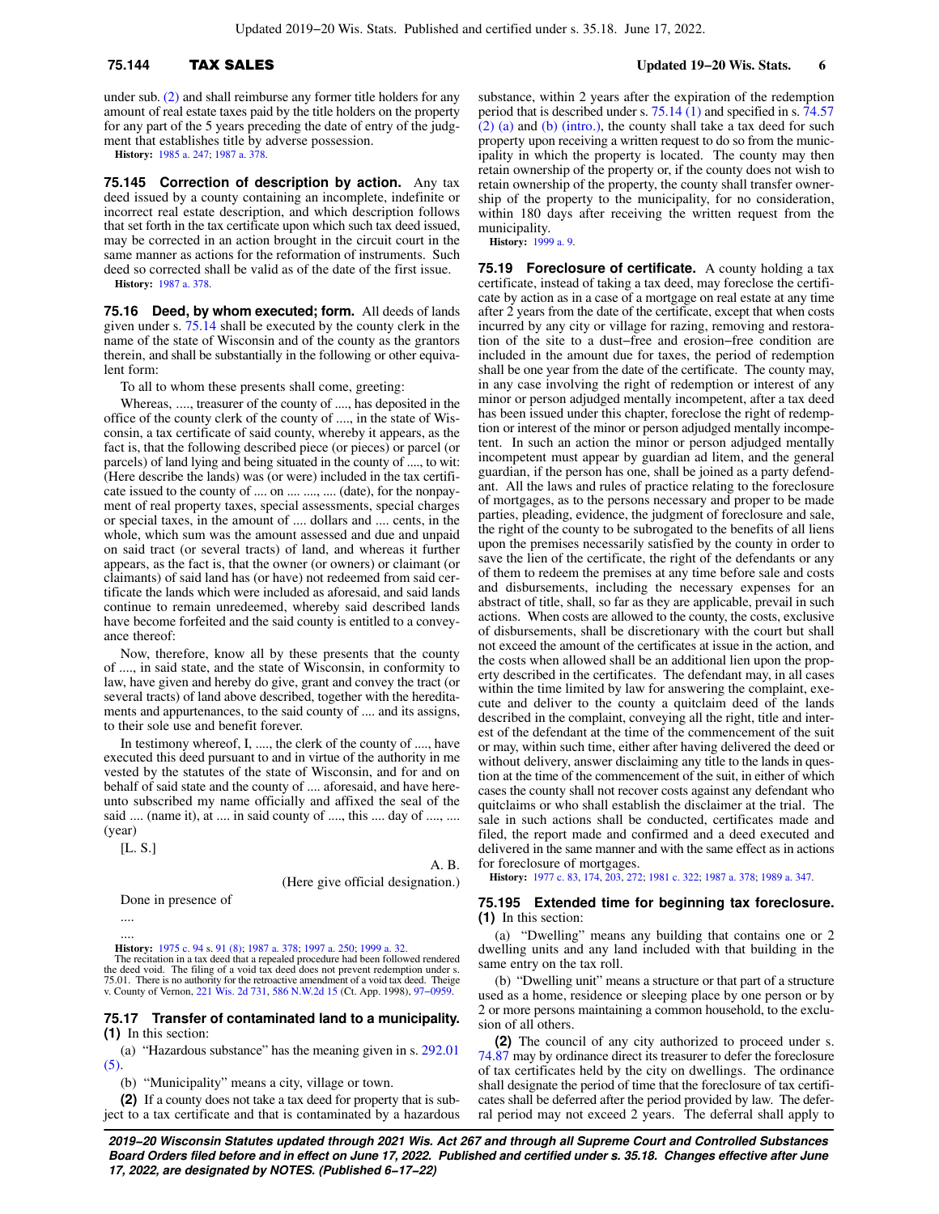under sub. [\(2\)](https://docs.legis.wisconsin.gov/document/statutes/75.144(2)) and shall reimburse any former title holders for any amount of real estate taxes paid by the title holders on the property for any part of the 5 years preceding the date of entry of the judgment that establishes title by adverse possession.

**History:** [1985 a. 247](https://docs.legis.wisconsin.gov/document/acts/1985/247); [1987 a. 378](https://docs.legis.wisconsin.gov/document/acts/1987/378).

**75.145 Correction of description by action.** Any tax deed issued by a county containing an incomplete, indefinite or incorrect real estate description, and which description follows that set forth in the tax certificate upon which such tax deed issued, may be corrected in an action brought in the circuit court in the same manner as actions for the reformation of instruments. Such deed so corrected shall be valid as of the date of the first issue.

**History:** [1987 a. 378](https://docs.legis.wisconsin.gov/document/acts/1987/378).

**75.16 Deed, by whom executed; form.** All deeds of lands given under s. [75.14](https://docs.legis.wisconsin.gov/document/statutes/75.14) shall be executed by the county clerk in the name of the state of Wisconsin and of the county as the grantors therein, and shall be substantially in the following or other equivalent form:

To all to whom these presents shall come, greeting:

Whereas, ...., treasurer of the county of ...., has deposited in the office of the county clerk of the county of ...., in the state of Wisconsin, a tax certificate of said county, whereby it appears, as the fact is, that the following described piece (or pieces) or parcel (or parcels) of land lying and being situated in the county of ...., to wit: (Here describe the lands) was (or were) included in the tax certificate issued to the county of .... on .... ...., .... (date), for the nonpayment of real property taxes, special assessments, special charges or special taxes, in the amount of .... dollars and .... cents, in the whole, which sum was the amount assessed and due and unpaid on said tract (or several tracts) of land, and whereas it further appears, as the fact is, that the owner (or owners) or claimant (or claimants) of said land has (or have) not redeemed from said certificate the lands which were included as aforesaid, and said lands continue to remain unredeemed, whereby said described lands have become forfeited and the said county is entitled to a conveyance thereof:

Now, therefore, know all by these presents that the county of ...., in said state, and the state of Wisconsin, in conformity to law, have given and hereby do give, grant and convey the tract (or several tracts) of land above described, together with the hereditaments and appurtenances, to the said county of .... and its assigns, to their sole use and benefit forever.

In testimony whereof, I, ...., the clerk of the county of ...., have executed this deed pursuant to and in virtue of the authority in me vested by the statutes of the state of Wisconsin, and for and on behalf of said state and the county of .... aforesaid, and have hereunto subscribed my name officially and affixed the seal of the said .... (name it), at .... in said county of ...., this .... day of ...., .... (year)

[L. S.]

A. B.

(Here give official designation.)

Done in presence of

....

.... **History:** [1975 c. 94](https://docs.legis.wisconsin.gov/document/acts/1975/94) s. [91 \(8\);](https://docs.legis.wisconsin.gov/document/acts/1975/94,%20s.%2091) [1987 a. 378](https://docs.legis.wisconsin.gov/document/acts/1987/378); [1997 a. 250](https://docs.legis.wisconsin.gov/document/acts/1997/250); [1999 a. 32](https://docs.legis.wisconsin.gov/document/acts/1999/32).

The recitation in a tax deed that a repealed procedure had been followed rendered the deed void. The filing of a void tax deed does not prevent redemption under s. 75.01. There is no authority for the retroactive amendment of a void tax deed. Theige v. County of Vernon, [221 Wis. 2d 731](https://docs.legis.wisconsin.gov/document/courts/221%20Wis.%202d%20731), [586 N.W.2d 15](https://docs.legis.wisconsin.gov/document/courts/586%20N.W.2d%2015) (Ct. App. 1998), [97−0959.](https://docs.legis.wisconsin.gov/document/wicourtofappeals/97-0959)

### **75.17 Transfer of contaminated land to a municipality. (1)** In this section:

(a) "Hazardous substance" has the meaning given in s. [292.01](https://docs.legis.wisconsin.gov/document/statutes/292.01(5)) [\(5\)](https://docs.legis.wisconsin.gov/document/statutes/292.01(5)).

(b) "Municipality" means a city, village or town.

**(2)** If a county does not take a tax deed for property that is subject to a tax certificate and that is contaminated by a hazardous

substance, within 2 years after the expiration of the redemption period that is described under s. [75.14 \(1\)](https://docs.legis.wisconsin.gov/document/statutes/75.14(1)) and specified in s. [74.57](https://docs.legis.wisconsin.gov/document/statutes/74.57(2)(a)) [\(2\) \(a\)](https://docs.legis.wisconsin.gov/document/statutes/74.57(2)(a)) and [\(b\) \(intro.\),](https://docs.legis.wisconsin.gov/document/statutes/74.57(2)(b)(intro.)) the county shall take a tax deed for such property upon receiving a written request to do so from the municipality in which the property is located. The county may then retain ownership of the property or, if the county does not wish to retain ownership of the property, the county shall transfer ownership of the property to the municipality, for no consideration, within 180 days after receiving the written request from the municipality.

**History:** [1999 a. 9.](https://docs.legis.wisconsin.gov/document/acts/1999/9)

**75.19 Foreclosure of certificate.** A county holding a tax certificate, instead of taking a tax deed, may foreclose the certificate by action as in a case of a mortgage on real estate at any time after 2 years from the date of the certificate, except that when costs incurred by any city or village for razing, removing and restoration of the site to a dust−free and erosion−free condition are included in the amount due for taxes, the period of redemption shall be one year from the date of the certificate. The county may, in any case involving the right of redemption or interest of any minor or person adjudged mentally incompetent, after a tax deed has been issued under this chapter, foreclose the right of redemption or interest of the minor or person adjudged mentally incompetent. In such an action the minor or person adjudged mentally incompetent must appear by guardian ad litem, and the general guardian, if the person has one, shall be joined as a party defendant. All the laws and rules of practice relating to the foreclosure of mortgages, as to the persons necessary and proper to be made parties, pleading, evidence, the judgment of foreclosure and sale, the right of the county to be subrogated to the benefits of all liens upon the premises necessarily satisfied by the county in order to save the lien of the certificate, the right of the defendants or any of them to redeem the premises at any time before sale and costs and disbursements, including the necessary expenses for an abstract of title, shall, so far as they are applicable, prevail in such actions. When costs are allowed to the county, the costs, exclusive of disbursements, shall be discretionary with the court but shall not exceed the amount of the certificates at issue in the action, and the costs when allowed shall be an additional lien upon the property described in the certificates. The defendant may, in all cases within the time limited by law for answering the complaint, execute and deliver to the county a quitclaim deed of the lands described in the complaint, conveying all the right, title and interest of the defendant at the time of the commencement of the suit or may, within such time, either after having delivered the deed or without delivery, answer disclaiming any title to the lands in question at the time of the commencement of the suit, in either of which cases the county shall not recover costs against any defendant who quitclaims or who shall establish the disclaimer at the trial. The sale in such actions shall be conducted, certificates made and filed, the report made and confirmed and a deed executed and delivered in the same manner and with the same effect as in actions for foreclosure of mortgages.

**History:** [1977 c. 83](https://docs.legis.wisconsin.gov/document/acts/1977/83), [174](https://docs.legis.wisconsin.gov/document/acts/1977/174), [203](https://docs.legis.wisconsin.gov/document/acts/1977/203), [272](https://docs.legis.wisconsin.gov/document/acts/1977/272); [1981 c. 322;](https://docs.legis.wisconsin.gov/document/acts/1981/322) [1987 a. 378;](https://docs.legis.wisconsin.gov/document/acts/1987/378) [1989 a. 347](https://docs.legis.wisconsin.gov/document/acts/1989/347).

### **75.195 Extended time for beginning tax foreclosure. (1)** In this section:

(a) "Dwelling" means any building that contains one or 2 dwelling units and any land included with that building in the same entry on the tax roll.

(b) "Dwelling unit" means a structure or that part of a structure used as a home, residence or sleeping place by one person or by 2 or more persons maintaining a common household, to the exclusion of all others.

**(2)** The council of any city authorized to proceed under s. [74.87](https://docs.legis.wisconsin.gov/document/statutes/74.87) may by ordinance direct its treasurer to defer the foreclosure of tax certificates held by the city on dwellings. The ordinance shall designate the period of time that the foreclosure of tax certificates shall be deferred after the period provided by law. The deferral period may not exceed 2 years. The deferral shall apply to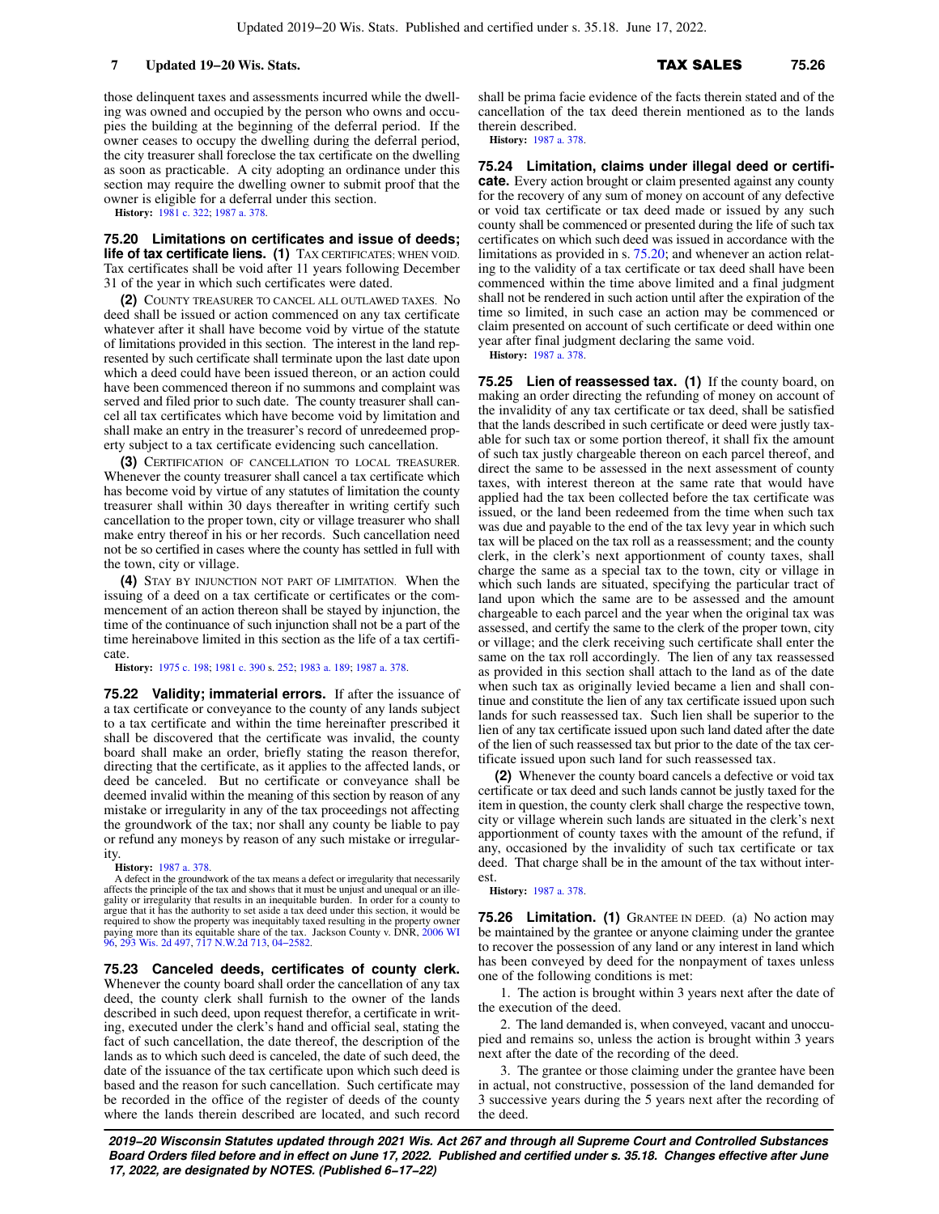those delinquent taxes and assessments incurred while the dwelling was owned and occupied by the person who owns and occupies the building at the beginning of the deferral period. If the owner ceases to occupy the dwelling during the deferral period, the city treasurer shall foreclose the tax certificate on the dwelling as soon as practicable. A city adopting an ordinance under this section may require the dwelling owner to submit proof that the owner is eligible for a deferral under this section.

**History:** [1981 c. 322](https://docs.legis.wisconsin.gov/document/acts/1981/322); [1987 a. 378](https://docs.legis.wisconsin.gov/document/acts/1987/378).

**75.20 Limitations on certificates and issue of deeds; life of tax certificate liens. (1)** TAX CERTIFICATES; WHEN VOID. Tax certificates shall be void after 11 years following December 31 of the year in which such certificates were dated.

**(2)** COUNTY TREASURER TO CANCEL ALL OUTLAWED TAXES. No deed shall be issued or action commenced on any tax certificate whatever after it shall have become void by virtue of the statute of limitations provided in this section. The interest in the land represented by such certificate shall terminate upon the last date upon which a deed could have been issued thereon, or an action could have been commenced thereon if no summons and complaint was served and filed prior to such date. The county treasurer shall cancel all tax certificates which have become void by limitation and shall make an entry in the treasurer's record of unredeemed property subject to a tax certificate evidencing such cancellation.

**(3)** CERTIFICATION OF CANCELLATION TO LOCAL TREASURER. Whenever the county treasurer shall cancel a tax certificate which has become void by virtue of any statutes of limitation the county treasurer shall within 30 days thereafter in writing certify such cancellation to the proper town, city or village treasurer who shall make entry thereof in his or her records. Such cancellation need not be so certified in cases where the county has settled in full with the town, city or village.

**(4)** STAY BY INJUNCTION NOT PART OF LIMITATION. When the issuing of a deed on a tax certificate or certificates or the commencement of an action thereon shall be stayed by injunction, the time of the continuance of such injunction shall not be a part of the time hereinabove limited in this section as the life of a tax certificate.

**History:** [1975 c. 198](https://docs.legis.wisconsin.gov/document/acts/1975/198); [1981 c. 390](https://docs.legis.wisconsin.gov/document/acts/1981/390) s. [252;](https://docs.legis.wisconsin.gov/document/acts/1981/390,%20s.%20252) [1983 a. 189](https://docs.legis.wisconsin.gov/document/acts/1983/189); [1987 a. 378.](https://docs.legis.wisconsin.gov/document/acts/1987/378)

**75.22 Validity; immaterial errors.** If after the issuance of a tax certificate or conveyance to the county of any lands subject to a tax certificate and within the time hereinafter prescribed it shall be discovered that the certificate was invalid, the county board shall make an order, briefly stating the reason therefor, directing that the certificate, as it applies to the affected lands, or deed be canceled. But no certificate or conveyance shall be deemed invalid within the meaning of this section by reason of any mistake or irregularity in any of the tax proceedings not affecting the groundwork of the tax; nor shall any county be liable to pay or refund any moneys by reason of any such mistake or irregularity.

### **History:** [1987 a. 378](https://docs.legis.wisconsin.gov/document/acts/1987/378).

A defect in the groundwork of the tax means a defect or irregularity that necessarily affects the principle of the tax and shows that it must be unjust and unequal or an illegality or irregularity that results in an inequitable burden. In order for a county to argue that it has the authority to set aside a tax deed under this section, it would be required to show the property was inequitably taxed resulting in the property owner paying more than its equitable share of the tax. Jackson County v. DNR, [2006 WI](https://docs.legis.wisconsin.gov/document/courts/2006%20WI%2096) [96,](https://docs.legis.wisconsin.gov/document/courts/2006%20WI%2096) [293 Wis. 2d 497](https://docs.legis.wisconsin.gov/document/courts/293%20Wis.%202d%20497), [717 N.W.2d 713](https://docs.legis.wisconsin.gov/document/courts/717%20N.W.2d%20713), [04−2582](https://docs.legis.wisconsin.gov/document/wisupremecourt/04-2582).

**75.23 Canceled deeds, certificates of county clerk.** Whenever the county board shall order the cancellation of any tax deed, the county clerk shall furnish to the owner of the lands described in such deed, upon request therefor, a certificate in writing, executed under the clerk's hand and official seal, stating the fact of such cancellation, the date thereof, the description of the lands as to which such deed is canceled, the date of such deed, the date of the issuance of the tax certificate upon which such deed is based and the reason for such cancellation. Such certificate may be recorded in the office of the register of deeds of the county where the lands therein described are located, and such record

shall be prima facie evidence of the facts therein stated and of the cancellation of the tax deed therein mentioned as to the lands therein described.

**History:** [1987 a. 378.](https://docs.legis.wisconsin.gov/document/acts/1987/378)

**75.24 Limitation, claims under illegal deed or certificate.** Every action brought or claim presented against any county for the recovery of any sum of money on account of any defective or void tax certificate or tax deed made or issued by any such county shall be commenced or presented during the life of such tax certificates on which such deed was issued in accordance with the limitations as provided in s. [75.20;](https://docs.legis.wisconsin.gov/document/statutes/75.20) and whenever an action relating to the validity of a tax certificate or tax deed shall have been commenced within the time above limited and a final judgment shall not be rendered in such action until after the expiration of the time so limited, in such case an action may be commenced or claim presented on account of such certificate or deed within one year after final judgment declaring the same void.

**History:** [1987 a. 378.](https://docs.legis.wisconsin.gov/document/acts/1987/378)

**75.25 Lien of reassessed tax. (1)** If the county board, on making an order directing the refunding of money on account of the invalidity of any tax certificate or tax deed, shall be satisfied that the lands described in such certificate or deed were justly taxable for such tax or some portion thereof, it shall fix the amount of such tax justly chargeable thereon on each parcel thereof, and direct the same to be assessed in the next assessment of county taxes, with interest thereon at the same rate that would have applied had the tax been collected before the tax certificate was issued, or the land been redeemed from the time when such tax was due and payable to the end of the tax levy year in which such tax will be placed on the tax roll as a reassessment; and the county clerk, in the clerk's next apportionment of county taxes, shall charge the same as a special tax to the town, city or village in which such lands are situated, specifying the particular tract of land upon which the same are to be assessed and the amount chargeable to each parcel and the year when the original tax was assessed, and certify the same to the clerk of the proper town, city or village; and the clerk receiving such certificate shall enter the same on the tax roll accordingly. The lien of any tax reassessed as provided in this section shall attach to the land as of the date when such tax as originally levied became a lien and shall continue and constitute the lien of any tax certificate issued upon such lands for such reassessed tax. Such lien shall be superior to the lien of any tax certificate issued upon such land dated after the date of the lien of such reassessed tax but prior to the date of the tax certificate issued upon such land for such reassessed tax.

**(2)** Whenever the county board cancels a defective or void tax certificate or tax deed and such lands cannot be justly taxed for the item in question, the county clerk shall charge the respective town, city or village wherein such lands are situated in the clerk's next apportionment of county taxes with the amount of the refund, if any, occasioned by the invalidity of such tax certificate or tax deed. That charge shall be in the amount of the tax without interest.

**History:** [1987 a. 378.](https://docs.legis.wisconsin.gov/document/acts/1987/378)

**75.26 Limitation. (1)** GRANTEE IN DEED. (a) No action may be maintained by the grantee or anyone claiming under the grantee to recover the possession of any land or any interest in land which has been conveyed by deed for the nonpayment of taxes unless one of the following conditions is met:

1. The action is brought within 3 years next after the date of the execution of the deed.

2. The land demanded is, when conveyed, vacant and unoccupied and remains so, unless the action is brought within 3 years next after the date of the recording of the deed.

3. The grantee or those claiming under the grantee have been in actual, not constructive, possession of the land demanded for 3 successive years during the 5 years next after the recording of the deed.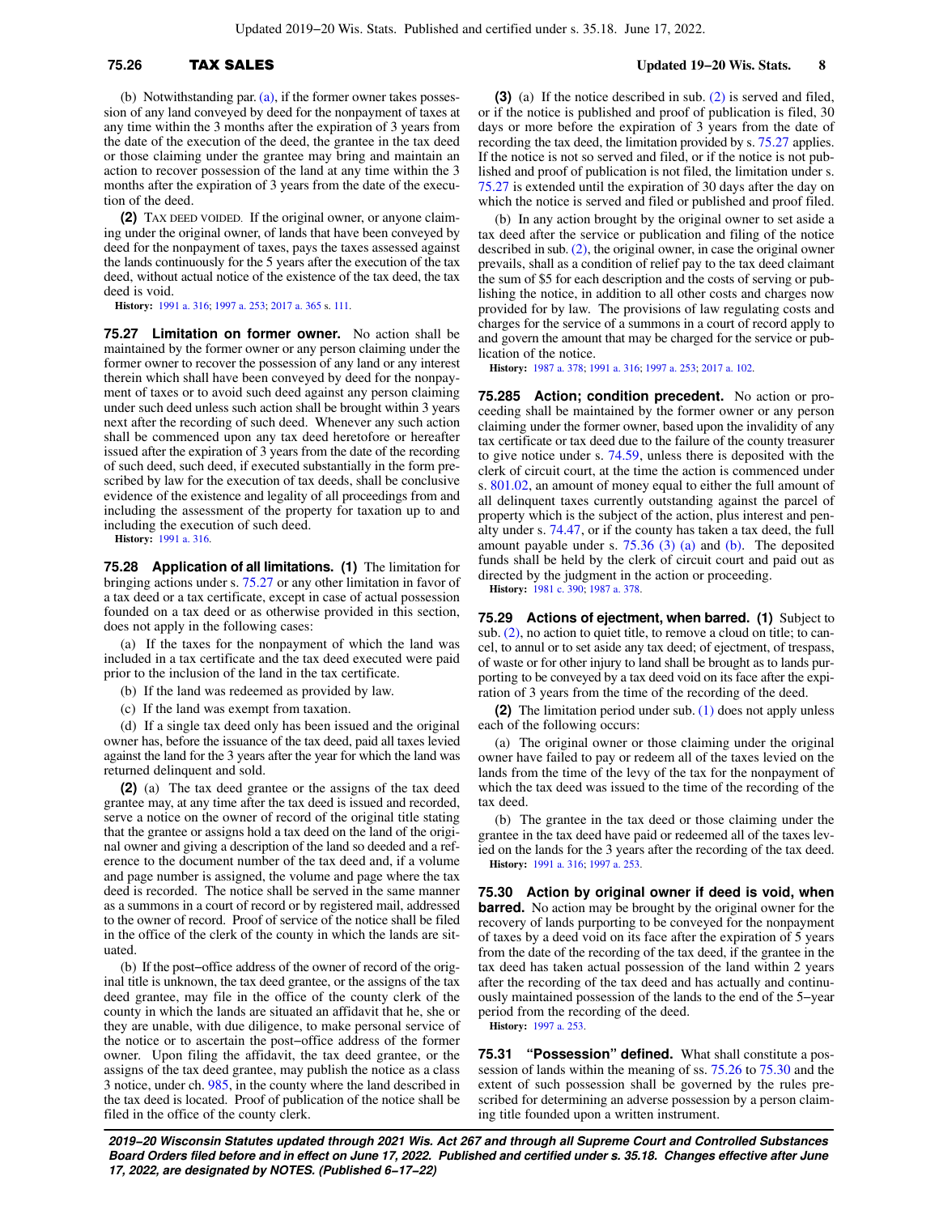## **75.26** TAX SALES **Updated 19−20 Wis. Stats. 8**

(b) Notwithstanding par. [\(a\)](https://docs.legis.wisconsin.gov/document/statutes/75.26(1)(a)), if the former owner takes possession of any land conveyed by deed for the nonpayment of taxes at any time within the 3 months after the expiration of 3 years from the date of the execution of the deed, the grantee in the tax deed or those claiming under the grantee may bring and maintain an action to recover possession of the land at any time within the 3 months after the expiration of 3 years from the date of the execution of the deed.

**(2)** TAX DEED VOIDED. If the original owner, or anyone claiming under the original owner, of lands that have been conveyed by deed for the nonpayment of taxes, pays the taxes assessed against the lands continuously for the 5 years after the execution of the tax deed, without actual notice of the existence of the tax deed, the tax deed is void.

**History:** [1991 a. 316](https://docs.legis.wisconsin.gov/document/acts/1991/316); [1997 a. 253](https://docs.legis.wisconsin.gov/document/acts/1997/253); [2017 a. 365](https://docs.legis.wisconsin.gov/document/acts/2017/365) s. [111.](https://docs.legis.wisconsin.gov/document/acts/2017/365,%20s.%20111)

**75.27 Limitation on former owner.** No action shall be maintained by the former owner or any person claiming under the former owner to recover the possession of any land or any interest therein which shall have been conveyed by deed for the nonpayment of taxes or to avoid such deed against any person claiming under such deed unless such action shall be brought within 3 years next after the recording of such deed. Whenever any such action shall be commenced upon any tax deed heretofore or hereafter issued after the expiration of 3 years from the date of the recording of such deed, such deed, if executed substantially in the form prescribed by law for the execution of tax deeds, shall be conclusive evidence of the existence and legality of all proceedings from and including the assessment of the property for taxation up to and including the execution of such deed.

**History:** [1991 a. 316](https://docs.legis.wisconsin.gov/document/acts/1991/316).

**75.28 Application of all limitations. (1)** The limitation for bringing actions under s. [75.27](https://docs.legis.wisconsin.gov/document/statutes/75.27) or any other limitation in favor of a tax deed or a tax certificate, except in case of actual possession founded on a tax deed or as otherwise provided in this section, does not apply in the following cases:

(a) If the taxes for the nonpayment of which the land was included in a tax certificate and the tax deed executed were paid prior to the inclusion of the land in the tax certificate.

(b) If the land was redeemed as provided by law.

(c) If the land was exempt from taxation.

(d) If a single tax deed only has been issued and the original owner has, before the issuance of the tax deed, paid all taxes levied against the land for the 3 years after the year for which the land was returned delinquent and sold.

**(2)** (a) The tax deed grantee or the assigns of the tax deed grantee may, at any time after the tax deed is issued and recorded, serve a notice on the owner of record of the original title stating that the grantee or assigns hold a tax deed on the land of the original owner and giving a description of the land so deeded and a reference to the document number of the tax deed and, if a volume and page number is assigned, the volume and page where the tax deed is recorded. The notice shall be served in the same manner as a summons in a court of record or by registered mail, addressed to the owner of record. Proof of service of the notice shall be filed in the office of the clerk of the county in which the lands are situated.

(b) If the post−office address of the owner of record of the original title is unknown, the tax deed grantee, or the assigns of the tax deed grantee, may file in the office of the county clerk of the county in which the lands are situated an affidavit that he, she or they are unable, with due diligence, to make personal service of the notice or to ascertain the post−office address of the former owner. Upon filing the affidavit, the tax deed grantee, or the assigns of the tax deed grantee, may publish the notice as a class 3 notice, under ch. [985](https://docs.legis.wisconsin.gov/document/statutes/ch.%20985), in the county where the land described in the tax deed is located. Proof of publication of the notice shall be filed in the office of the county clerk.

**(3)** (a) If the notice described in sub. [\(2\)](https://docs.legis.wisconsin.gov/document/statutes/75.28(2)) is served and filed, or if the notice is published and proof of publication is filed, 30 days or more before the expiration of 3 years from the date of recording the tax deed, the limitation provided by s. [75.27](https://docs.legis.wisconsin.gov/document/statutes/75.27) applies. If the notice is not so served and filed, or if the notice is not published and proof of publication is not filed, the limitation under s. [75.27](https://docs.legis.wisconsin.gov/document/statutes/75.27) is extended until the expiration of 30 days after the day on which the notice is served and filed or published and proof filed.

(b) In any action brought by the original owner to set aside a tax deed after the service or publication and filing of the notice described in sub. [\(2\)](https://docs.legis.wisconsin.gov/document/statutes/75.28(2)), the original owner, in case the original owner prevails, shall as a condition of relief pay to the tax deed claimant the sum of \$5 for each description and the costs of serving or publishing the notice, in addition to all other costs and charges now provided for by law. The provisions of law regulating costs and charges for the service of a summons in a court of record apply to and govern the amount that may be charged for the service or publication of the notice.

**History:** [1987 a. 378;](https://docs.legis.wisconsin.gov/document/acts/1987/378) [1991 a. 316](https://docs.legis.wisconsin.gov/document/acts/1991/316); [1997 a. 253;](https://docs.legis.wisconsin.gov/document/acts/1997/253) [2017 a. 102.](https://docs.legis.wisconsin.gov/document/acts/2017/102)

**75.285 Action; condition precedent.** No action or proceeding shall be maintained by the former owner or any person claiming under the former owner, based upon the invalidity of any tax certificate or tax deed due to the failure of the county treasurer to give notice under s. [74.59](https://docs.legis.wisconsin.gov/document/statutes/74.59), unless there is deposited with the clerk of circuit court, at the time the action is commenced under s. [801.02,](https://docs.legis.wisconsin.gov/document/statutes/801.02) an amount of money equal to either the full amount of all delinquent taxes currently outstanding against the parcel of property which is the subject of the action, plus interest and penalty under s. [74.47,](https://docs.legis.wisconsin.gov/document/statutes/74.47) or if the county has taken a tax deed, the full amount payable under s.  $75.36$  (3) (a) and [\(b\).](https://docs.legis.wisconsin.gov/document/statutes/75.36(3)(b)) The deposited funds shall be held by the clerk of circuit court and paid out as directed by the judgment in the action or proceeding.

**History:** [1981 c. 390;](https://docs.legis.wisconsin.gov/document/acts/1981/390) [1987 a. 378](https://docs.legis.wisconsin.gov/document/acts/1987/378).

**75.29 Actions of ejectment, when barred. (1)** Subject to sub. [\(2\)](https://docs.legis.wisconsin.gov/document/statutes/75.29(2)), no action to quiet title, to remove a cloud on title; to cancel, to annul or to set aside any tax deed; of ejectment, of trespass, of waste or for other injury to land shall be brought as to lands purporting to be conveyed by a tax deed void on its face after the expiration of 3 years from the time of the recording of the deed.

**(2)** The limitation period under sub. [\(1\)](https://docs.legis.wisconsin.gov/document/statutes/75.29(1)) does not apply unless each of the following occurs:

(a) The original owner or those claiming under the original owner have failed to pay or redeem all of the taxes levied on the lands from the time of the levy of the tax for the nonpayment of which the tax deed was issued to the time of the recording of the tax deed.

(b) The grantee in the tax deed or those claiming under the grantee in the tax deed have paid or redeemed all of the taxes levied on the lands for the 3 years after the recording of the tax deed. **History:** [1991 a. 316;](https://docs.legis.wisconsin.gov/document/acts/1991/316) [1997 a. 253](https://docs.legis.wisconsin.gov/document/acts/1997/253).

**75.30 Action by original owner if deed is void, when barred.** No action may be brought by the original owner for the recovery of lands purporting to be conveyed for the nonpayment of taxes by a deed void on its face after the expiration of 5 years from the date of the recording of the tax deed, if the grantee in the tax deed has taken actual possession of the land within 2 years after the recording of the tax deed and has actually and continuously maintained possession of the lands to the end of the 5−year period from the recording of the deed.

**History:** [1997 a. 253.](https://docs.legis.wisconsin.gov/document/acts/1997/253)

**75.31 "Possession" defined.** What shall constitute a possession of lands within the meaning of ss. [75.26](https://docs.legis.wisconsin.gov/document/statutes/75.26) to [75.30](https://docs.legis.wisconsin.gov/document/statutes/75.30) and the extent of such possession shall be governed by the rules prescribed for determining an adverse possession by a person claiming title founded upon a written instrument.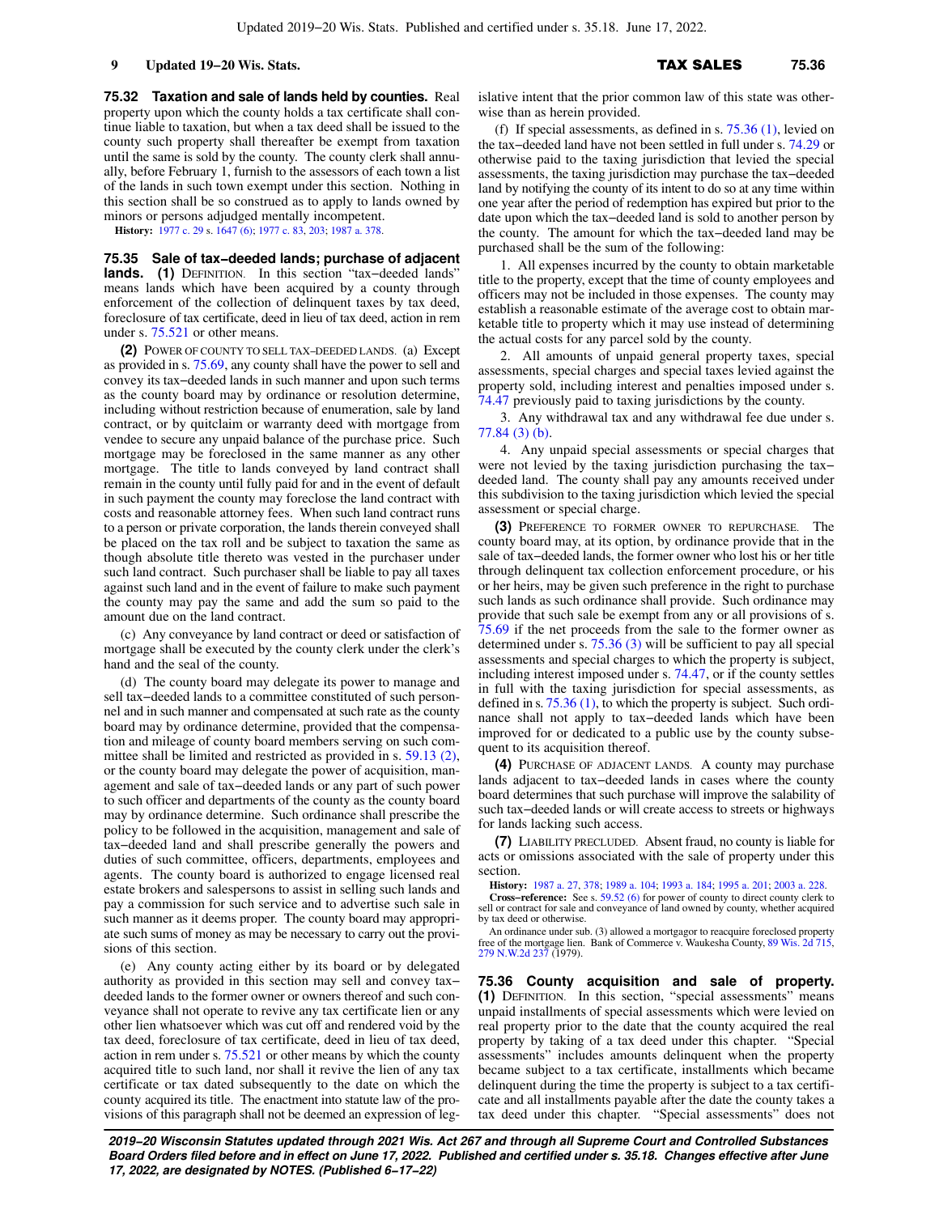**75.32 Taxation and sale of lands held by counties.** Real property upon which the county holds a tax certificate shall continue liable to taxation, but when a tax deed shall be issued to the county such property shall thereafter be exempt from taxation until the same is sold by the county. The county clerk shall annually, before February 1, furnish to the assessors of each town a list of the lands in such town exempt under this section. Nothing in this section shall be so construed as to apply to lands owned by minors or persons adjudged mentally incompetent.

**History:** [1977 c. 29](https://docs.legis.wisconsin.gov/document/acts/1977/29) s. [1647 \(6\);](https://docs.legis.wisconsin.gov/document/acts/1977/29,%20s.%201647) [1977 c. 83,](https://docs.legis.wisconsin.gov/document/acts/1977/83) [203](https://docs.legis.wisconsin.gov/document/acts/1977/203); [1987 a. 378.](https://docs.legis.wisconsin.gov/document/acts/1987/378)

**75.35 Sale of tax−deeded lands; purchase of adjacent lands. (1)** DEFINITION. In this section "tax−deeded lands" means lands which have been acquired by a county through enforcement of the collection of delinquent taxes by tax deed, foreclosure of tax certificate, deed in lieu of tax deed, action in rem under s. [75.521](https://docs.legis.wisconsin.gov/document/statutes/75.521) or other means.

**(2)** POWER OF COUNTY TO SELL TAX−DEEDED LANDS. (a) Except as provided in s. [75.69](https://docs.legis.wisconsin.gov/document/statutes/75.69), any county shall have the power to sell and convey its tax−deeded lands in such manner and upon such terms as the county board may by ordinance or resolution determine, including without restriction because of enumeration, sale by land contract, or by quitclaim or warranty deed with mortgage from vendee to secure any unpaid balance of the purchase price. Such mortgage may be foreclosed in the same manner as any other mortgage. The title to lands conveyed by land contract shall remain in the county until fully paid for and in the event of default in such payment the county may foreclose the land contract with costs and reasonable attorney fees. When such land contract runs to a person or private corporation, the lands therein conveyed shall be placed on the tax roll and be subject to taxation the same as though absolute title thereto was vested in the purchaser under such land contract. Such purchaser shall be liable to pay all taxes against such land and in the event of failure to make such payment the county may pay the same and add the sum so paid to the amount due on the land contract.

(c) Any conveyance by land contract or deed or satisfaction of mortgage shall be executed by the county clerk under the clerk's hand and the seal of the county.

(d) The county board may delegate its power to manage and sell tax−deeded lands to a committee constituted of such personnel and in such manner and compensated at such rate as the county board may by ordinance determine, provided that the compensation and mileage of county board members serving on such committee shall be limited and restricted as provided in s. [59.13 \(2\),](https://docs.legis.wisconsin.gov/document/statutes/59.13(2)) or the county board may delegate the power of acquisition, management and sale of tax−deeded lands or any part of such power to such officer and departments of the county as the county board may by ordinance determine. Such ordinance shall prescribe the policy to be followed in the acquisition, management and sale of tax−deeded land and shall prescribe generally the powers and duties of such committee, officers, departments, employees and agents. The county board is authorized to engage licensed real estate brokers and salespersons to assist in selling such lands and pay a commission for such service and to advertise such sale in such manner as it deems proper. The county board may appropriate such sums of money as may be necessary to carry out the provisions of this section.

(e) Any county acting either by its board or by delegated authority as provided in this section may sell and convey tax− deeded lands to the former owner or owners thereof and such conveyance shall not operate to revive any tax certificate lien or any other lien whatsoever which was cut off and rendered void by the tax deed, foreclosure of tax certificate, deed in lieu of tax deed, action in rem under s. [75.521](https://docs.legis.wisconsin.gov/document/statutes/75.521) or other means by which the county acquired title to such land, nor shall it revive the lien of any tax certificate or tax dated subsequently to the date on which the county acquired its title. The enactment into statute law of the provisions of this paragraph shall not be deemed an expression of legislative intent that the prior common law of this state was otherwise than as herein provided.

(f) If special assessments, as defined in s.  $75.36$  (1), levied on the tax−deeded land have not been settled in full under s. [74.29](https://docs.legis.wisconsin.gov/document/statutes/74.29) or otherwise paid to the taxing jurisdiction that levied the special assessments, the taxing jurisdiction may purchase the tax−deeded land by notifying the county of its intent to do so at any time within one year after the period of redemption has expired but prior to the date upon which the tax−deeded land is sold to another person by the county. The amount for which the tax−deeded land may be purchased shall be the sum of the following:

1. All expenses incurred by the county to obtain marketable title to the property, except that the time of county employees and officers may not be included in those expenses. The county may establish a reasonable estimate of the average cost to obtain marketable title to property which it may use instead of determining the actual costs for any parcel sold by the county.

2. All amounts of unpaid general property taxes, special assessments, special charges and special taxes levied against the property sold, including interest and penalties imposed under s. [74.47](https://docs.legis.wisconsin.gov/document/statutes/74.47) previously paid to taxing jurisdictions by the county.

3. Any withdrawal tax and any withdrawal fee due under s. [77.84 \(3\) \(b\)](https://docs.legis.wisconsin.gov/document/statutes/77.84(3)(b)).

4. Any unpaid special assessments or special charges that were not levied by the taxing jurisdiction purchasing the tax− deeded land. The county shall pay any amounts received under this subdivision to the taxing jurisdiction which levied the special assessment or special charge.

**(3)** PREFERENCE TO FORMER OWNER TO REPURCHASE. The county board may, at its option, by ordinance provide that in the sale of tax−deeded lands, the former owner who lost his or her title through delinquent tax collection enforcement procedure, or his or her heirs, may be given such preference in the right to purchase such lands as such ordinance shall provide. Such ordinance may provide that such sale be exempt from any or all provisions of s. [75.69](https://docs.legis.wisconsin.gov/document/statutes/75.69) if the net proceeds from the sale to the former owner as determined under s. [75.36 \(3\)](https://docs.legis.wisconsin.gov/document/statutes/75.36(3)) will be sufficient to pay all special assessments and special charges to which the property is subject, including interest imposed under s. [74.47](https://docs.legis.wisconsin.gov/document/statutes/74.47), or if the county settles in full with the taxing jurisdiction for special assessments, as defined in s. [75.36 \(1\),](https://docs.legis.wisconsin.gov/document/statutes/75.36(1)) to which the property is subject. Such ordinance shall not apply to tax−deeded lands which have been improved for or dedicated to a public use by the county subsequent to its acquisition thereof.

**(4)** PURCHASE OF ADJACENT LANDS. A county may purchase lands adjacent to tax−deeded lands in cases where the county board determines that such purchase will improve the salability of such tax−deeded lands or will create access to streets or highways for lands lacking such access.

**(7)** LIABILITY PRECLUDED. Absent fraud, no county is liable for acts or omissions associated with the sale of property under this section.

**History:** [1987 a. 27](https://docs.legis.wisconsin.gov/document/acts/1987/27), [378](https://docs.legis.wisconsin.gov/document/acts/1987/378); [1989 a. 104;](https://docs.legis.wisconsin.gov/document/acts/1989/104) [1993 a. 184](https://docs.legis.wisconsin.gov/document/acts/1993/184); [1995 a. 201](https://docs.legis.wisconsin.gov/document/acts/1995/201); [2003 a. 228.](https://docs.legis.wisconsin.gov/document/acts/2003/228)

**Cross−reference:** See s. [59.52 \(6\)](https://docs.legis.wisconsin.gov/document/statutes/59.52(6)) for power of county to direct county clerk to sell or contract for sale and conveyance of land owned by county, whether acquired by tax deed or otherwise.

An ordinance under sub. (3) allowed a mortgagor to reacquire foreclosed property free of the mortgage lien. Bank of Commerce v. Waukesha County, [89 Wis. 2d 715](https://docs.legis.wisconsin.gov/document/courts/89%20Wis.%202d%20715), [279 N.W.2d 237](https://docs.legis.wisconsin.gov/document/courts/279%20N.W.2d%20237) (1979).

**75.36 County acquisition and sale of property. (1)** DEFINITION. In this section, "special assessments" means unpaid installments of special assessments which were levied on real property prior to the date that the county acquired the real property by taking of a tax deed under this chapter. "Special assessments" includes amounts delinquent when the property became subject to a tax certificate, installments which became delinquent during the time the property is subject to a tax certificate and all installments payable after the date the county takes a tax deed under this chapter. "Special assessments" does not

**2019−20 Wisconsin Statutes updated through 2021 Wis. Act 267 and through all Supreme Court and Controlled Substances Board Orders filed before and in effect on June 17, 2022. Published and certified under s. 35.18. Changes effective after June 17, 2022, are designated by NOTES. (Published 6−17−22)**

### **9 Updated 19−20 Wis. Stats.** TAX SALES 75.36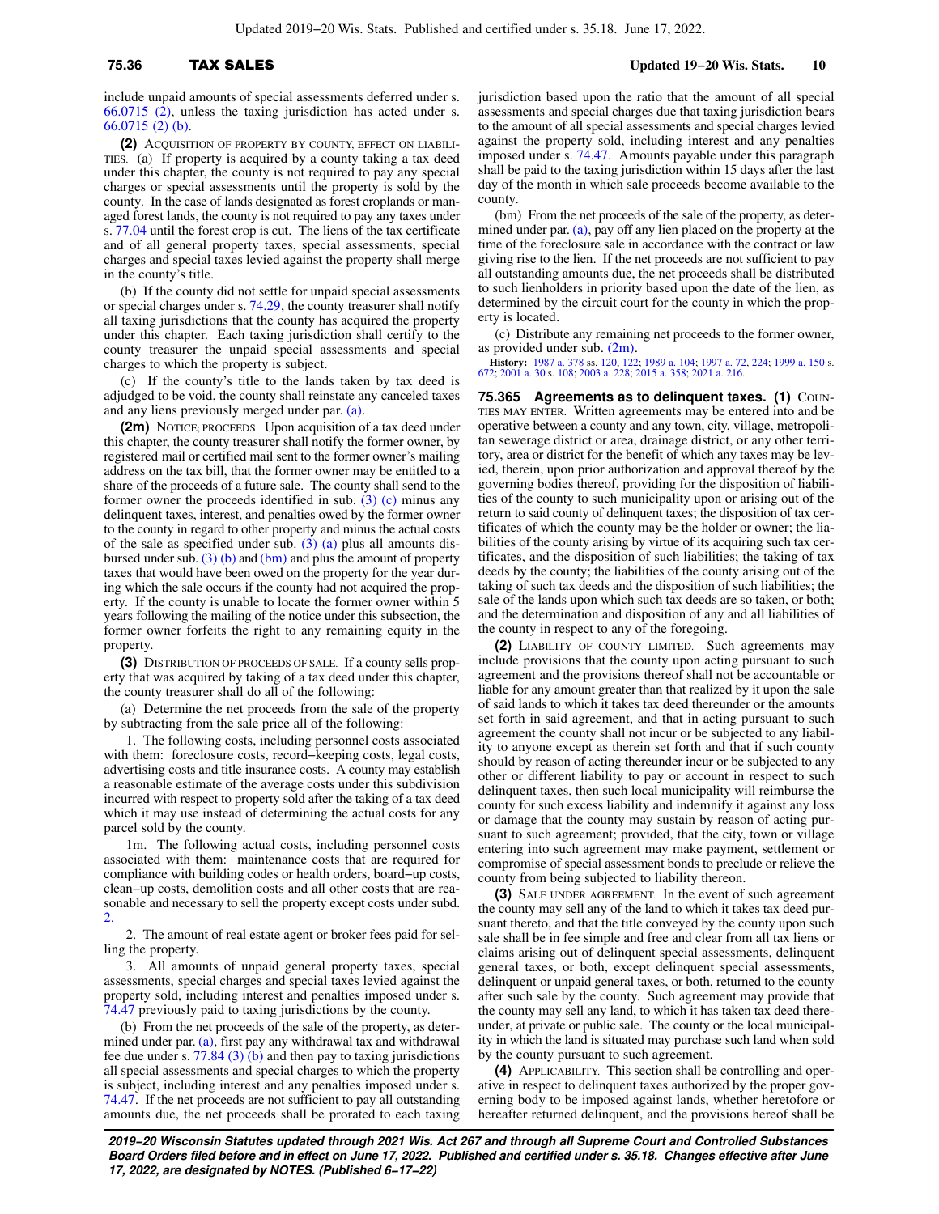include unpaid amounts of special assessments deferred under s. [66.0715 \(2\),](https://docs.legis.wisconsin.gov/document/statutes/66.0715(2)) unless the taxing jurisdiction has acted under s. [66.0715 \(2\) \(b\).](https://docs.legis.wisconsin.gov/document/statutes/66.0715(2)(b))

**(2)** ACQUISITION OF PROPERTY BY COUNTY, EFFECT ON LIABILI-TIES. (a) If property is acquired by a county taking a tax deed under this chapter, the county is not required to pay any special charges or special assessments until the property is sold by the county. In the case of lands designated as forest croplands or managed forest lands, the county is not required to pay any taxes under s. [77.04](https://docs.legis.wisconsin.gov/document/statutes/77.04) until the forest crop is cut. The liens of the tax certificate and of all general property taxes, special assessments, special charges and special taxes levied against the property shall merge in the county's title.

(b) If the county did not settle for unpaid special assessments or special charges under s. [74.29](https://docs.legis.wisconsin.gov/document/statutes/74.29), the county treasurer shall notify all taxing jurisdictions that the county has acquired the property under this chapter. Each taxing jurisdiction shall certify to the county treasurer the unpaid special assessments and special charges to which the property is subject.

(c) If the county's title to the lands taken by tax deed is adjudged to be void, the county shall reinstate any canceled taxes and any liens previously merged under par. [\(a\)](https://docs.legis.wisconsin.gov/document/statutes/75.36(2)(a)).

**(2m)** NOTICE; PROCEEDS. Upon acquisition of a tax deed under this chapter, the county treasurer shall notify the former owner, by registered mail or certified mail sent to the former owner's mailing address on the tax bill, that the former owner may be entitled to a share of the proceeds of a future sale. The county shall send to the former owner the proceeds identified in sub.  $(3)$  (c) minus any delinquent taxes, interest, and penalties owed by the former owner to the county in regard to other property and minus the actual costs of the sale as specified under sub.  $(3)$  (a) plus all amounts disbursed under sub.  $(3)$  (b) and [\(bm\)](https://docs.legis.wisconsin.gov/document/statutes/75.36(3)(bm)) and plus the amount of property taxes that would have been owed on the property for the year during which the sale occurs if the county had not acquired the property. If the county is unable to locate the former owner within 5 years following the mailing of the notice under this subsection, the former owner forfeits the right to any remaining equity in the property.

**(3)** DISTRIBUTION OF PROCEEDS OF SALE. If a county sells property that was acquired by taking of a tax deed under this chapter, the county treasurer shall do all of the following:

(a) Determine the net proceeds from the sale of the property by subtracting from the sale price all of the following:

1. The following costs, including personnel costs associated with them: foreclosure costs, record−keeping costs, legal costs, advertising costs and title insurance costs. A county may establish a reasonable estimate of the average costs under this subdivision incurred with respect to property sold after the taking of a tax deed which it may use instead of determining the actual costs for any parcel sold by the county.

1m. The following actual costs, including personnel costs associated with them: maintenance costs that are required for compliance with building codes or health orders, board−up costs, clean−up costs, demolition costs and all other costs that are reasonable and necessary to sell the property except costs under subd. [2.](https://docs.legis.wisconsin.gov/document/statutes/75.36(3)(a)2.)

2. The amount of real estate agent or broker fees paid for selling the property.

3. All amounts of unpaid general property taxes, special assessments, special charges and special taxes levied against the property sold, including interest and penalties imposed under s. [74.47](https://docs.legis.wisconsin.gov/document/statutes/74.47) previously paid to taxing jurisdictions by the county.

(b) From the net proceeds of the sale of the property, as determined under par. [\(a\),](https://docs.legis.wisconsin.gov/document/statutes/75.36(3)(a)) first pay any withdrawal tax and withdrawal fee due under s.  $77.84$  (3) (b) and then pay to taxing jurisdictions all special assessments and special charges to which the property is subject, including interest and any penalties imposed under s. [74.47](https://docs.legis.wisconsin.gov/document/statutes/74.47). If the net proceeds are not sufficient to pay all outstanding amounts due, the net proceeds shall be prorated to each taxing

jurisdiction based upon the ratio that the amount of all special assessments and special charges due that taxing jurisdiction bears to the amount of all special assessments and special charges levied against the property sold, including interest and any penalties imposed under s. [74.47.](https://docs.legis.wisconsin.gov/document/statutes/74.47) Amounts payable under this paragraph shall be paid to the taxing jurisdiction within 15 days after the last day of the month in which sale proceeds become available to the county.

(bm) From the net proceeds of the sale of the property, as deter-mined under par. [\(a\),](https://docs.legis.wisconsin.gov/document/statutes/75.36(3)(a)) pay off any lien placed on the property at the time of the foreclosure sale in accordance with the contract or law giving rise to the lien. If the net proceeds are not sufficient to pay all outstanding amounts due, the net proceeds shall be distributed to such lienholders in priority based upon the date of the lien, as determined by the circuit court for the county in which the property is located.

(c) Distribute any remaining net proceeds to the former owner, as provided under sub. [\(2m\).](https://docs.legis.wisconsin.gov/document/statutes/75.36(2m))

**History:** [1987 a. 378](https://docs.legis.wisconsin.gov/document/acts/1987/378) ss. [120](https://docs.legis.wisconsin.gov/document/acts/1987/378,%20s.%20120), [122;](https://docs.legis.wisconsin.gov/document/acts/1987/378,%20s.%20122) [1989 a. 104](https://docs.legis.wisconsin.gov/document/acts/1989/104); [1997 a. 72,](https://docs.legis.wisconsin.gov/document/acts/1997/72) [224;](https://docs.legis.wisconsin.gov/document/acts/1997/224) [1999 a. 150](https://docs.legis.wisconsin.gov/document/acts/1999/150) s. [672;](https://docs.legis.wisconsin.gov/document/acts/1999/150,%20s.%20672) [2001 a. 30](https://docs.legis.wisconsin.gov/document/acts/2001/30) s. [108](https://docs.legis.wisconsin.gov/document/acts/2001/30,%20s.%20108); [2003 a. 228;](https://docs.legis.wisconsin.gov/document/acts/2003/228) [2015 a. 358;](https://docs.legis.wisconsin.gov/document/acts/2015/358) [2021 a. 216](https://docs.legis.wisconsin.gov/document/acts/2021/216).

**75.365 Agreements as to delinquent taxes. (1) COUN-**TIES MAY ENTER. Written agreements may be entered into and be operative between a county and any town, city, village, metropolitan sewerage district or area, drainage district, or any other territory, area or district for the benefit of which any taxes may be levied, therein, upon prior authorization and approval thereof by the governing bodies thereof, providing for the disposition of liabilities of the county to such municipality upon or arising out of the return to said county of delinquent taxes; the disposition of tax certificates of which the county may be the holder or owner; the liabilities of the county arising by virtue of its acquiring such tax certificates, and the disposition of such liabilities; the taking of tax deeds by the county; the liabilities of the county arising out of the taking of such tax deeds and the disposition of such liabilities; the sale of the lands upon which such tax deeds are so taken, or both; and the determination and disposition of any and all liabilities of the county in respect to any of the foregoing.

**(2)** LIABILITY OF COUNTY LIMITED. Such agreements may include provisions that the county upon acting pursuant to such agreement and the provisions thereof shall not be accountable or liable for any amount greater than that realized by it upon the sale of said lands to which it takes tax deed thereunder or the amounts set forth in said agreement, and that in acting pursuant to such agreement the county shall not incur or be subjected to any liability to anyone except as therein set forth and that if such county should by reason of acting thereunder incur or be subjected to any other or different liability to pay or account in respect to such delinquent taxes, then such local municipality will reimburse the county for such excess liability and indemnify it against any loss or damage that the county may sustain by reason of acting pursuant to such agreement; provided, that the city, town or village entering into such agreement may make payment, settlement or compromise of special assessment bonds to preclude or relieve the county from being subjected to liability thereon.

**(3)** SALE UNDER AGREEMENT. In the event of such agreement the county may sell any of the land to which it takes tax deed pursuant thereto, and that the title conveyed by the county upon such sale shall be in fee simple and free and clear from all tax liens or claims arising out of delinquent special assessments, delinquent general taxes, or both, except delinquent special assessments, delinquent or unpaid general taxes, or both, returned to the county after such sale by the county. Such agreement may provide that the county may sell any land, to which it has taken tax deed thereunder, at private or public sale. The county or the local municipality in which the land is situated may purchase such land when sold by the county pursuant to such agreement.

**(4)** APPLICABILITY. This section shall be controlling and operative in respect to delinquent taxes authorized by the proper governing body to be imposed against lands, whether heretofore or hereafter returned delinquent, and the provisions hereof shall be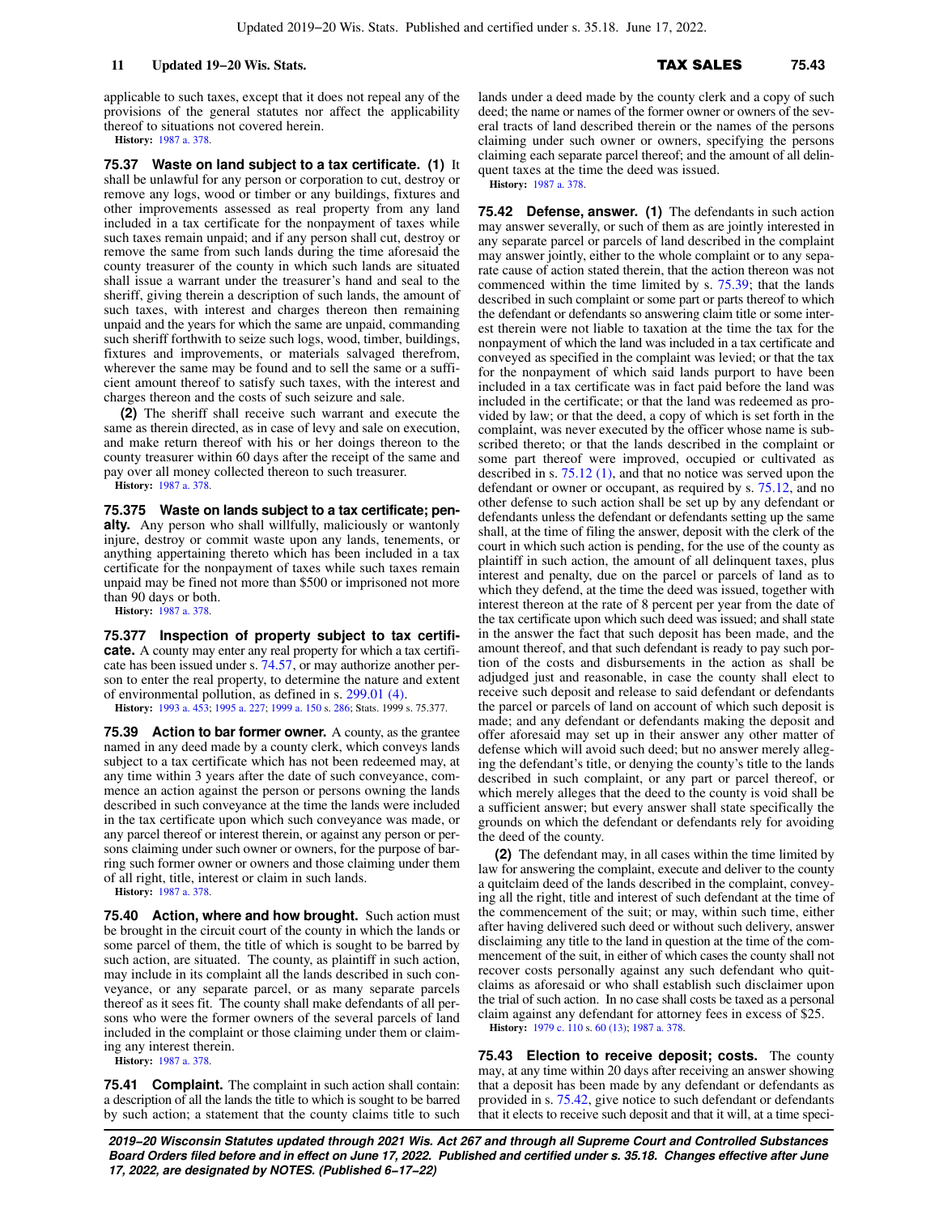applicable to such taxes, except that it does not repeal any of the provisions of the general statutes nor affect the applicability thereof to situations not covered herein.

**History:** [1987 a. 378](https://docs.legis.wisconsin.gov/document/acts/1987/378).

**75.37 Waste on land subject to a tax certificate. (1)** It shall be unlawful for any person or corporation to cut, destroy or remove any logs, wood or timber or any buildings, fixtures and other improvements assessed as real property from any land included in a tax certificate for the nonpayment of taxes while such taxes remain unpaid; and if any person shall cut, destroy or remove the same from such lands during the time aforesaid the county treasurer of the county in which such lands are situated shall issue a warrant under the treasurer's hand and seal to the sheriff, giving therein a description of such lands, the amount of such taxes, with interest and charges thereon then remaining unpaid and the years for which the same are unpaid, commanding such sheriff forthwith to seize such logs, wood, timber, buildings, fixtures and improvements, or materials salvaged therefrom, wherever the same may be found and to sell the same or a sufficient amount thereof to satisfy such taxes, with the interest and charges thereon and the costs of such seizure and sale.

**(2)** The sheriff shall receive such warrant and execute the same as therein directed, as in case of levy and sale on execution, and make return thereof with his or her doings thereon to the county treasurer within 60 days after the receipt of the same and pay over all money collected thereon to such treasurer.

**History:** [1987 a. 378](https://docs.legis.wisconsin.gov/document/acts/1987/378).

**75.375 Waste on lands subject to a tax certificate; penalty.** Any person who shall willfully, maliciously or wantonly injure, destroy or commit waste upon any lands, tenements, or anything appertaining thereto which has been included in a tax certificate for the nonpayment of taxes while such taxes remain unpaid may be fined not more than \$500 or imprisoned not more than 90 days or both.

**History:** [1987 a. 378](https://docs.legis.wisconsin.gov/document/acts/1987/378).

**75.377 Inspection of property subject to tax certificate.** A county may enter any real property for which a tax certificate has been issued under s. [74.57,](https://docs.legis.wisconsin.gov/document/statutes/74.57) or may authorize another person to enter the real property, to determine the nature and extent of environmental pollution, as defined in s. [299.01 \(4\).](https://docs.legis.wisconsin.gov/document/statutes/299.01(4)) **History:** [1993 a. 453](https://docs.legis.wisconsin.gov/document/acts/1993/453); [1995 a. 227](https://docs.legis.wisconsin.gov/document/acts/1995/227); [1999 a. 150](https://docs.legis.wisconsin.gov/document/acts/1999/150) s. [286](https://docs.legis.wisconsin.gov/document/acts/1999/150,%20s.%20286); Stats. 1999 s. 75.377.

**75.39 Action to bar former owner.** A county, as the grantee named in any deed made by a county clerk, which conveys lands subject to a tax certificate which has not been redeemed may, at any time within 3 years after the date of such conveyance, commence an action against the person or persons owning the lands described in such conveyance at the time the lands were included in the tax certificate upon which such conveyance was made, or any parcel thereof or interest therein, or against any person or persons claiming under such owner or owners, for the purpose of barring such former owner or owners and those claiming under them of all right, title, interest or claim in such lands.

**History:** [1987 a. 378](https://docs.legis.wisconsin.gov/document/acts/1987/378).

**75.40 Action, where and how brought.** Such action must be brought in the circuit court of the county in which the lands or some parcel of them, the title of which is sought to be barred by such action, are situated. The county, as plaintiff in such action, may include in its complaint all the lands described in such conveyance, or any separate parcel, or as many separate parcels thereof as it sees fit. The county shall make defendants of all persons who were the former owners of the several parcels of land included in the complaint or those claiming under them or claiming any interest therein.

**History:** [1987 a. 378](https://docs.legis.wisconsin.gov/document/acts/1987/378).

**75.41 Complaint.** The complaint in such action shall contain: a description of all the lands the title to which is sought to be barred by such action; a statement that the county claims title to such lands under a deed made by the county clerk and a copy of such deed; the name or names of the former owner or owners of the several tracts of land described therein or the names of the persons claiming under such owner or owners, specifying the persons claiming each separate parcel thereof; and the amount of all delinquent taxes at the time the deed was issued.

**History:** [1987 a. 378.](https://docs.legis.wisconsin.gov/document/acts/1987/378)

**75.42 Defense, answer. (1)** The defendants in such action may answer severally, or such of them as are jointly interested in any separate parcel or parcels of land described in the complaint may answer jointly, either to the whole complaint or to any separate cause of action stated therein, that the action thereon was not commenced within the time limited by s. [75.39;](https://docs.legis.wisconsin.gov/document/statutes/75.39) that the lands described in such complaint or some part or parts thereof to which the defendant or defendants so answering claim title or some interest therein were not liable to taxation at the time the tax for the nonpayment of which the land was included in a tax certificate and conveyed as specified in the complaint was levied; or that the tax for the nonpayment of which said lands purport to have been included in a tax certificate was in fact paid before the land was included in the certificate; or that the land was redeemed as provided by law; or that the deed, a copy of which is set forth in the complaint, was never executed by the officer whose name is subscribed thereto; or that the lands described in the complaint or some part thereof were improved, occupied or cultivated as described in s. [75.12 \(1\)](https://docs.legis.wisconsin.gov/document/statutes/75.12(1)), and that no notice was served upon the defendant or owner or occupant, as required by s. [75.12,](https://docs.legis.wisconsin.gov/document/statutes/75.12) and no other defense to such action shall be set up by any defendant or defendants unless the defendant or defendants setting up the same shall, at the time of filing the answer, deposit with the clerk of the court in which such action is pending, for the use of the county as plaintiff in such action, the amount of all delinquent taxes, plus interest and penalty, due on the parcel or parcels of land as to which they defend, at the time the deed was issued, together with interest thereon at the rate of 8 percent per year from the date of the tax certificate upon which such deed was issued; and shall state in the answer the fact that such deposit has been made, and the amount thereof, and that such defendant is ready to pay such portion of the costs and disbursements in the action as shall be adjudged just and reasonable, in case the county shall elect to receive such deposit and release to said defendant or defendants the parcel or parcels of land on account of which such deposit is made; and any defendant or defendants making the deposit and offer aforesaid may set up in their answer any other matter of defense which will avoid such deed; but no answer merely alleging the defendant's title, or denying the county's title to the lands described in such complaint, or any part or parcel thereof, or which merely alleges that the deed to the county is void shall be a sufficient answer; but every answer shall state specifically the grounds on which the defendant or defendants rely for avoiding the deed of the county.

**(2)** The defendant may, in all cases within the time limited by law for answering the complaint, execute and deliver to the county a quitclaim deed of the lands described in the complaint, conveying all the right, title and interest of such defendant at the time of the commencement of the suit; or may, within such time, either after having delivered such deed or without such delivery, answer disclaiming any title to the land in question at the time of the commencement of the suit, in either of which cases the county shall not recover costs personally against any such defendant who quitclaims as aforesaid or who shall establish such disclaimer upon the trial of such action. In no case shall costs be taxed as a personal claim against any defendant for attorney fees in excess of \$25.

**History:** [1979 c. 110](https://docs.legis.wisconsin.gov/document/acts/1979/110) s. [60 \(13\);](https://docs.legis.wisconsin.gov/document/acts/1979/110,%20s.%2060) [1987 a. 378](https://docs.legis.wisconsin.gov/document/acts/1987/378).

**75.43 Election to receive deposit; costs.** The county may, at any time within 20 days after receiving an answer showing that a deposit has been made by any defendant or defendants as provided in s. [75.42,](https://docs.legis.wisconsin.gov/document/statutes/75.42) give notice to such defendant or defendants that it elects to receive such deposit and that it will, at a time speci-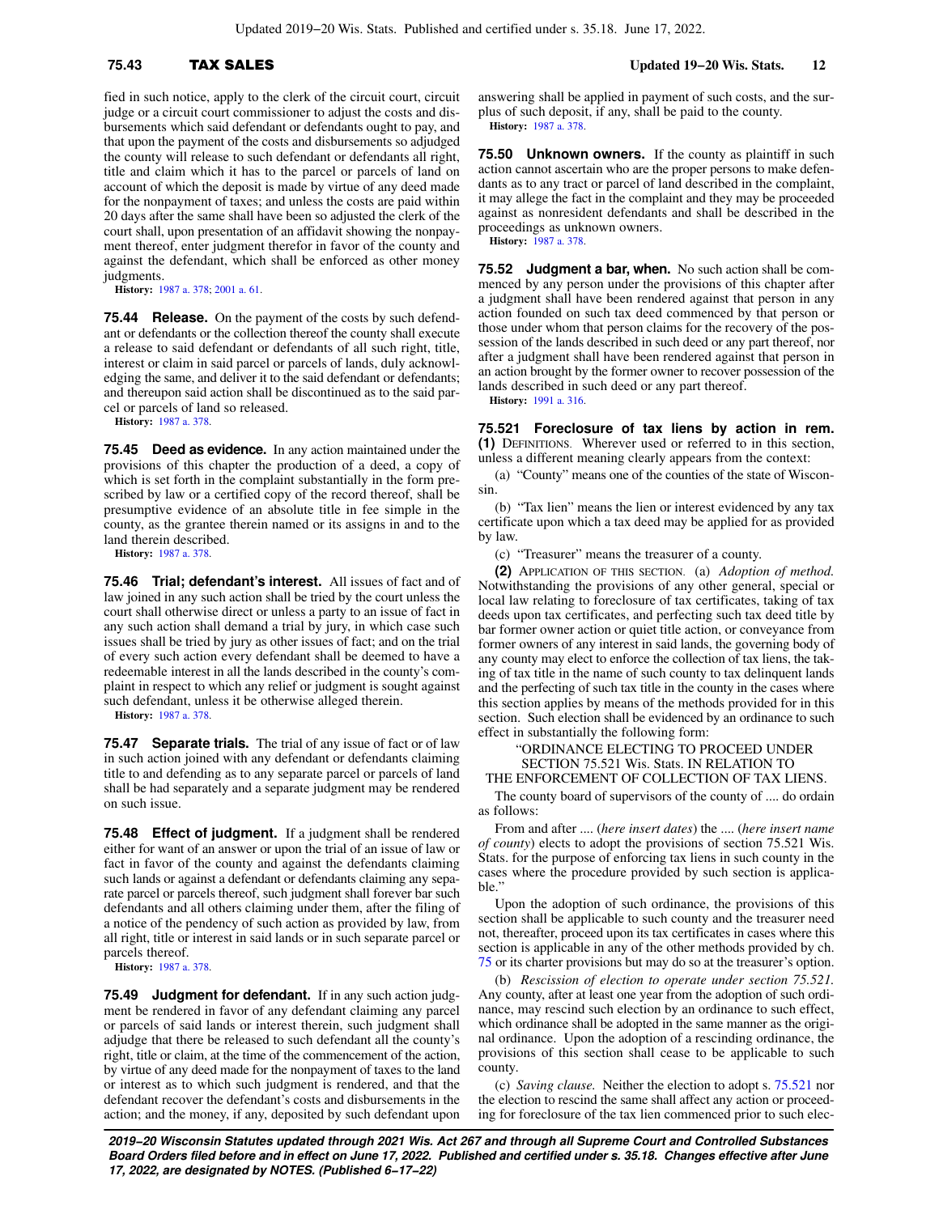fied in such notice, apply to the clerk of the circuit court, circuit judge or a circuit court commissioner to adjust the costs and disbursements which said defendant or defendants ought to pay, and that upon the payment of the costs and disbursements so adjudged the county will release to such defendant or defendants all right, title and claim which it has to the parcel or parcels of land on account of which the deposit is made by virtue of any deed made for the nonpayment of taxes; and unless the costs are paid within 20 days after the same shall have been so adjusted the clerk of the court shall, upon presentation of an affidavit showing the nonpayment thereof, enter judgment therefor in favor of the county and against the defendant, which shall be enforced as other money judgments.

**History:** [1987 a. 378](https://docs.legis.wisconsin.gov/document/acts/1987/378); [2001 a. 61.](https://docs.legis.wisconsin.gov/document/acts/2001/61)

**75.44 Release.** On the payment of the costs by such defendant or defendants or the collection thereof the county shall execute a release to said defendant or defendants of all such right, title, interest or claim in said parcel or parcels of lands, duly acknowledging the same, and deliver it to the said defendant or defendants; and thereupon said action shall be discontinued as to the said parcel or parcels of land so released.

**History:** [1987 a. 378](https://docs.legis.wisconsin.gov/document/acts/1987/378).

**75.45 Deed as evidence.** In any action maintained under the provisions of this chapter the production of a deed, a copy of which is set forth in the complaint substantially in the form prescribed by law or a certified copy of the record thereof, shall be presumptive evidence of an absolute title in fee simple in the county, as the grantee therein named or its assigns in and to the land therein described.

**History:** [1987 a. 378](https://docs.legis.wisconsin.gov/document/acts/1987/378).

**75.46 Trial; defendant's interest.** All issues of fact and of law joined in any such action shall be tried by the court unless the court shall otherwise direct or unless a party to an issue of fact in any such action shall demand a trial by jury, in which case such issues shall be tried by jury as other issues of fact; and on the trial of every such action every defendant shall be deemed to have a redeemable interest in all the lands described in the county's complaint in respect to which any relief or judgment is sought against such defendant, unless it be otherwise alleged therein.

**History:** [1987 a. 378](https://docs.legis.wisconsin.gov/document/acts/1987/378).

**75.47 Separate trials.** The trial of any issue of fact or of law in such action joined with any defendant or defendants claiming title to and defending as to any separate parcel or parcels of land shall be had separately and a separate judgment may be rendered on such issue.

**75.48 Effect of judgment.** If a judgment shall be rendered either for want of an answer or upon the trial of an issue of law or fact in favor of the county and against the defendants claiming such lands or against a defendant or defendants claiming any separate parcel or parcels thereof, such judgment shall forever bar such defendants and all others claiming under them, after the filing of a notice of the pendency of such action as provided by law, from all right, title or interest in said lands or in such separate parcel or parcels thereof.

**History:** [1987 a. 378](https://docs.legis.wisconsin.gov/document/acts/1987/378).

**75.49 Judgment for defendant.** If in any such action judgment be rendered in favor of any defendant claiming any parcel or parcels of said lands or interest therein, such judgment shall adjudge that there be released to such defendant all the county's right, title or claim, at the time of the commencement of the action, by virtue of any deed made for the nonpayment of taxes to the land or interest as to which such judgment is rendered, and that the defendant recover the defendant's costs and disbursements in the action; and the money, if any, deposited by such defendant upon answering shall be applied in payment of such costs, and the surplus of such deposit, if any, shall be paid to the county. **History:** [1987 a. 378.](https://docs.legis.wisconsin.gov/document/acts/1987/378)

**75.50 Unknown owners.** If the county as plaintiff in such action cannot ascertain who are the proper persons to make defendants as to any tract or parcel of land described in the complaint, it may allege the fact in the complaint and they may be proceeded against as nonresident defendants and shall be described in the proceedings as unknown owners. **History:** [1987 a. 378.](https://docs.legis.wisconsin.gov/document/acts/1987/378)

**75.52 Judgment a bar, when.** No such action shall be commenced by any person under the provisions of this chapter after a judgment shall have been rendered against that person in any action founded on such tax deed commenced by that person or those under whom that person claims for the recovery of the possession of the lands described in such deed or any part thereof, nor after a judgment shall have been rendered against that person in an action brought by the former owner to recover possession of the lands described in such deed or any part thereof.

**History:** [1991 a. 316.](https://docs.legis.wisconsin.gov/document/acts/1991/316)

**75.521 Foreclosure of tax liens by action in rem. (1)** DEFINITIONS. Wherever used or referred to in this section, unless a different meaning clearly appears from the context:

(a) "County" means one of the counties of the state of Wisconsin.

(b) "Tax lien" means the lien or interest evidenced by any tax certificate upon which a tax deed may be applied for as provided by law.

(c) "Treasurer" means the treasurer of a county.

**(2)** APPLICATION OF THIS SECTION. (a) *Adoption of method.* Notwithstanding the provisions of any other general, special or local law relating to foreclosure of tax certificates, taking of tax deeds upon tax certificates, and perfecting such tax deed title by bar former owner action or quiet title action, or conveyance from former owners of any interest in said lands, the governing body of any county may elect to enforce the collection of tax liens, the taking of tax title in the name of such county to tax delinquent lands and the perfecting of such tax title in the county in the cases where this section applies by means of the methods provided for in this section. Such election shall be evidenced by an ordinance to such effect in substantially the following form:

"ORDINANCE ELECTING TO PROCEED UNDER SECTION 75.521 Wis. Stats. IN RELATION TO

THE ENFORCEMENT OF COLLECTION OF TAX LIENS.

The county board of supervisors of the county of .... do ordain as follows:

From and after .... (*here insert dates*) the .... (*here insert name of county*) elects to adopt the provisions of section 75.521 Wis. Stats. for the purpose of enforcing tax liens in such county in the cases where the procedure provided by such section is applicable."

Upon the adoption of such ordinance, the provisions of this section shall be applicable to such county and the treasurer need not, thereafter, proceed upon its tax certificates in cases where this section is applicable in any of the other methods provided by ch. [75](https://docs.legis.wisconsin.gov/document/statutes/ch.%2075) or its charter provisions but may do so at the treasurer's option.

(b) *Rescission of election to operate under section 75.521.* Any county, after at least one year from the adoption of such ordinance, may rescind such election by an ordinance to such effect, which ordinance shall be adopted in the same manner as the original ordinance. Upon the adoption of a rescinding ordinance, the provisions of this section shall cease to be applicable to such county.

(c) *Saving clause.* Neither the election to adopt s. [75.521](https://docs.legis.wisconsin.gov/document/statutes/75.521) nor the election to rescind the same shall affect any action or proceeding for foreclosure of the tax lien commenced prior to such elec-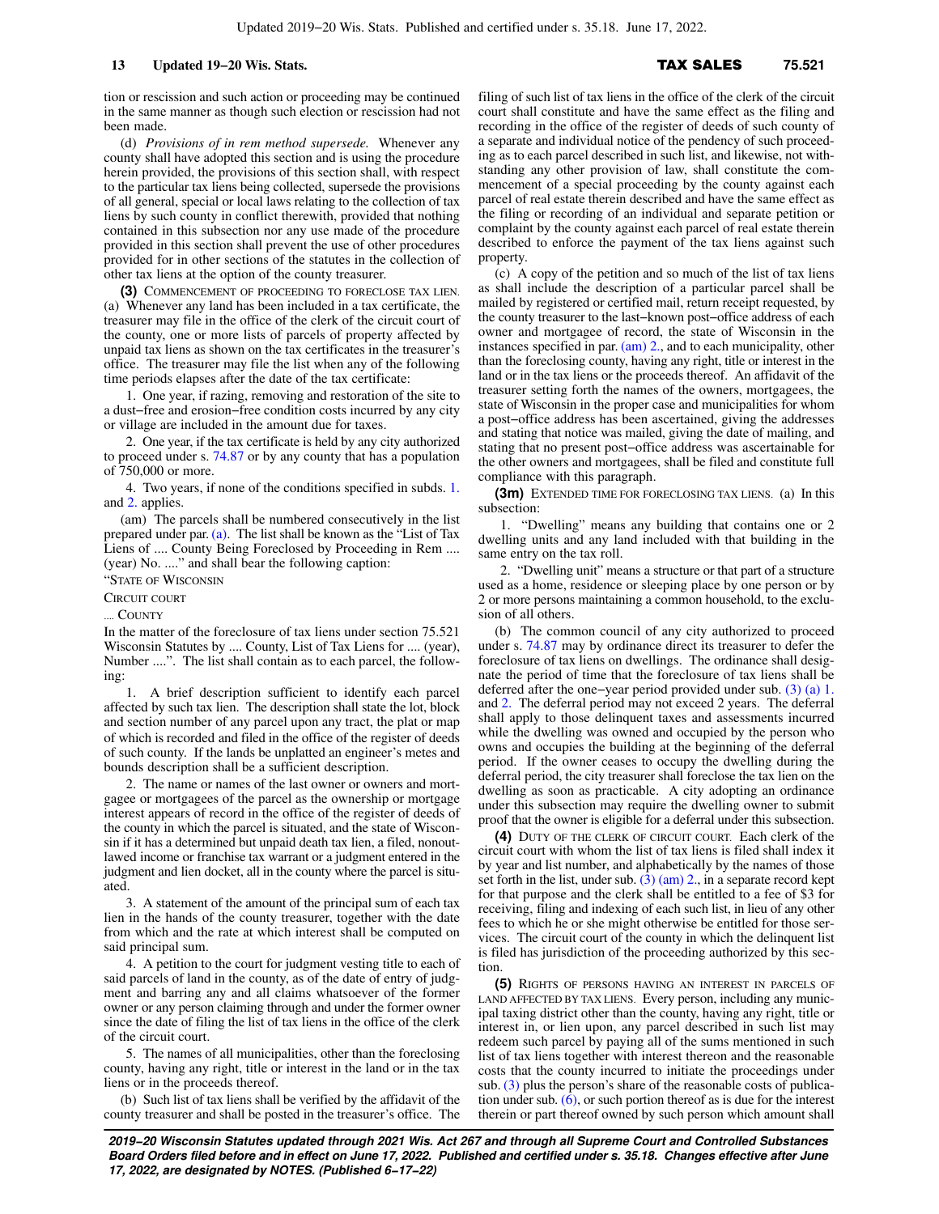tion or rescission and such action or proceeding may be continued in the same manner as though such election or rescission had not been made.

(d) *Provisions of in rem method supersede.* Whenever any county shall have adopted this section and is using the procedure herein provided, the provisions of this section shall, with respect to the particular tax liens being collected, supersede the provisions of all general, special or local laws relating to the collection of tax liens by such county in conflict therewith, provided that nothing contained in this subsection nor any use made of the procedure provided in this section shall prevent the use of other procedures provided for in other sections of the statutes in the collection of other tax liens at the option of the county treasurer.

**(3)** COMMENCEMENT OF PROCEEDING TO FORECLOSE TAX LIEN. (a) Whenever any land has been included in a tax certificate, the treasurer may file in the office of the clerk of the circuit court of the county, one or more lists of parcels of property affected by unpaid tax liens as shown on the tax certificates in the treasurer's office. The treasurer may file the list when any of the following time periods elapses after the date of the tax certificate:

1. One year, if razing, removing and restoration of the site to a dust−free and erosion−free condition costs incurred by any city or village are included in the amount due for taxes.

2. One year, if the tax certificate is held by any city authorized to proceed under s. [74.87](https://docs.legis.wisconsin.gov/document/statutes/74.87) or by any county that has a population of 750,000 or more.

4. Two years, if none of the conditions specified in subds. [1.](https://docs.legis.wisconsin.gov/document/statutes/75.521(3)(a)1.) and [2.](https://docs.legis.wisconsin.gov/document/statutes/75.521(3)(a)2.) applies.

(am) The parcels shall be numbered consecutively in the list prepared under par. [\(a\)](https://docs.legis.wisconsin.gov/document/statutes/75.521(3)(a)). The list shall be known as the "List of Tax Liens of .... County Being Foreclosed by Proceeding in Rem .... (year) No. ...." and shall bear the following caption:

"STATE OF WISCONSIN

CIRCUIT COURT

.... COUNTY

In the matter of the foreclosure of tax liens under section 75.521 Wisconsin Statutes by .... County, List of Tax Liens for .... (year), Number ....". The list shall contain as to each parcel, the following:

1. A brief description sufficient to identify each parcel affected by such tax lien. The description shall state the lot, block and section number of any parcel upon any tract, the plat or map of which is recorded and filed in the office of the register of deeds of such county. If the lands be unplatted an engineer's metes and bounds description shall be a sufficient description.

2. The name or names of the last owner or owners and mortgagee or mortgagees of the parcel as the ownership or mortgage interest appears of record in the office of the register of deeds of the county in which the parcel is situated, and the state of Wisconsin if it has a determined but unpaid death tax lien, a filed, nonoutlawed income or franchise tax warrant or a judgment entered in the judgment and lien docket, all in the county where the parcel is situated.

3. A statement of the amount of the principal sum of each tax lien in the hands of the county treasurer, together with the date from which and the rate at which interest shall be computed on said principal sum.

4. A petition to the court for judgment vesting title to each of said parcels of land in the county, as of the date of entry of judgment and barring any and all claims whatsoever of the former owner or any person claiming through and under the former owner since the date of filing the list of tax liens in the office of the clerk of the circuit court.

5. The names of all municipalities, other than the foreclosing county, having any right, title or interest in the land or in the tax liens or in the proceeds thereof.

(b) Such list of tax liens shall be verified by the affidavit of the county treasurer and shall be posted in the treasurer's office. The filing of such list of tax liens in the office of the clerk of the circuit court shall constitute and have the same effect as the filing and recording in the office of the register of deeds of such county of a separate and individual notice of the pendency of such proceeding as to each parcel described in such list, and likewise, not withstanding any other provision of law, shall constitute the commencement of a special proceeding by the county against each parcel of real estate therein described and have the same effect as the filing or recording of an individual and separate petition or complaint by the county against each parcel of real estate therein described to enforce the payment of the tax liens against such property.

(c) A copy of the petition and so much of the list of tax liens as shall include the description of a particular parcel shall be mailed by registered or certified mail, return receipt requested, by the county treasurer to the last−known post−office address of each owner and mortgagee of record, the state of Wisconsin in the instances specified in par. [\(am\) 2.,](https://docs.legis.wisconsin.gov/document/statutes/75.521(3)(am)2.) and to each municipality, other than the foreclosing county, having any right, title or interest in the land or in the tax liens or the proceeds thereof. An affidavit of the treasurer setting forth the names of the owners, mortgagees, the state of Wisconsin in the proper case and municipalities for whom a post−office address has been ascertained, giving the addresses and stating that notice was mailed, giving the date of mailing, and stating that no present post−office address was ascertainable for the other owners and mortgagees, shall be filed and constitute full compliance with this paragraph.

**(3m)** EXTENDED TIME FOR FORECLOSING TAX LIENS. (a) In this subsection:

1. "Dwelling" means any building that contains one or 2 dwelling units and any land included with that building in the same entry on the tax roll.

2. "Dwelling unit" means a structure or that part of a structure used as a home, residence or sleeping place by one person or by 2 or more persons maintaining a common household, to the exclusion of all others.

(b) The common council of any city authorized to proceed under s. [74.87](https://docs.legis.wisconsin.gov/document/statutes/74.87) may by ordinance direct its treasurer to defer the foreclosure of tax liens on dwellings. The ordinance shall designate the period of time that the foreclosure of tax liens shall be deferred after the one−year period provided under sub. [\(3\) \(a\) 1.](https://docs.legis.wisconsin.gov/document/statutes/75.521(3)(a)1.) and [2.](https://docs.legis.wisconsin.gov/document/statutes/75.521(3)(a)2.) The deferral period may not exceed 2 years. The deferral shall apply to those delinquent taxes and assessments incurred while the dwelling was owned and occupied by the person who owns and occupies the building at the beginning of the deferral period. If the owner ceases to occupy the dwelling during the deferral period, the city treasurer shall foreclose the tax lien on the dwelling as soon as practicable. A city adopting an ordinance under this subsection may require the dwelling owner to submit proof that the owner is eligible for a deferral under this subsection.

**(4)** DUTY OF THE CLERK OF CIRCUIT COURT. Each clerk of the circuit court with whom the list of tax liens is filed shall index it by year and list number, and alphabetically by the names of those set forth in the list, under sub.  $(3)$  (am) 2., in a separate record kept for that purpose and the clerk shall be entitled to a fee of \$3 for receiving, filing and indexing of each such list, in lieu of any other fees to which he or she might otherwise be entitled for those services. The circuit court of the county in which the delinquent list is filed has jurisdiction of the proceeding authorized by this section.

**(5)** RIGHTS OF PERSONS HAVING AN INTEREST IN PARCELS OF LAND AFFECTED BY TAX LIENS. Every person, including any municipal taxing district other than the county, having any right, title or interest in, or lien upon, any parcel described in such list may redeem such parcel by paying all of the sums mentioned in such list of tax liens together with interest thereon and the reasonable costs that the county incurred to initiate the proceedings under sub. [\(3\)](https://docs.legis.wisconsin.gov/document/statutes/75.521(3)) plus the person's share of the reasonable costs of publication under sub.  $(6)$ , or such portion thereof as is due for the interest therein or part thereof owned by such person which amount shall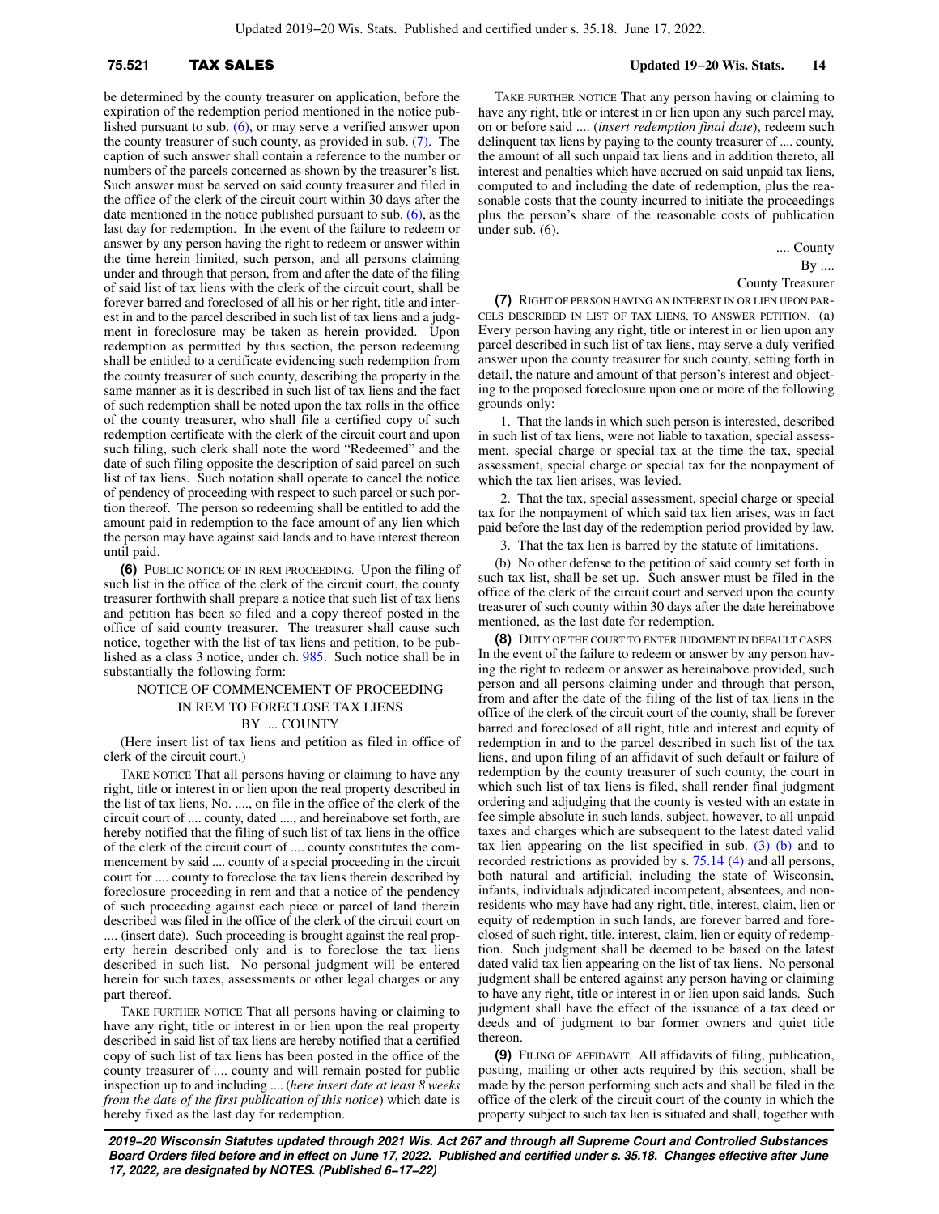be determined by the county treasurer on application, before the expiration of the redemption period mentioned in the notice published pursuant to sub. [\(6\),](https://docs.legis.wisconsin.gov/document/statutes/75.521(6)) or may serve a verified answer upon the county treasurer of such county, as provided in sub. [\(7\)](https://docs.legis.wisconsin.gov/document/statutes/75.521(7)). The caption of such answer shall contain a reference to the number or numbers of the parcels concerned as shown by the treasurer's list. Such answer must be served on said county treasurer and filed in the office of the clerk of the circuit court within 30 days after the date mentioned in the notice published pursuant to sub. [\(6\),](https://docs.legis.wisconsin.gov/document/statutes/75.521(6)) as the last day for redemption. In the event of the failure to redeem or answer by any person having the right to redeem or answer within the time herein limited, such person, and all persons claiming under and through that person, from and after the date of the filing of said list of tax liens with the clerk of the circuit court, shall be forever barred and foreclosed of all his or her right, title and interest in and to the parcel described in such list of tax liens and a judgment in foreclosure may be taken as herein provided. Upon redemption as permitted by this section, the person redeeming shall be entitled to a certificate evidencing such redemption from the county treasurer of such county, describing the property in the same manner as it is described in such list of tax liens and the fact of such redemption shall be noted upon the tax rolls in the office of the county treasurer, who shall file a certified copy of such redemption certificate with the clerk of the circuit court and upon such filing, such clerk shall note the word "Redeemed" and the date of such filing opposite the description of said parcel on such list of tax liens. Such notation shall operate to cancel the notice of pendency of proceeding with respect to such parcel or such portion thereof. The person so redeeming shall be entitled to add the amount paid in redemption to the face amount of any lien which the person may have against said lands and to have interest thereon until paid.

**(6)** PUBLIC NOTICE OF IN REM PROCEEDING. Upon the filing of such list in the office of the clerk of the circuit court, the county treasurer forthwith shall prepare a notice that such list of tax liens and petition has been so filed and a copy thereof posted in the office of said county treasurer. The treasurer shall cause such notice, together with the list of tax liens and petition, to be published as a class 3 notice, under ch. [985](https://docs.legis.wisconsin.gov/document/statutes/ch.%20985). Such notice shall be in substantially the following form:

## NOTICE OF COMMENCEMENT OF PROCEEDING IN REM TO FORECLOSE TAX LIENS BY .... COUNTY

(Here insert list of tax liens and petition as filed in office of clerk of the circuit court.)

TAKE NOTICE That all persons having or claiming to have any right, title or interest in or lien upon the real property described in the list of tax liens, No. ...., on file in the office of the clerk of the circuit court of .... county, dated ...., and hereinabove set forth, are hereby notified that the filing of such list of tax liens in the office of the clerk of the circuit court of .... county constitutes the commencement by said .... county of a special proceeding in the circuit court for .... county to foreclose the tax liens therein described by foreclosure proceeding in rem and that a notice of the pendency of such proceeding against each piece or parcel of land therein described was filed in the office of the clerk of the circuit court on .... (insert date). Such proceeding is brought against the real property herein described only and is to foreclose the tax liens described in such list. No personal judgment will be entered herein for such taxes, assessments or other legal charges or any part thereof.

TAKE FURTHER NOTICE That all persons having or claiming to have any right, title or interest in or lien upon the real property described in said list of tax liens are hereby notified that a certified copy of such list of tax liens has been posted in the office of the county treasurer of .... county and will remain posted for public inspection up to and including .... (*here insert date at least 8 weeks from the date of the first publication of this notice*) which date is hereby fixed as the last day for redemption.

TAKE FURTHER NOTICE That any person having or claiming to have any right, title or interest in or lien upon any such parcel may, on or before said .... (*insert redemption final date*), redeem such delinquent tax liens by paying to the county treasurer of .... county, the amount of all such unpaid tax liens and in addition thereto, all interest and penalties which have accrued on said unpaid tax liens, computed to and including the date of redemption, plus the reasonable costs that the county incurred to initiate the proceedings plus the person's share of the reasonable costs of publication under sub. (6).

> .... County By ....

County Treasurer

**(7)** RIGHT OF PERSON HAVING AN INTEREST IN OR LIEN UPON PAR-CELS DESCRIBED IN LIST OF TAX LIENS, TO ANSWER PETITION. (a) Every person having any right, title or interest in or lien upon any parcel described in such list of tax liens, may serve a duly verified answer upon the county treasurer for such county, setting forth in detail, the nature and amount of that person's interest and objecting to the proposed foreclosure upon one or more of the following grounds only:

1. That the lands in which such person is interested, described in such list of tax liens, were not liable to taxation, special assessment, special charge or special tax at the time the tax, special assessment, special charge or special tax for the nonpayment of which the tax lien arises, was levied.

2. That the tax, special assessment, special charge or special tax for the nonpayment of which said tax lien arises, was in fact paid before the last day of the redemption period provided by law.

3. That the tax lien is barred by the statute of limitations.

(b) No other defense to the petition of said county set forth in such tax list, shall be set up. Such answer must be filed in the office of the clerk of the circuit court and served upon the county treasurer of such county within 30 days after the date hereinabove mentioned, as the last date for redemption.

**(8)** DUTY OF THE COURT TO ENTER JUDGMENT IN DEFAULT CASES. In the event of the failure to redeem or answer by any person having the right to redeem or answer as hereinabove provided, such person and all persons claiming under and through that person, from and after the date of the filing of the list of tax liens in the office of the clerk of the circuit court of the county, shall be forever barred and foreclosed of all right, title and interest and equity of redemption in and to the parcel described in such list of the tax liens, and upon filing of an affidavit of such default or failure of redemption by the county treasurer of such county, the court in which such list of tax liens is filed, shall render final judgment ordering and adjudging that the county is vested with an estate in fee simple absolute in such lands, subject, however, to all unpaid taxes and charges which are subsequent to the latest dated valid tax lien appearing on the list specified in sub.  $(3)$  (b) and to recorded restrictions as provided by s. [75.14 \(4\)](https://docs.legis.wisconsin.gov/document/statutes/75.14(4)) and all persons, both natural and artificial, including the state of Wisconsin, infants, individuals adjudicated incompetent, absentees, and nonresidents who may have had any right, title, interest, claim, lien or equity of redemption in such lands, are forever barred and foreclosed of such right, title, interest, claim, lien or equity of redemption. Such judgment shall be deemed to be based on the latest dated valid tax lien appearing on the list of tax liens. No personal judgment shall be entered against any person having or claiming to have any right, title or interest in or lien upon said lands. Such judgment shall have the effect of the issuance of a tax deed or deeds and of judgment to bar former owners and quiet title thereon.

**(9)** FILING OF AFFIDAVIT. All affidavits of filing, publication, posting, mailing or other acts required by this section, shall be made by the person performing such acts and shall be filed in the office of the clerk of the circuit court of the county in which the property subject to such tax lien is situated and shall, together with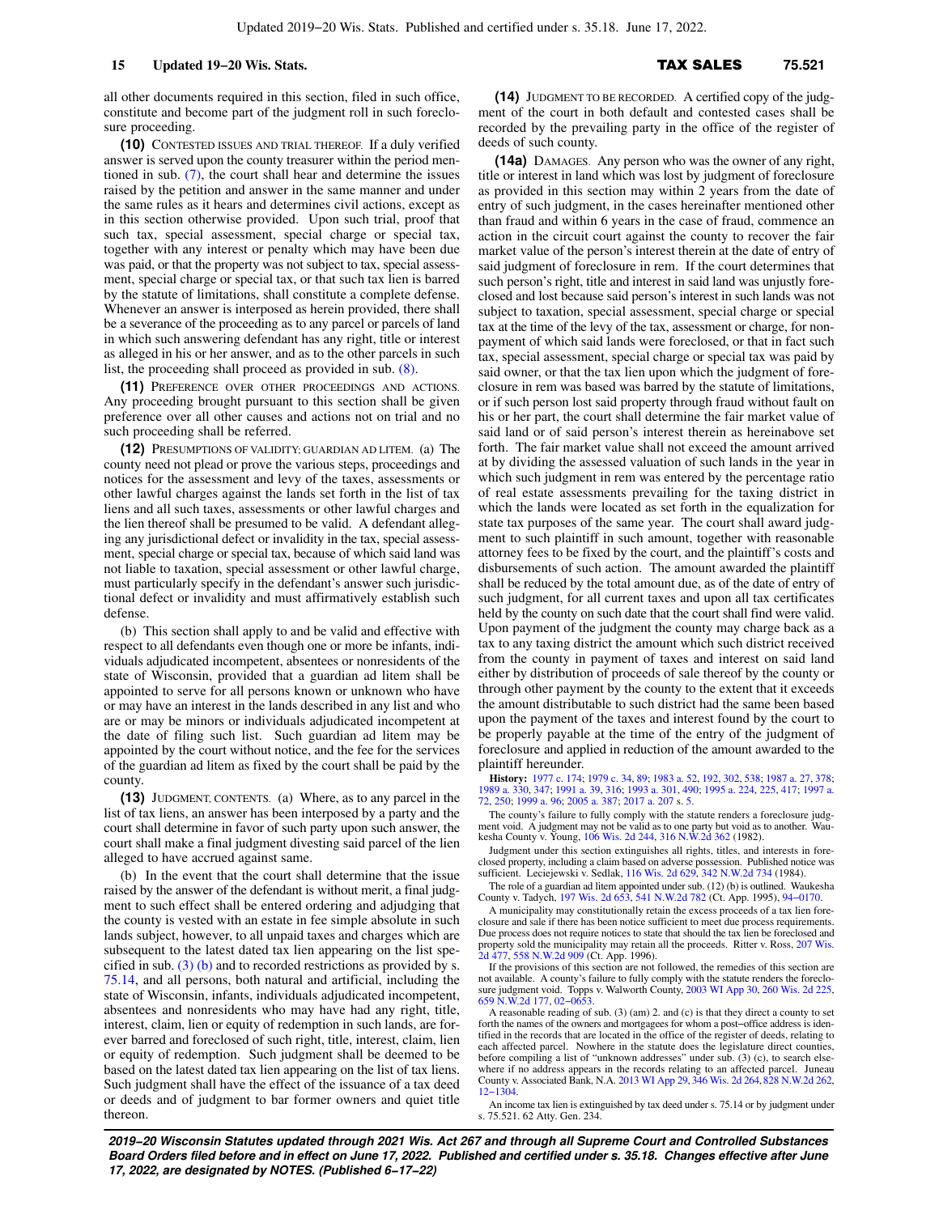all other documents required in this section, filed in such office, constitute and become part of the judgment roll in such foreclosure proceeding.

**(10)** CONTESTED ISSUES AND TRIAL THEREOF. If a duly verified answer is served upon the county treasurer within the period mentioned in sub. [\(7\)](https://docs.legis.wisconsin.gov/document/statutes/75.521(7)), the court shall hear and determine the issues raised by the petition and answer in the same manner and under the same rules as it hears and determines civil actions, except as in this section otherwise provided. Upon such trial, proof that such tax, special assessment, special charge or special tax, together with any interest or penalty which may have been due was paid, or that the property was not subject to tax, special assessment, special charge or special tax, or that such tax lien is barred by the statute of limitations, shall constitute a complete defense. Whenever an answer is interposed as herein provided, there shall be a severance of the proceeding as to any parcel or parcels of land in which such answering defendant has any right, title or interest as alleged in his or her answer, and as to the other parcels in such list, the proceeding shall proceed as provided in sub. [\(8\).](https://docs.legis.wisconsin.gov/document/statutes/75.521(8))

**(11)** PREFERENCE OVER OTHER PROCEEDINGS AND ACTIONS. Any proceeding brought pursuant to this section shall be given preference over all other causes and actions not on trial and no such proceeding shall be referred.

**(12)** PRESUMPTIONS OF VALIDITY; GUARDIAN AD LITEM. (a) The county need not plead or prove the various steps, proceedings and notices for the assessment and levy of the taxes, assessments or other lawful charges against the lands set forth in the list of tax liens and all such taxes, assessments or other lawful charges and the lien thereof shall be presumed to be valid. A defendant alleging any jurisdictional defect or invalidity in the tax, special assessment, special charge or special tax, because of which said land was not liable to taxation, special assessment or other lawful charge, must particularly specify in the defendant's answer such jurisdictional defect or invalidity and must affirmatively establish such defense.

(b) This section shall apply to and be valid and effective with respect to all defendants even though one or more be infants, individuals adjudicated incompetent, absentees or nonresidents of the state of Wisconsin, provided that a guardian ad litem shall be appointed to serve for all persons known or unknown who have or may have an interest in the lands described in any list and who are or may be minors or individuals adjudicated incompetent at the date of filing such list. Such guardian ad litem may be appointed by the court without notice, and the fee for the services of the guardian ad litem as fixed by the court shall be paid by the county.

**(13)** JUDGMENT, CONTENTS. (a) Where, as to any parcel in the list of tax liens, an answer has been interposed by a party and the court shall determine in favor of such party upon such answer, the court shall make a final judgment divesting said parcel of the lien alleged to have accrued against same.

(b) In the event that the court shall determine that the issue raised by the answer of the defendant is without merit, a final judgment to such effect shall be entered ordering and adjudging that the county is vested with an estate in fee simple absolute in such lands subject, however, to all unpaid taxes and charges which are subsequent to the latest dated tax lien appearing on the list specified in sub.  $(3)$  (b) and to recorded restrictions as provided by s. [75.14](https://docs.legis.wisconsin.gov/document/statutes/75.14), and all persons, both natural and artificial, including the state of Wisconsin, infants, individuals adjudicated incompetent, absentees and nonresidents who may have had any right, title, interest, claim, lien or equity of redemption in such lands, are forever barred and foreclosed of such right, title, interest, claim, lien or equity of redemption. Such judgment shall be deemed to be based on the latest dated tax lien appearing on the list of tax liens. Such judgment shall have the effect of the issuance of a tax deed or deeds and of judgment to bar former owners and quiet title thereon.

**(14)** JUDGMENT TO BE RECORDED. A certified copy of the judgment of the court in both default and contested cases shall be recorded by the prevailing party in the office of the register of deeds of such county.

**(14a)** DAMAGES. Any person who was the owner of any right, title or interest in land which was lost by judgment of foreclosure as provided in this section may within 2 years from the date of entry of such judgment, in the cases hereinafter mentioned other than fraud and within 6 years in the case of fraud, commence an action in the circuit court against the county to recover the fair market value of the person's interest therein at the date of entry of said judgment of foreclosure in rem. If the court determines that such person's right, title and interest in said land was unjustly foreclosed and lost because said person's interest in such lands was not subject to taxation, special assessment, special charge or special tax at the time of the levy of the tax, assessment or charge, for nonpayment of which said lands were foreclosed, or that in fact such tax, special assessment, special charge or special tax was paid by said owner, or that the tax lien upon which the judgment of foreclosure in rem was based was barred by the statute of limitations, or if such person lost said property through fraud without fault on his or her part, the court shall determine the fair market value of said land or of said person's interest therein as hereinabove set forth. The fair market value shall not exceed the amount arrived at by dividing the assessed valuation of such lands in the year in which such judgment in rem was entered by the percentage ratio of real estate assessments prevailing for the taxing district in which the lands were located as set forth in the equalization for state tax purposes of the same year. The court shall award judgment to such plaintiff in such amount, together with reasonable attorney fees to be fixed by the court, and the plaintiff's costs and disbursements of such action. The amount awarded the plaintiff shall be reduced by the total amount due, as of the date of entry of such judgment, for all current taxes and upon all tax certificates held by the county on such date that the court shall find were valid. Upon payment of the judgment the county may charge back as a tax to any taxing district the amount which such district received from the county in payment of taxes and interest on said land either by distribution of proceeds of sale thereof by the county or through other payment by the county to the extent that it exceeds the amount distributable to such district had the same been based upon the payment of the taxes and interest found by the court to be properly payable at the time of the entry of the judgment of foreclosure and applied in reduction of the amount awarded to the plaintiff hereunder.

**History:** [1977 c. 174;](https://docs.legis.wisconsin.gov/document/acts/1977/174) [1979 c. 34](https://docs.legis.wisconsin.gov/document/acts/1979/34), [89](https://docs.legis.wisconsin.gov/document/acts/1979/89); [1983 a. 52,](https://docs.legis.wisconsin.gov/document/acts/1983/52) [192,](https://docs.legis.wisconsin.gov/document/acts/1983/192) [302](https://docs.legis.wisconsin.gov/document/acts/1983/302), [538](https://docs.legis.wisconsin.gov/document/acts/1983/538); [1987 a. 27,](https://docs.legis.wisconsin.gov/document/acts/1987/27) [378](https://docs.legis.wisconsin.gov/document/acts/1987/378); [1989 a. 330,](https://docs.legis.wisconsin.gov/document/acts/1989/330) [347;](https://docs.legis.wisconsin.gov/document/acts/1989/347) [1991 a. 39,](https://docs.legis.wisconsin.gov/document/acts/1991/39) [316](https://docs.legis.wisconsin.gov/document/acts/1991/316); [1993 a. 301,](https://docs.legis.wisconsin.gov/document/acts/1993/301) [490;](https://docs.legis.wisconsin.gov/document/acts/1993/490) [1995 a. 224](https://docs.legis.wisconsin.gov/document/acts/1995/224), [225](https://docs.legis.wisconsin.gov/document/acts/1995/225), [417](https://docs.legis.wisconsin.gov/document/acts/1995/417); [1997 a.](https://docs.legis.wisconsin.gov/document/acts/1997/72) [72](https://docs.legis.wisconsin.gov/document/acts/1997/72), [250](https://docs.legis.wisconsin.gov/document/acts/1997/250); [1999 a. 96](https://docs.legis.wisconsin.gov/document/acts/1999/96); [2005 a. 387;](https://docs.legis.wisconsin.gov/document/acts/2005/387) [2017 a. 207](https://docs.legis.wisconsin.gov/document/acts/2017/207) s. [5](https://docs.legis.wisconsin.gov/document/acts/2017/207,%20s.%205).

The county's failure to fully comply with the statute renders a foreclosure judg-ment void. A judgment may not be valid as to one party but void as to another. Wau-<br>kesha County v. Young, [106 Wis. 2d 244,](https://docs.legis.wisconsin.gov/document/courts/106%20Wis.%202d%20244) [316 N.W.2d 362](https://docs.legis.wisconsin.gov/document/courts/316%20N.W.2d%20362) (1982).

Judgment under this section extinguishes all rights, titles, and interests in foreclosed property, including a claim based on adverse possession. Published notice was sufficient. Leciejewski v. Sedlak, [116 Wis. 2d 629](https://docs.legis.wisconsin.gov/document/courts/116%20Wis.%202d%20629), [342 N.W.2d 734](https://docs.legis.wisconsin.gov/document/courts/342%20N.W.2d%20734) (1984).

The role of a guardian ad litem appointed under sub. (12) (b) is outlined. Waukesha County v. Tadych, [197 Wis. 2d 653](https://docs.legis.wisconsin.gov/document/courts/197%20Wis.%202d%20653), [541 N.W.2d 782](https://docs.legis.wisconsin.gov/document/courts/541%20N.W.2d%20782) (Ct. App. 1995), [94−0170](https://docs.legis.wisconsin.gov/document/wicourtofappeals/94-0170).

A municipality may constitutionally retain the excess proceeds of a tax lien foreclosure and sale if there has been notice sufficient to meet due process requirements. Due process does not require notices to state that should the tax lien be foreclosed and property sold the municipality may retain all the proceeds. Ritter v. Ross, [207 Wis.](https://docs.legis.wisconsin.gov/document/courts/207%20Wis.%202d%20477) [2d 477](https://docs.legis.wisconsin.gov/document/courts/207%20Wis.%202d%20477), [558 N.W.2d 909](https://docs.legis.wisconsin.gov/document/courts/558%20N.W.2d%20909) (Ct. App. 1996).

If the provisions of this section are not followed, the remedies of this section are not available. A county's failure to fully comply with the statute renders the foreclosure judgment void. Topps v. Walworth County, [2003 WI App 30,](https://docs.legis.wisconsin.gov/document/courts/2003%20WI%20App%2030) [260 Wis. 2d 225](https://docs.legis.wisconsin.gov/document/courts/260%20Wis.%202d%20225), [659 N.W.2d 177](https://docs.legis.wisconsin.gov/document/courts/659%20N.W.2d%20177), [02−0653](https://docs.legis.wisconsin.gov/document/wicourtofappeals/02-0653).

A reasonable reading of sub. (3) (am) 2. and (c) is that they direct a county to set forth the names of the owners and mortgagees for whom a post−office address is identified in the records that are located in the office of the register of deeds, relating to each affected parcel. Nowhere in the statute does the legislature direct counties, before compiling a list of "unknown addresses" under sub. (3) (c), to search else-where if no address appears in the records relating to an affected parcel. Juneau<br>County v. Associated Bank, N.A. [2013 WI App 29,](https://docs.legis.wisconsin.gov/document/courts/2013%20WI%20App%2029) [346 Wis. 2d 264](https://docs.legis.wisconsin.gov/document/courts/346%20Wis.%202d%20264), [828 N.W.2d 262](https://docs.legis.wisconsin.gov/document/courts/828%20N.W.2d%20262), [12−1304.](https://docs.legis.wisconsin.gov/document/wicourtofappeals/12-1304)

An income tax lien is extinguished by tax deed under s. 75.14 or by judgment under s. 75.521. 62 Atty. Gen. 234.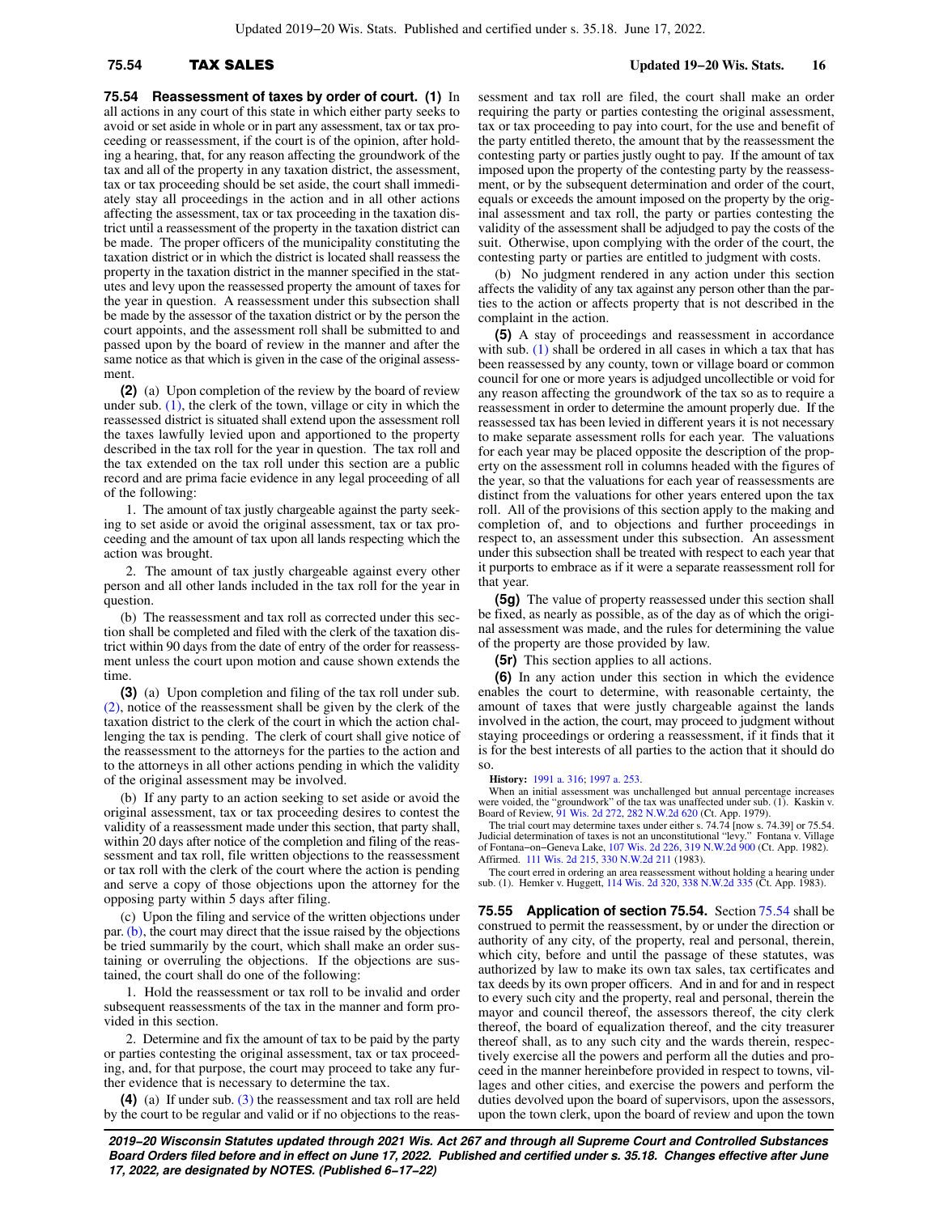**75.54 Reassessment of taxes by order of court. (1)** In all actions in any court of this state in which either party seeks to avoid or set aside in whole or in part any assessment, tax or tax proceeding or reassessment, if the court is of the opinion, after holding a hearing, that, for any reason affecting the groundwork of the tax and all of the property in any taxation district, the assessment, tax or tax proceeding should be set aside, the court shall immediately stay all proceedings in the action and in all other actions affecting the assessment, tax or tax proceeding in the taxation district until a reassessment of the property in the taxation district can be made. The proper officers of the municipality constituting the taxation district or in which the district is located shall reassess the property in the taxation district in the manner specified in the statutes and levy upon the reassessed property the amount of taxes for the year in question. A reassessment under this subsection shall be made by the assessor of the taxation district or by the person the court appoints, and the assessment roll shall be submitted to and passed upon by the board of review in the manner and after the same notice as that which is given in the case of the original assessment.

**(2)** (a) Upon completion of the review by the board of review under sub.  $(1)$ , the clerk of the town, village or city in which the reassessed district is situated shall extend upon the assessment roll the taxes lawfully levied upon and apportioned to the property described in the tax roll for the year in question. The tax roll and the tax extended on the tax roll under this section are a public record and are prima facie evidence in any legal proceeding of all of the following:

1. The amount of tax justly chargeable against the party seeking to set aside or avoid the original assessment, tax or tax proceeding and the amount of tax upon all lands respecting which the action was brought.

2. The amount of tax justly chargeable against every other person and all other lands included in the tax roll for the year in question.

(b) The reassessment and tax roll as corrected under this section shall be completed and filed with the clerk of the taxation district within 90 days from the date of entry of the order for reassessment unless the court upon motion and cause shown extends the time.

**(3)** (a) Upon completion and filing of the tax roll under sub. [\(2\)](https://docs.legis.wisconsin.gov/document/statutes/75.54(2)), notice of the reassessment shall be given by the clerk of the taxation district to the clerk of the court in which the action challenging the tax is pending. The clerk of court shall give notice of the reassessment to the attorneys for the parties to the action and to the attorneys in all other actions pending in which the validity of the original assessment may be involved.

(b) If any party to an action seeking to set aside or avoid the original assessment, tax or tax proceeding desires to contest the validity of a reassessment made under this section, that party shall, within 20 days after notice of the completion and filing of the reassessment and tax roll, file written objections to the reassessment or tax roll with the clerk of the court where the action is pending and serve a copy of those objections upon the attorney for the opposing party within 5 days after filing.

(c) Upon the filing and service of the written objections under par. [\(b\)](https://docs.legis.wisconsin.gov/document/statutes/75.54(3)(b)), the court may direct that the issue raised by the objections be tried summarily by the court, which shall make an order sustaining or overruling the objections. If the objections are sustained, the court shall do one of the following:

1. Hold the reassessment or tax roll to be invalid and order subsequent reassessments of the tax in the manner and form provided in this section.

2. Determine and fix the amount of tax to be paid by the party or parties contesting the original assessment, tax or tax proceeding, and, for that purpose, the court may proceed to take any further evidence that is necessary to determine the tax.

**(4)** (a) If under sub. [\(3\)](https://docs.legis.wisconsin.gov/document/statutes/75.54(3)) the reassessment and tax roll are held by the court to be regular and valid or if no objections to the reassessment and tax roll are filed, the court shall make an order requiring the party or parties contesting the original assessment, tax or tax proceeding to pay into court, for the use and benefit of the party entitled thereto, the amount that by the reassessment the contesting party or parties justly ought to pay. If the amount of tax imposed upon the property of the contesting party by the reassessment, or by the subsequent determination and order of the court, equals or exceeds the amount imposed on the property by the original assessment and tax roll, the party or parties contesting the validity of the assessment shall be adjudged to pay the costs of the suit. Otherwise, upon complying with the order of the court, the contesting party or parties are entitled to judgment with costs.

(b) No judgment rendered in any action under this section affects the validity of any tax against any person other than the parties to the action or affects property that is not described in the complaint in the action.

**(5)** A stay of proceedings and reassessment in accordance with sub. [\(1\)](https://docs.legis.wisconsin.gov/document/statutes/75.54(1)) shall be ordered in all cases in which a tax that has been reassessed by any county, town or village board or common council for one or more years is adjudged uncollectible or void for any reason affecting the groundwork of the tax so as to require a reassessment in order to determine the amount properly due. If the reassessed tax has been levied in different years it is not necessary to make separate assessment rolls for each year. The valuations for each year may be placed opposite the description of the property on the assessment roll in columns headed with the figures of the year, so that the valuations for each year of reassessments are distinct from the valuations for other years entered upon the tax roll. All of the provisions of this section apply to the making and completion of, and to objections and further proceedings in respect to, an assessment under this subsection. An assessment under this subsection shall be treated with respect to each year that it purports to embrace as if it were a separate reassessment roll for that year.

**(5g)** The value of property reassessed under this section shall be fixed, as nearly as possible, as of the day as of which the original assessment was made, and the rules for determining the value of the property are those provided by law.

**(5r)** This section applies to all actions.

**(6)** In any action under this section in which the evidence enables the court to determine, with reasonable certainty, the amount of taxes that were justly chargeable against the lands involved in the action, the court, may proceed to judgment without staying proceedings or ordering a reassessment, if it finds that it is for the best interests of all parties to the action that it should do so.

### **History:** [1991 a. 316;](https://docs.legis.wisconsin.gov/document/acts/1991/316) [1997 a. 253](https://docs.legis.wisconsin.gov/document/acts/1997/253).

When an initial assessment was unchallenged but annual percentage increases were voided, the "groundwork" of the tax was unaffected under sub. (1). Kaskin v.<br>Board of Review, [91 Wis. 2d 272](https://docs.legis.wisconsin.gov/document/courts/91%20Wis.%202d%20272), [282 N.W.2d 620](https://docs.legis.wisconsin.gov/document/courts/282%20N.W.2d%20620) (Ct. App. 1979).

The trial court may determine taxes under either s. 74.74 [now s. 74.39] or 75.54. Judicial determination of taxes is not an unconstitutional "levy." Fontana v. Village of Fontana−on−Geneva Lake, [107 Wis. 2d 226,](https://docs.legis.wisconsin.gov/document/courts/107%20Wis.%202d%20226) [319 N.W.2d 900](https://docs.legis.wisconsin.gov/document/courts/319%20N.W.2d%20900) (Ct. App. 1982). Affirmed. [111 Wis. 2d 215,](https://docs.legis.wisconsin.gov/document/courts/111%20Wis.%202d%20215) [330 N.W.2d 211](https://docs.legis.wisconsin.gov/document/courts/330%20N.W.2d%20211) (1983).

The court erred in ordering an area reassessment without holding a hearing under sub. (1). Hemker v. Huggett, [114 Wis. 2d 320](https://docs.legis.wisconsin.gov/document/courts/114%20Wis.%202d%20320), [338 N.W.2d 335](https://docs.legis.wisconsin.gov/document/courts/338%20N.W.2d%20335) (Ct. App. 1983).

**75.55 Application of section 75.54.** Section [75.54](https://docs.legis.wisconsin.gov/document/statutes/75.54) shall be construed to permit the reassessment, by or under the direction or authority of any city, of the property, real and personal, therein, which city, before and until the passage of these statutes, was authorized by law to make its own tax sales, tax certificates and tax deeds by its own proper officers. And in and for and in respect to every such city and the property, real and personal, therein the mayor and council thereof, the assessors thereof, the city clerk thereof, the board of equalization thereof, and the city treasurer thereof shall, as to any such city and the wards therein, respectively exercise all the powers and perform all the duties and proceed in the manner hereinbefore provided in respect to towns, villages and other cities, and exercise the powers and perform the duties devolved upon the board of supervisors, upon the assessors, upon the town clerk, upon the board of review and upon the town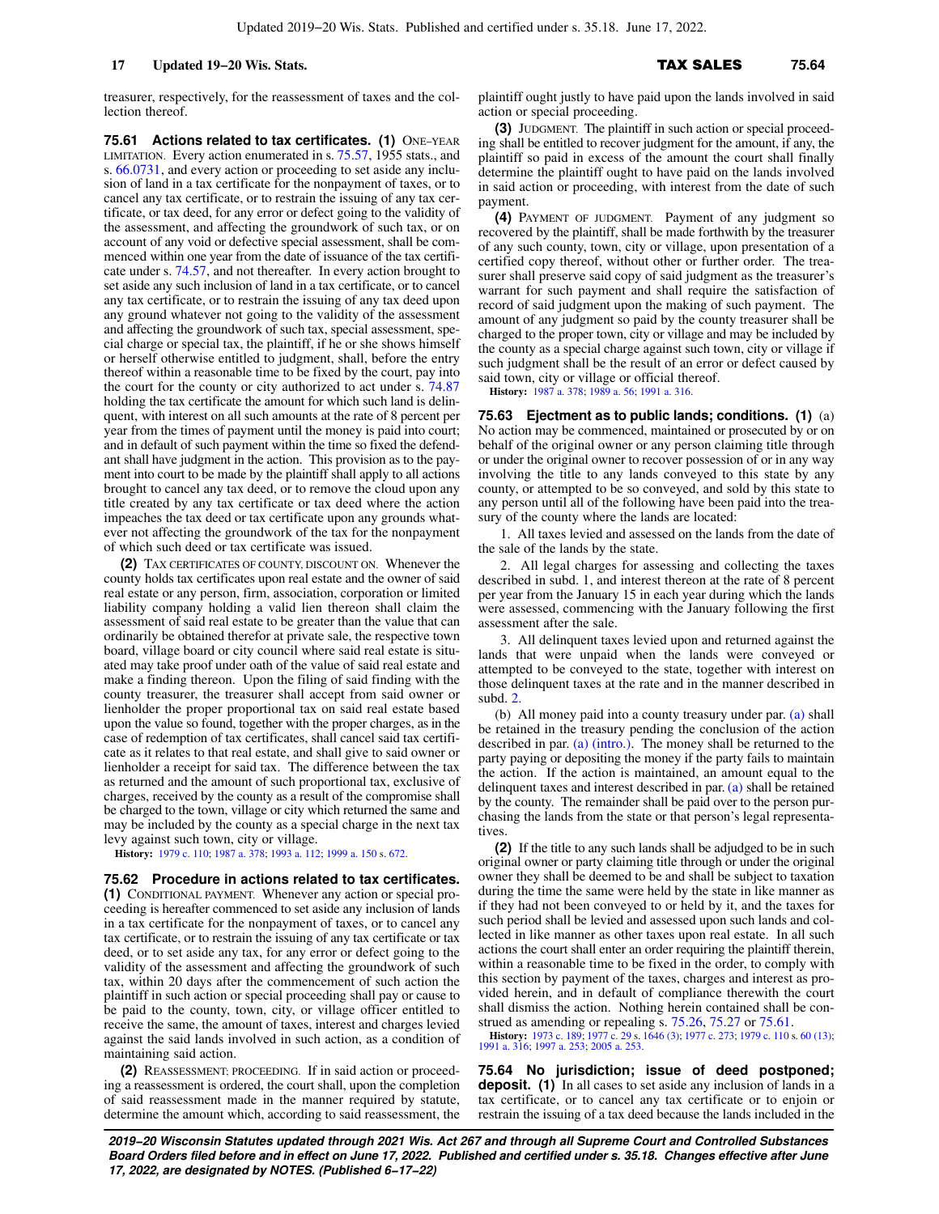treasurer, respectively, for the reassessment of taxes and the collection thereof.

**75.61 Actions related to tax certificates. (1)** ONE−YEAR LIMITATION. Every action enumerated in s. [75.57](https://docs.legis.wisconsin.gov/document/statutes/1955/75.57), 1955 stats., and s. [66.0731,](https://docs.legis.wisconsin.gov/document/statutes/66.0731) and every action or proceeding to set aside any inclusion of land in a tax certificate for the nonpayment of taxes, or to cancel any tax certificate, or to restrain the issuing of any tax certificate, or tax deed, for any error or defect going to the validity of the assessment, and affecting the groundwork of such tax, or on account of any void or defective special assessment, shall be commenced within one year from the date of issuance of the tax certificate under s. [74.57,](https://docs.legis.wisconsin.gov/document/statutes/74.57) and not thereafter. In every action brought to set aside any such inclusion of land in a tax certificate, or to cancel any tax certificate, or to restrain the issuing of any tax deed upon any ground whatever not going to the validity of the assessment and affecting the groundwork of such tax, special assessment, special charge or special tax, the plaintiff, if he or she shows himself or herself otherwise entitled to judgment, shall, before the entry thereof within a reasonable time to be fixed by the court, pay into the court for the county or city authorized to act under s. [74.87](https://docs.legis.wisconsin.gov/document/statutes/74.87) holding the tax certificate the amount for which such land is delinquent, with interest on all such amounts at the rate of 8 percent per year from the times of payment until the money is paid into court; and in default of such payment within the time so fixed the defendant shall have judgment in the action. This provision as to the payment into court to be made by the plaintiff shall apply to all actions brought to cancel any tax deed, or to remove the cloud upon any title created by any tax certificate or tax deed where the action impeaches the tax deed or tax certificate upon any grounds whatever not affecting the groundwork of the tax for the nonpayment of which such deed or tax certificate was issued.

**(2)** TAX CERTIFICATES OF COUNTY, DISCOUNT ON. Whenever the county holds tax certificates upon real estate and the owner of said real estate or any person, firm, association, corporation or limited liability company holding a valid lien thereon shall claim the assessment of said real estate to be greater than the value that can ordinarily be obtained therefor at private sale, the respective town board, village board or city council where said real estate is situated may take proof under oath of the value of said real estate and make a finding thereon. Upon the filing of said finding with the county treasurer, the treasurer shall accept from said owner or lienholder the proper proportional tax on said real estate based upon the value so found, together with the proper charges, as in the case of redemption of tax certificates, shall cancel said tax certificate as it relates to that real estate, and shall give to said owner or lienholder a receipt for said tax. The difference between the tax as returned and the amount of such proportional tax, exclusive of charges, received by the county as a result of the compromise shall be charged to the town, village or city which returned the same and may be included by the county as a special charge in the next tax levy against such town, city or village.

**History:** [1979 c. 110](https://docs.legis.wisconsin.gov/document/acts/1979/110); [1987 a. 378;](https://docs.legis.wisconsin.gov/document/acts/1987/378) [1993 a. 112](https://docs.legis.wisconsin.gov/document/acts/1993/112); [1999 a. 150](https://docs.legis.wisconsin.gov/document/acts/1999/150) s. [672](https://docs.legis.wisconsin.gov/document/acts/1999/150,%20s.%20672).

**75.62 Procedure in actions related to tax certificates. (1)** CONDITIONAL PAYMENT. Whenever any action or special proceeding is hereafter commenced to set aside any inclusion of lands in a tax certificate for the nonpayment of taxes, or to cancel any tax certificate, or to restrain the issuing of any tax certificate or tax deed, or to set aside any tax, for any error or defect going to the validity of the assessment and affecting the groundwork of such tax, within 20 days after the commencement of such action the plaintiff in such action or special proceeding shall pay or cause to be paid to the county, town, city, or village officer entitled to receive the same, the amount of taxes, interest and charges levied against the said lands involved in such action, as a condition of maintaining said action.

**(2)** REASSESSMENT; PROCEEDING. If in said action or proceeding a reassessment is ordered, the court shall, upon the completion of said reassessment made in the manner required by statute, determine the amount which, according to said reassessment, the plaintiff ought justly to have paid upon the lands involved in said action or special proceeding.

**(3)** JUDGMENT. The plaintiff in such action or special proceeding shall be entitled to recover judgment for the amount, if any, the plaintiff so paid in excess of the amount the court shall finally determine the plaintiff ought to have paid on the lands involved in said action or proceeding, with interest from the date of such payment.

**(4)** PAYMENT OF JUDGMENT. Payment of any judgment so recovered by the plaintiff, shall be made forthwith by the treasurer of any such county, town, city or village, upon presentation of a certified copy thereof, without other or further order. The treasurer shall preserve said copy of said judgment as the treasurer's warrant for such payment and shall require the satisfaction of record of said judgment upon the making of such payment. The amount of any judgment so paid by the county treasurer shall be charged to the proper town, city or village and may be included by the county as a special charge against such town, city or village if such judgment shall be the result of an error or defect caused by said town, city or village or official thereof.

**History:** [1987 a. 378;](https://docs.legis.wisconsin.gov/document/acts/1987/378) [1989 a. 56;](https://docs.legis.wisconsin.gov/document/acts/1989/56) [1991 a. 316](https://docs.legis.wisconsin.gov/document/acts/1991/316).

**75.63 Ejectment as to public lands; conditions. (1)** (a) No action may be commenced, maintained or prosecuted by or on behalf of the original owner or any person claiming title through or under the original owner to recover possession of or in any way involving the title to any lands conveyed to this state by any county, or attempted to be so conveyed, and sold by this state to any person until all of the following have been paid into the treasury of the county where the lands are located:

1. All taxes levied and assessed on the lands from the date of the sale of the lands by the state.

2. All legal charges for assessing and collecting the taxes described in subd. 1, and interest thereon at the rate of 8 percent per year from the January 15 in each year during which the lands were assessed, commencing with the January following the first assessment after the sale.

3. All delinquent taxes levied upon and returned against the lands that were unpaid when the lands were conveyed or attempted to be conveyed to the state, together with interest on those delinquent taxes at the rate and in the manner described in subd. [2.](https://docs.legis.wisconsin.gov/document/statutes/75.63(1)(a)2.)

(b) All money paid into a county treasury under par. [\(a\)](https://docs.legis.wisconsin.gov/document/statutes/75.63(1)(a)) shall be retained in the treasury pending the conclusion of the action described in par. [\(a\) \(intro.\)](https://docs.legis.wisconsin.gov/document/statutes/75.63(1)(a)(intro.)). The money shall be returned to the party paying or depositing the money if the party fails to maintain the action. If the action is maintained, an amount equal to the delinquent taxes and interest described in par. [\(a\)](https://docs.legis.wisconsin.gov/document/statutes/75.63(1)(a)) shall be retained by the county. The remainder shall be paid over to the person purchasing the lands from the state or that person's legal representatives

**(2)** If the title to any such lands shall be adjudged to be in such original owner or party claiming title through or under the original owner they shall be deemed to be and shall be subject to taxation during the time the same were held by the state in like manner as if they had not been conveyed to or held by it, and the taxes for such period shall be levied and assessed upon such lands and collected in like manner as other taxes upon real estate. In all such actions the court shall enter an order requiring the plaintiff therein, within a reasonable time to be fixed in the order, to comply with this section by payment of the taxes, charges and interest as provided herein, and in default of compliance therewith the court shall dismiss the action. Nothing herein contained shall be con-strued as amending or repealing s. [75.26](https://docs.legis.wisconsin.gov/document/statutes/75.26), [75.27](https://docs.legis.wisconsin.gov/document/statutes/75.27) or [75.61.](https://docs.legis.wisconsin.gov/document/statutes/75.61)

**History:** [1973 c. 189;](https://docs.legis.wisconsin.gov/document/acts/1973/189) [1977 c. 29](https://docs.legis.wisconsin.gov/document/acts/1977/29) s. [1646 \(3\)](https://docs.legis.wisconsin.gov/document/acts/1977/29,%20s.%201646); [1977 c. 273;](https://docs.legis.wisconsin.gov/document/acts/1977/273) [1979 c. 110](https://docs.legis.wisconsin.gov/document/acts/1979/110) s. [60 \(13\)](https://docs.legis.wisconsin.gov/document/acts/1979/110,%20s.%2060); [1991 a. 316;](https://docs.legis.wisconsin.gov/document/acts/1991/316) [1997 a. 253;](https://docs.legis.wisconsin.gov/document/acts/1997/253) [2005 a. 253](https://docs.legis.wisconsin.gov/document/acts/2005/253).

**75.64 No jurisdiction; issue of deed postponed; deposit.** (1) In all cases to set aside any inclusion of lands in a tax certificate, or to cancel any tax certificate or to enjoin or restrain the issuing of a tax deed because the lands included in the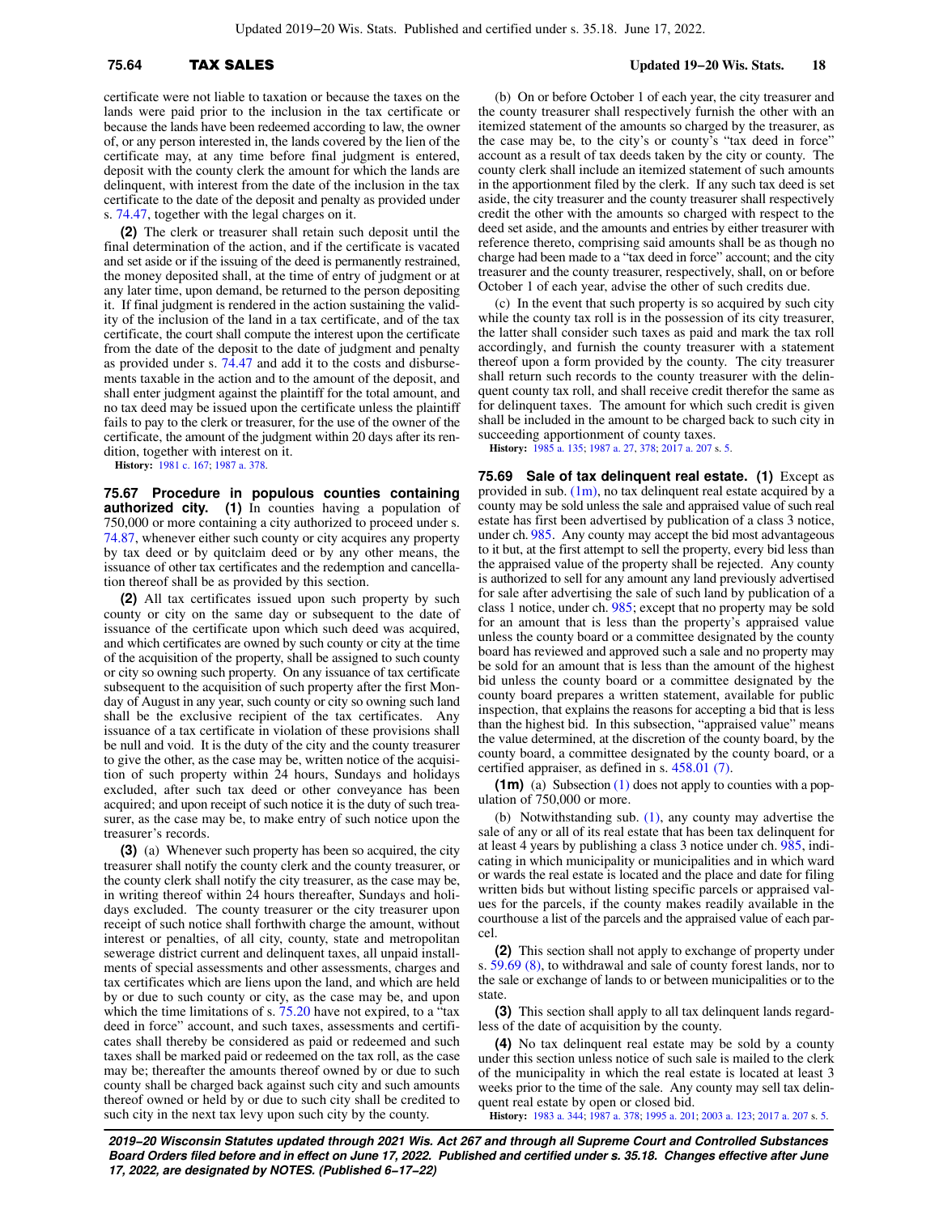certificate were not liable to taxation or because the taxes on the lands were paid prior to the inclusion in the tax certificate or because the lands have been redeemed according to law, the owner of, or any person interested in, the lands covered by the lien of the certificate may, at any time before final judgment is entered, deposit with the county clerk the amount for which the lands are delinquent, with interest from the date of the inclusion in the tax certificate to the date of the deposit and penalty as provided under s. [74.47](https://docs.legis.wisconsin.gov/document/statutes/74.47), together with the legal charges on it.

**(2)** The clerk or treasurer shall retain such deposit until the final determination of the action, and if the certificate is vacated and set aside or if the issuing of the deed is permanently restrained, the money deposited shall, at the time of entry of judgment or at any later time, upon demand, be returned to the person depositing it. If final judgment is rendered in the action sustaining the validity of the inclusion of the land in a tax certificate, and of the tax certificate, the court shall compute the interest upon the certificate from the date of the deposit to the date of judgment and penalty as provided under s. [74.47](https://docs.legis.wisconsin.gov/document/statutes/74.47) and add it to the costs and disbursements taxable in the action and to the amount of the deposit, and shall enter judgment against the plaintiff for the total amount, and no tax deed may be issued upon the certificate unless the plaintiff fails to pay to the clerk or treasurer, for the use of the owner of the certificate, the amount of the judgment within 20 days after its rendition, together with interest on it.

**History:** [1981 c. 167](https://docs.legis.wisconsin.gov/document/acts/1981/167); [1987 a. 378](https://docs.legis.wisconsin.gov/document/acts/1987/378).

**75.67 Procedure in populous counties containing authorized city. (1)** In counties having a population of 750,000 or more containing a city authorized to proceed under s. [74.87](https://docs.legis.wisconsin.gov/document/statutes/74.87), whenever either such county or city acquires any property by tax deed or by quitclaim deed or by any other means, the issuance of other tax certificates and the redemption and cancellation thereof shall be as provided by this section.

**(2)** All tax certificates issued upon such property by such county or city on the same day or subsequent to the date of issuance of the certificate upon which such deed was acquired, and which certificates are owned by such county or city at the time of the acquisition of the property, shall be assigned to such county or city so owning such property. On any issuance of tax certificate subsequent to the acquisition of such property after the first Monday of August in any year, such county or city so owning such land shall be the exclusive recipient of the tax certificates. Any issuance of a tax certificate in violation of these provisions shall be null and void. It is the duty of the city and the county treasurer to give the other, as the case may be, written notice of the acquisition of such property within 24 hours, Sundays and holidays excluded, after such tax deed or other conveyance has been acquired; and upon receipt of such notice it is the duty of such treasurer, as the case may be, to make entry of such notice upon the treasurer's records.

**(3)** (a) Whenever such property has been so acquired, the city treasurer shall notify the county clerk and the county treasurer, or the county clerk shall notify the city treasurer, as the case may be, in writing thereof within 24 hours thereafter, Sundays and holidays excluded. The county treasurer or the city treasurer upon receipt of such notice shall forthwith charge the amount, without interest or penalties, of all city, county, state and metropolitan sewerage district current and delinquent taxes, all unpaid installments of special assessments and other assessments, charges and tax certificates which are liens upon the land, and which are held by or due to such county or city, as the case may be, and upon which the time limitations of s. [75.20](https://docs.legis.wisconsin.gov/document/statutes/75.20) have not expired, to a "tax" deed in force" account, and such taxes, assessments and certificates shall thereby be considered as paid or redeemed and such taxes shall be marked paid or redeemed on the tax roll, as the case may be; thereafter the amounts thereof owned by or due to such county shall be charged back against such city and such amounts thereof owned or held by or due to such city shall be credited to such city in the next tax levy upon such city by the county.

 **75.64** TAX SALES **Updated 19−20 Wis. Stats. 18**

(b) On or before October 1 of each year, the city treasurer and the county treasurer shall respectively furnish the other with an itemized statement of the amounts so charged by the treasurer, as the case may be, to the city's or county's "tax deed in force" account as a result of tax deeds taken by the city or county. The county clerk shall include an itemized statement of such amounts in the apportionment filed by the clerk. If any such tax deed is set aside, the city treasurer and the county treasurer shall respectively credit the other with the amounts so charged with respect to the deed set aside, and the amounts and entries by either treasurer with reference thereto, comprising said amounts shall be as though no charge had been made to a "tax deed in force" account; and the city treasurer and the county treasurer, respectively, shall, on or before October 1 of each year, advise the other of such credits due.

(c) In the event that such property is so acquired by such city while the county tax roll is in the possession of its city treasurer, the latter shall consider such taxes as paid and mark the tax roll accordingly, and furnish the county treasurer with a statement thereof upon a form provided by the county. The city treasurer shall return such records to the county treasurer with the delinquent county tax roll, and shall receive credit therefor the same as for delinquent taxes. The amount for which such credit is given shall be included in the amount to be charged back to such city in succeeding apportionment of county taxes.

**History:** [1985 a. 135;](https://docs.legis.wisconsin.gov/document/acts/1985/135) [1987 a. 27,](https://docs.legis.wisconsin.gov/document/acts/1987/27) [378;](https://docs.legis.wisconsin.gov/document/acts/1987/378) [2017 a. 207](https://docs.legis.wisconsin.gov/document/acts/2017/207) s. [5.](https://docs.legis.wisconsin.gov/document/acts/2017/207,%20s.%205)

**75.69 Sale of tax delinquent real estate. (1)** Except as provided in sub.  $(1m)$ , no tax delinquent real estate acquired by a county may be sold unless the sale and appraised value of such real estate has first been advertised by publication of a class 3 notice, under ch. [985](https://docs.legis.wisconsin.gov/document/statutes/ch.%20985). Any county may accept the bid most advantageous to it but, at the first attempt to sell the property, every bid less than the appraised value of the property shall be rejected. Any county is authorized to sell for any amount any land previously advertised for sale after advertising the sale of such land by publication of a class 1 notice, under ch. [985;](https://docs.legis.wisconsin.gov/document/statutes/ch.%20985) except that no property may be sold for an amount that is less than the property's appraised value unless the county board or a committee designated by the county board has reviewed and approved such a sale and no property may be sold for an amount that is less than the amount of the highest bid unless the county board or a committee designated by the county board prepares a written statement, available for public inspection, that explains the reasons for accepting a bid that is less than the highest bid. In this subsection, "appraised value" means the value determined, at the discretion of the county board, by the county board, a committee designated by the county board, or a certified appraiser, as defined in s. [458.01 \(7\)](https://docs.legis.wisconsin.gov/document/statutes/458.01(7)).

**(1m)** (a) Subsection [\(1\)](https://docs.legis.wisconsin.gov/document/statutes/75.69(1)) does not apply to counties with a population of 750,000 or more.

(b) Notwithstanding sub. [\(1\),](https://docs.legis.wisconsin.gov/document/statutes/75.69(1)) any county may advertise the sale of any or all of its real estate that has been tax delinquent for at least 4 years by publishing a class 3 notice under ch. [985,](https://docs.legis.wisconsin.gov/document/statutes/ch.%20985) indicating in which municipality or municipalities and in which ward or wards the real estate is located and the place and date for filing written bids but without listing specific parcels or appraised values for the parcels, if the county makes readily available in the courthouse a list of the parcels and the appraised value of each parcel.

**(2)** This section shall not apply to exchange of property under s. [59.69 \(8\),](https://docs.legis.wisconsin.gov/document/statutes/59.69(8)) to withdrawal and sale of county forest lands, nor to the sale or exchange of lands to or between municipalities or to the state

**(3)** This section shall apply to all tax delinquent lands regardless of the date of acquisition by the county.

**(4)** No tax delinquent real estate may be sold by a county under this section unless notice of such sale is mailed to the clerk of the municipality in which the real estate is located at least 3 weeks prior to the time of the sale. Any county may sell tax delinquent real estate by open or closed bid.

**History:** [1983 a. 344;](https://docs.legis.wisconsin.gov/document/acts/1983/344) [1987 a. 378](https://docs.legis.wisconsin.gov/document/acts/1987/378); [1995 a. 201;](https://docs.legis.wisconsin.gov/document/acts/1995/201) [2003 a. 123;](https://docs.legis.wisconsin.gov/document/acts/2003/123) [2017 a. 207](https://docs.legis.wisconsin.gov/document/acts/2017/207) s. [5.](https://docs.legis.wisconsin.gov/document/acts/2017/207,%20s.%205)